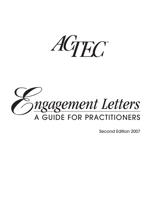



Second Edition 2007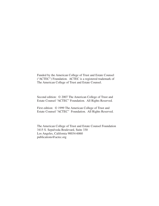Funded by the American College of Trust and Estate Counsel ("ACTEC") Foundation. ACTEC is a registered trademark of The American College of Trust and Estate Counsel.

Second edition: © 2007 The American College of Trust and Estate Counsel "ACTEC" Foundation. All Rights Reserved.

First edition: © 1999 The American College of Trust and Estate Counsel "ACTEC" Foundation. All Rights Reserved.

The American College of Trust and Estate Counsel Foundation 3415 S. Sepulveda Boulevard, Suite 330 Los Angeles, California 90034-6060 publications@actec.org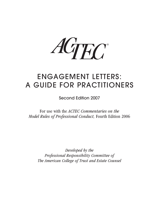AGTEC

# ENGAGEMENT LETTERS: A GUIDE FOR PRACTITIONERS

Second Edition 2007

For use with the *ACTEC Commentaries on the Model Rules of Professional Conduct,* Fourth Edition 2006

*Developed by the Professional Responsibility Committee of The American College of Trust and Estate Counsel*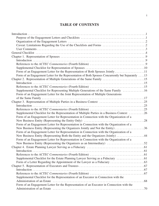## **TABLE OF CONTENTS**

| Caveat: Limitations Regarding the Use of the Checklists and Forms 2                                |  |
|----------------------------------------------------------------------------------------------------|--|
|                                                                                                    |  |
|                                                                                                    |  |
|                                                                                                    |  |
|                                                                                                    |  |
|                                                                                                    |  |
|                                                                                                    |  |
| Form of an Engagement Letter for the Representation of Both Spouses Jointly 11                     |  |
| Form of an Engagement Letter for the Representation of Both Spouses Concurrently but Separately 13 |  |
| Chapter 2. Representation of Multiple Generations of the Same Family 15                            |  |
|                                                                                                    |  |
|                                                                                                    |  |
| Supplemental Checklist for Representing Multiple Generations of the Same Family 16                 |  |
| Form of an Engagement Letter for the Joint Representation of Multiple Generations                  |  |
|                                                                                                    |  |
| Chapter 3. Representation of Multiple Parties in a Business Context 25                             |  |
|                                                                                                    |  |
|                                                                                                    |  |
| Supplemental Checklist for the Representation of Multiple Parties in a Business Context 26         |  |
| Form of an Engagement Letter for Representation in Connection with the Organization of a           |  |
|                                                                                                    |  |
| Form of an Engagement Letter for Representation in Connection with the Organization of a           |  |
| New Business Entity (Representing the Organizers Jointly and Not the Entity) 36                    |  |
| Form of an Engagement Letter for Representation in Connection with the Organization of a           |  |
| New Business Entity (Representing Both the Entity and the Organizers Jointly) 44                   |  |
| Form of an Engagement Letter for Representation in Connection with the Organization of a           |  |
| New Business Entity (Representing the Organizers as an Intermediary) 52                            |  |
|                                                                                                    |  |
|                                                                                                    |  |
|                                                                                                    |  |
| Supplemental Checklist for the Estate Planning Lawyer Serving as a Fiduciary  61                   |  |
|                                                                                                    |  |
|                                                                                                    |  |
|                                                                                                    |  |
|                                                                                                    |  |
| Supplemental Checklist for the Representation of an Executor in Connection with the                |  |
|                                                                                                    |  |
| Form of an Engagement Letter for the Representation of an Executor in Connection with the          |  |
|                                                                                                    |  |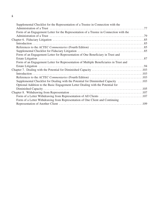## ii

| Supplemental Checklist for the Representation of a Trustee in Connection with the       |  |
|-----------------------------------------------------------------------------------------|--|
|                                                                                         |  |
| Form of an Engagement Letter for the Representation of a Trustee in Connection with the |  |
|                                                                                         |  |
|                                                                                         |  |
|                                                                                         |  |
|                                                                                         |  |
|                                                                                         |  |
| Form of an Engagement Letter for Representation of One Beneficiary in Trust and         |  |
|                                                                                         |  |
| Form of an Engagement Letter for Representation of Multiple Beneficiaries in Trust and  |  |
|                                                                                         |  |
|                                                                                         |  |
|                                                                                         |  |
|                                                                                         |  |
| Supplemental Checklist for Dealing with the Potential for Diminished Capacity 103       |  |
| Optional Addition to the Basic Engagement Letter Dealing with the Potential for         |  |
|                                                                                         |  |
|                                                                                         |  |
|                                                                                         |  |
| Form of a Letter Withdrawing from Representation of One Client and Continuing           |  |
|                                                                                         |  |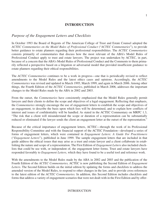## **INTRODUCTION**

#### *Purpose of the Engagement Letters and Checklists*

In October 1993 the Board of Regents of The American College of Trust and Estate Counsel adopted the *ACTEC Commentaries on the Model Rules of Professional Conduct* ("*ACTEC Commentaries*"), to provide better guidance to estate planners regarding their professional responsibilities. The *ACTEC Commentaries* consists primarily of commentaries that discuss how the most relevant of the ABA's Model Rules of Professional Conduct apply to trust and estate lawyers. The project was undertaken by ACTEC, in part, because of a concern that the ABA's Model Rules of Professional Conduct and the Comments to them primarily reflected a perspective based on a litigation or adversarial model that provided insufficient guidance to estate planners regarding their ethical responsibilities.

The *ACTEC Commentaries* continues to be a work in progress—one that is periodically revised to reflect amendments to the Model Rules and the latest ethics cases and opinions. Accordingly, the *ACTEC Commentaries* was revised and updated in March 1995, March 1999, and again in March 2006. Among other things, the Fourth Edition of the *ACTEC Commentaries*, published in March 2006, addresses the important changes to the Model Rules made by the ABA in 2002 and 2003.

From the outset, the *Commentaries* have consistently emphasized that the Model Rules generally permit lawyers and their clients to define the scope and objectives of a legal engagement. Reflecting that emphasis, the *Commentaries* strongly encourage the use of engagement letters to establish the scope and objectives of an engagement, to describe the basis upon which fees will be determined, and to explain how conflicts of interest and issues of confidentiality will be handled. As stated in the ACTEC Commentary on MRPC 1.3, "The risk that a client will misunderstand the scope or duration of a representation can be substantially reduced or eliminated if the lawyer sends the client an engagement letter at the outset of the representation."

Because of the critical importance of engagement letters, ACTEC—through the work of its Professional Responsibility Committee and with the financial support of the ACTEC Foundation—developed a series of forms of engagement letters, which were contained in *Engagement Letters: A Guide For Practitioners* ("*Engagement Letters*"), published in June 1999. The sample engagement letters that are included in that guide address the ethical issues that may arise as a trust and estate lawyer and a client collaborate in establishing the nature and scope of a representation. The First Edition of *Engagement Letters* also included checklists that could be use with, or independent of, the engagement letter forms. Trust and estate lawyers have responded favorably to *Engagement Letters*, which they have found to be a useful tool and reference work.

With the amendments to the Model Rules made by the ABA in 2002 and 2003 and the publication of the Fourth Edition of the *ACTEC Commentaries,* ACTEC is now publishing the Second Edition of *Engagement Letters*. The Second Edition builds on the initial edition by updating the forms and checklists to address the amended version of the Model Rules, to respond to other changes in the law, and to provide cross references to the latest edition of the *ACTEC Commentaries.* In addition, this Second Edition includes checklists and forms that address a variety of engagement scenarios that were not dealt with in the First Edition and by offer-

#### **INTRODUCTION**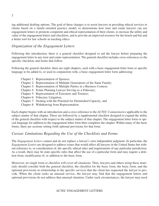ing additional drafting options. The goal of these changes is to assist lawyers in providing ethical services to clients based on a family-oriented practice model, to demonstrate how trust and estate lawyers can use engagement letters to promote competent and ethical representation of their clients, to increase the utility and value of the engagement letters and checklists, and to provide an improved resource for the bench and bar and a better tool for law schools in teaching ethics.

## *Organization of the Engagement Letters*

Following this introduction, there is a general checklist designed to aid the lawyer before preparing the engagement letter in any trust and estate representation. The general checklist includes cross references to the specific checklists and forms that follow.

Following the general checklist, there are eight chapters, each with a basic engagement letter form or specific language to be added to, or used in conjunction with, a basic engagement letter form addressing:

- Chapter 1: Representation of Spouses;
- Chapter 2: Representation of Multiple Generations of the Same Family;
- Chapter 3: Representation of Multiple Parties in a Business Context;
- Chapter 4: Estate Planning Lawyer Serving as a Fiduciary;
- Chapter 5: Representation of Executors and Trustees;
- Chapter 6: Fiduciary Litigation;
- Chapter 7: Dealing with the Potential for Diminished Capacity; and
- Chapter 8: Withdrawing from Representation.

Each chapter begins with an introduction and a cross reference to the *ACTEC Commentaries* applicable to the subject matter of that chapter. These are followed by a supplemental checklist designed to expand the utility of the general checklist with respect to the subject matter of that chapter. The engagement letter form or special language for addition to the engagement letter form then completes the chapter. Within many of the basic forms, there are sections setting forth optional provisions for that form.

## *Caveat: Limitations Regarding the Use of the Checklists and Forms*

The *Engagement Letters* cannot and do not replace a lawyer's own independent judgment. In particular, the *Engagement Letters* are designed to address issues that would affect all lawyers in the United States but without reference to, or consideration of, the specific ethical rules and requirements of any particular jurisdiction. As a result, there may be state-specific rules that affect the use of a particular form and may require a deletion from, modification of, or addition to the basic form.

Moreover, no single form or checklist will cover all situations. Thus, lawyers and others using these materials should consider both the general checklist, the checklist for the basic form, the basic form, and the optional provisions in relationship to the specific services that the client has requested the lawyer to provide. When the client seeks an unusual service, the lawyer may find that the engagement letters and optional provisions do not address that unusual situation. Under such circumstances, the lawyer may need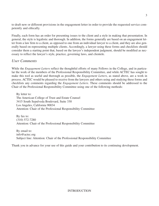to draft new or different provisions in the engagement letter in order to provide the requested service competently and ethically.

Finally, each form has an order for presenting issues to the client and a style in making that presentation. In general, the style is legalistic and thorough. In addition, the forms generally are based on an engagement letter from a law firm to a client, as opposed to one from an individual lawyer to a client, and they are also generally based on representing multiple clients. Accordingly, a lawyer using these forms and checklists should consider them a starting point that, based on the lawyer's independent judgment, should be modified as necessary to reflect the lawyer's style, practice, governing laws, and clientele.

## *User Comments*

While the *Engagement Letters* reflect the thoughtful efforts of many Fellows in the College, and in particular the work of the members of the Professional Responsibility Committee, and while ACTEC has sought to make this tool as useful and thorough as possible, the *Engagement Letters*, as stated above, are a work in process. ACTEC would be pleased to receive from the lawyers and others using and studying these forms and checklists any comments regarding the *Engagement Letters*. These comments should be addressed to the Chair of the Professional Responsibility Committee using one of the following methods:

By letter to: The American College of Trust and Estate Counsel 3415 South Sepulveda Boulevard, Suite 330 Los Angeles, California 90034 Attention: Chair of the Professional Responsibility Committee

By fax to: (310) 572-7280 Attention: Chair of the Professional Responsibility Committee

By email to: info@actec.org Subject line: Attention: Chair of the Professional Responsibility Committee

Thank you in advance for your use of this guide and your contribution to its continuing development.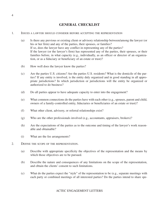## **GENERAL CHECKLIST**

#### 1. ISSUES A LAWYER SHOULD CONSIDER BEFORE ACCEPTING THE REPRESENTATION

- (a) Is there any previous or existing client or advisory relationship between/among the lawyer (or his or her firm) and any of the parties, their spouses, or families? If so, does the lawyer have any conflict in representing any of the parties? If the lawyer (or the lawyer's firm) has represented any of the parties, their spouses, or their families before, in what capacity (e.g., individually, as an officer or director of an organization, or as a fiduciary or beneficiary of an estate or trust)?
- (b) How well does the lawyer know the parties?
- (c) Are the parties U.S. citizens? Are the parties U.S. residents? What is the domicile of the parties? If any entity is involved, is the entity duly organized and in good standing in all appropriate jurisdictions? In which jurisdiction or jurisdictions will the entity be organized or authorized to do business?
- (d) Do all parties appear to have adequate capacity to enter into the engagement?
- (e) What common connections do the parties have with each other (e.g., spouses, parent and child, owners of a family-controlled entity, fiduciaries or beneficiaries of an estate or trust)?
- (f) What other client, advisory, or referral relationships exist?
- (g) Who are the other professionals involved (e.g., accountants, appraisers, brokers)?
- (h) Are the expectations of the parties as to the outcome and timing of the lawyer's work reasonable and obtainable?
- (i) What are the fee arrangements?
- 2. DEFINE THE SCOPE OF THE REPRESENTATION.
	- (a) Describe with appropriate specificity the objectives of the representation and the means by which those objectives are to be pursued.
	- (b) Describe the nature and consequences of any limitations on the scope of the representation, and obtain the clients' consent to such limitations.
	- (c) What do the parties expect the "style" of the representation to be (e.g., separate meetings with each party or combined meetings of all interested parties? Do the parties intend to share spe-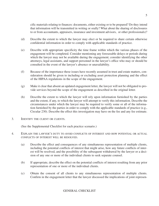cific materials relating to finances: documents, either existing or to be prepared? Do they intend that information will be transmitted in writing or orally? What about the sharing of disclosures to or from accountants, appraisers, insurance and investment advisors, or other professionals)?

- (d) Describe the extent to which the lawyer may elect or be required to share certain otherwise confidential information in order to comply with applicable standards of practice.
- (e) Describe with appropriate specificity the time frame within which the various phases of the engagement will be completed. Consider mentioning any foreseeable delays or periods during which the lawyer may not be available during the engagement; consider identifying the other attorneys, legal assistants, and support personnel in the lawyer's office who may or should be consulted in the event of the lawyer's absence or unavailability.
- (f) Because of the importance these issues have recently assumed in trust and estate matters, consideration should be given to including or excluding asset protection planning and the effect of the HIPAA regulations in the scope of the engagement.
- (g) Make it clear that absent an updated engagement letter, the lawyer will not be obligated to provide services beyond the scope of the engagement as described in the original letter.
- (h) Describe the extent to which the lawyer will rely upon information furnished by the parties and the extent, if any, to which the lawyer will attempt to verify this information. Describe the circumstances under which the lawyer may be required to verify some or all of the information furnished by the parties in order to comply with the applicable standards of practice (e.g., Circular 230). Describe the effect this investigation may have on the fee and any fee estimate.
- 3. IDENTIFY THE CLIENT OR CLIENTS.

(See the Supplemental Checklist for each practice scenario.)

- 4. EXPLAIN THE LAWYER'S DUTY TO AVOID CONFLICTS OF INTEREST AND HOW POTENTIAL OR ACTUAL CONFLICTS OF INTEREST WILL BE RESOLVED.
	- (a) Describe the effect and consequences of any simultaneous representation of multiple clients, including the potential conflicts of interest that might arise, how any future conflicts of interest will be resolved, and the possibility of the subsequent withdrawal by the lawyer or a decision of any one or more of the individual clients to seek separate counsel.
	- (b) If appropriate, describe the effect on the potential conflicts of interest resulting from any prior representation of one or more of the individual clients.
	- (c) Obtain the consent of all clients to any simultaneous representation of multiple clients. Confirm in the engagement letter that the lawyer discussed the implications of joint represen-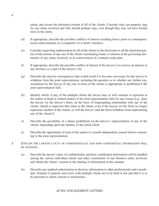tation, and secure the informed consent of all of the clients. Consider who can properly sign for any entity involved and who should perhaps sign, even though they may not have formal roles in the entity.

- (d) If appropriate, describe the possible conflicts of interest resulting from a prior or contemporaneous representation of a competitor of a client's business.
- (e) Consider requesting authorization by all of the clients to the disclosure to all the interested parties of the actions of any one of the clients constituting fraud, a violation of the governing documents of any entity involved, or in contravention of a mutual estate plan.
- (f) If appropriate, describe the possible conflict of interest if the lawyer is to receive an interest in any business as a part of the lawyer's fee.
- (g) Describe the adverse consequences that would result if it becomes necessary for the lawyer to withdraw from the joint representation, including the question as to whether any further representation by the lawyer of any one or more of the clients is appropriate or prohibited if the joint representation fails.
- (h) Identify which, if any, of the multiple clients the lawyer may or will continue to represent in the matter at hand or related matters if the joint representation fails for any reason [e.g., does the lawyer (or the lawyer's firm), on the basis of longstanding relationship with one of the clients, intend to represent that client in the future, even if the lawyer (or the firm) no longer represents another of the clients; or will the lawyer (and the firm) withdraw from representing any of the clients?].
- (i) Describe the possibility of a future prohibition on the lawyer's representation of any of the clients, depending upon the identity of the initial client.
- (j) Describe the opportunity of each of the parties to consult independent counsel before consenting to the joint representation.
- 5. EXPLAIN THE LAWYER'S DUTY OF CONFIDENTIALITY AND HOW CONFIDENTIAL INFORMATION WILL BE HANDLED.
	- (a) Describe the lawyer's duty of confidentiality and how confidential information will be handled among the various individual clients and other constituents of any business entity involved, and obtain the clients' consent to the sharing of information in this manner.
	- (b) Describe any implied authorization to disclose information to other professionals and consultants. Explain if separate interviews with multiple clients are to be held or not and that it is to be pursuant to client consent or instructions.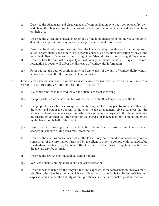- (c) Describe the advantages and disadvantages of communication by e-mail, cell phone, fax, etc., and obtain the clients' consent to the use of these forms of communication and any limitations on their use.
- (d) Describe the effect and consequences of any of the joint clients revoking the waiver of confidentiality and prohibiting any further sharing of confidential information.
- (e) Describe the disadvantages resulting from the lawyer having to withdraw from the representation, or any client's decision to seek separate counsel, as a result of revocation by any of the individual clients of consent to the sharing of confidential information among all the clients.
- (f) Describe how the diminished capacity or death of any individual client occurring after the representation is begun will affect the disclosure of confidential information.
- (g) Point out that the duty of confidentiality and any waiver of the duty of confidentiality continue in effect, even after the engagement is terminated.
- 6. EXPLAIN THE FEE OR THE BASIS FOR THE DETERMINATION OF THE FEE AND THE BILLING ARRANGE-MENTS [INCLUDING THE MATERIAL REQUIRED IN RULE 1.5 (b)].
	- (a) If a contingent fee is involved, obtain the client's consent in writing.
	- (b) If appropriate, describe how the fee will be shared with other lawyers outside the firm.
	- (c) If appropriate, describe the consequences of the lawyer's fee being paid by someone other than the client and obtain the consent of the client to the arrangement; give assurances that the arrangement will not in any way diminish the lawyer's duty of loyalty to the client, including the sharing of confidential information or the exercise of independent professional judgment by the lawyer on behalf of the client.
	- (d) Describe factors that might cause the fee to be different from any estimate and how and when changes in standard billing rates may affect the fee.
	- (e) Describe the circumstances under which the lawyer may be required to independently verify some or all of the information furnished by the client in order to comply with the applicable standards of practice (e.g., Circular 230). Describe the effect this investigation may have on the fee and any fee estimate.
	- (f) Describe the lawyer's billing and collection policies.
	- (g) Verify the client's billing address and contact information.
	- (h) Describe who is liable for the lawyer's fees and expenses. If the representation involves multiple clients, describe the extent to which each client is or may be liable for the lawyer's fees and expenses and whether the liability of multiple clients is to be individual or joint and several.

#### GENERAL CHECKLIST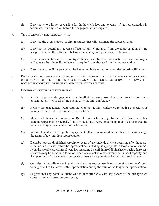- (i) Describe who will be responsible for the lawyer's fees and expenses if the representation is terminated for any reason before the engagement is completed.
- 7. TERMINATION OF THE REPRESENTATION
	- (a) Describe the events, dates, or circumstances that will terminate the representation.
	- (b) Describe the potentially adverse effects of any withdrawal from the representation by the lawyer. Describe the difference between mandatory and permissive withdrawal.
	- (c) If the representation involves multiple clients, describe what information, if any, the lawyer will give to the clients if the lawyer is required to withdraw from the representation.
	- (d) Describe what will happen when the lawyer withdraws and to whom the records will be sent.
- 8. BECAUSE OF THE IMPORTANCE THESE ISSUES HAVE ASSUMED IN A TRUST AND ESTATE PRACTICE, CONSIDERATION SHOULD BE GIVEN TO SPECIFICALLY INCLUDING A DISCUSSION OF THE LAWYER'S DOCUMENT OWNERSHIP, RETENTION, AND DESTRUCTION POLICIES.
- 9. DOCUMENT MULTIPLE REPRESENTATION.
	- (a) Send out a proposed engagement letter to all of the prospective clients prior to a first meeting, or send out a letter to all of the clients after the first conference.
	- (b) Review the engagement letter with the client at the first conference following a checklist or memorandum filled in during the first conference.
	- (c) Identify all clients. See comment on Rule 1.7 as to who can sign for the entity (someone other than the represented principal). Consider including a representation by multiple clients that the interests being represented are not adversarial.
	- (d) Require that all clients sign the engagement letter or memorandum or otherwise acknowledge the terms of any multiple representation.
	- (e) Describe how the diminished capacity or death of any individual client occurring after the representation is begun will affect the representation; including, if appropriate, reference to, or summary of, the specific provisions of local law regarding the definition of diminished capacity, those persons who may be authorized to act on behalf of a client who has suffered diminished capacity, and the opportunity for the client to designate someone to act on his or her behalf in such an event.
	- (f) Consider periodically reviewing with the client the engagement letter, to confirm the client's continuing assent to the terms of the representation during the term of the long-term representation.
	- (g) Suggest that any potential client who is uncomfortable with any aspect of the arrangement consult another lawyer before signing.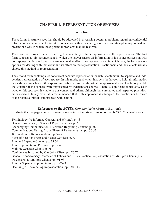## **CHAPTER 1. REPRESENTATION OF SPOUSES**

#### **Introduction**

These forms illustrate issues that should be addressed in discussing potential problems regarding confidential information and conflicts of interest in connection with representing spouses in an estate planning context and present one way in which these potential problems may be resolved.

There are two forms of letter reflecting fundamentally different approaches to the representation. The first form suggests a joint arrangement in which the lawyer shares all information in his or her possession with both spouses, unless and until an event occurs that affects that representation; in which case, the form sets out options for dealing with that event and its effect on the representation. Practitioners and their clients usually choose this method of representation.

The second form contemplates concurrent separate representation, which is tantamount to separate and independent representation of each spouse. In this mode, each client instructs the lawyer to hold all information he or she receives from either spouse in confidence so that the situation approximates as closely as possible the situation if the spouses were represented by independent counsel. There is significant controversy as to whether this approach is viable in this context and others, although there are noted and respected practitioners who use it. In any event, it is recommended that, if this approach is attempted, the practitioner be aware of the potential pitfalls and proceed with caution.

#### **References to the** *ACTEC Commentaries* **(Fourth Edition):**

(Note that the page numbers shown below refer to the printed version of the *ACTEC Commentaries.*)

Terminology (re Informed Consent and Writing), p. 13 General Principles (re Scope of Representation), p. 32 Encouraging Communication; Discretion Regarding Content, p. 56 Communications During Active Phase of Representation, pp. 56-57 Termination of Representation, pp. 57-58 Basis of Fees for Trusts and Estates Services, p. 63 Joint and Separate Clients, pp. 75-76 Joint Representation Presumed, pp. 75-76 Multiple Separate Clients, p. 76 Confidences Imparted by One Joint Client, pp. 76-77 General Nonadversary Character of Estates and Trusts Practice; Representation of Multiple Clients, p. 91 Disclosures to Multiple Clients, pp. 91-93 Joint or Separate Representation, pp. 92-93 Declining or Terminating Representation, pp. 140-143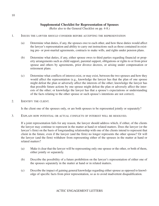#### **Supplemental Checklist for Representation of Spouses**

(Refer also to the General Checklist on pp. 4-8.)

#### 1. ISSUES THE LAWYER SHOULD CONSIDER BEFORE ACCEPTING THE REPRESENTATION

- (a) Determine what duties, if any, the spouses owe to each other, and how these duties would affect the lawyer's representation and ability to carry out instructions such as those contained in existing pre- or post-marital agreements, contracts to make wills, and rights under pension plans.
- (b) Determine what duties, if any, either spouse owes to third parties regarding financial or property arrangements such as child support, parental support, obligations or rights to or from prior spouse and others by agreements, prior divorce decrees, or arising under compensation or retirement plans.
- (c) Determine what conflicts of interest exist, or may exist, between the two spouses and how they would affect the representation (e.g., knowledge the lawyer has that the plan of one spouse might defeat the plan or adversely affect the interests of the other; knowledge the lawyer has that possible future actions by one spouse might defeat the plan or adversely affect the interests of the other; or knowledge the lawyer has that a spouse's expectations or understanding of the facts relating to the other spouse or such spouse's intentions are not correct).
- 2. IDENTIFY THE CLIENT.

Is the client one of the spouses only, or are both spouses to be represented jointly or separately?

3. EXPLAIN HOW POTENTIAL OR ACTUAL CONFLICTS OF INTEREST WILL BE RESOLVED.

If a joint representation fails for any reason, the lawyer should address which, if either, of the clients the lawyer may continue to represent in the matter at hand or related matters. Does the lawyer (or the lawyer's firm) on the basis of longstanding relationship with one of the clients intend to represent that client in the future, even if the lawyer (and the firm) no longer represents the other spouse? Or will the lawyer (and the firm) withdraw from representing either of the spouses in the matter at hand or related matters?

- (a) Make it clear that the lawyer will be representing only one spouse or the other, or both of them, either jointly or separately.
- (b) Describe the possibility of a future prohibition on the lawyer's representation of either one of the spouses separately in the matter at hand or in related matters.
- (c) Describe the impact of gaining general knowledge regarding either spouse as opposed to knowledge of specific facts from prior representation, so as to avoid inadvertent disqualification.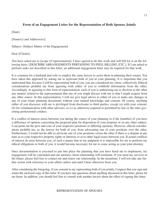## **Form of an Engagement Letter for the Representation of Both Spouses Jointly**

[Date]

[Name(s) and Address(es)]

Subject: [Subject Matter of the Engagement]

Dear [Clients]:

You have asked me to [scope of representation]. I have agreed to do this work and will bill for it on the following basis: [DESCRIBE ARRANGEMENTS PERTAINING TO FEES, BILLING, ETC.]. If I am asked to perform tasks not described in this letter, an additional engagement letter may be required for that work.

It is common for a husband and wife to employ the same lawyer to assist them in planning their estates. You have taken this approach by asking me to represent both of you in your planning. It is important that you understand that, because I will be representing both of you, you are considered my client, collectively. Ethical considerations prohibit me from agreeing with either of you to withhold information from the other. Accordingly, in agreeing to this form of representation, each of you is authorizing me to disclose to the other any matters related to the representation that one of you might discuss with me or that I might acquire from any other source. In this representation, I will not give legal advice to either of you or make any changes in any of your estate planning documents without your mutual knowledge and consent. Of course, anything either of you discusses with me is privileged from disclosure to third parties, except (a) with your consent, (b) for communication with other advisors, or (c) as otherwise required or permitted by law or the rules governing professional conduct.

If a conflict of interest arises between you during the course of your planning or if the [number] of you have a difference of opinion concerning the proposed plan for disposition of your property or on any other subject, I can point out the pros and cons of your respective positions or differing opinions. However, ethical considerations prohibit me, as the lawyer for both of you, from advocating one of your positions over the other. Furthermore, I would not be able to advocate one of your positions versus the other if there is a dispute at any time as to your respective property rights or interests or as to other legal issues between you. If actual conflicts of interest do arise between you, of such a nature that in my judgment it is impossible for me to perform my ethical obligations to both of you, it would become necessary for me to cease acting as your joint attorney.

Once documentation is executed to put into place the planning that you have hired me to implement, my engagement will be concluded and our attorney-client relationship will terminate. If you need my services in the future, please feel free to contact me and renew our relationship. In the meantime, I will not take any further action with reference to your affairs unless and until I hear otherwise from you.

After considering the foregoing, if you consent to my representing both of you jointly, I request that you sign and return the enclosed copy of this letter. If you have any questions about anything discussed in this letter, please let me know. In addition, you should feel free to consult with another lawyer about the effect of signing this letter.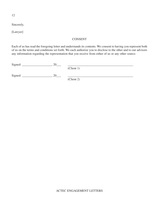12

Sincerely,

[Lawyer]

#### **CONSENT**

Each of us has read the foregoing letter and understands its contents. We consent to having you represent both of us on the terms and conditions set forth. We each authorize you to disclose to the other and to our advisors any information regarding the representation that you receive from either of us or any other source.

| $\sim$<br>__ |  |  |
|--------------|--|--|
|              |  |  |

| (Client 1) |
|------------|
|------------|

Signed: \_\_\_\_\_\_\_\_\_\_\_\_\_\_\_\_\_\_\_, 20\_\_\_ \_\_\_\_\_\_\_\_\_\_\_\_\_\_\_\_\_\_\_\_\_\_\_\_\_\_\_\_\_\_\_\_\_\_\_\_\_\_\_\_\_\_

(Client 2)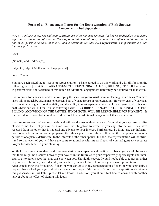#### **Form of an Engagement Letter for the Representation of Both Spouses Concurrently but Separately**

*NOTE: Conflicts of interest and confidentiality are of paramount concern if a lawyer undertakes concurrent separate representation of spouses. Such representation should only be undertaken after careful consideration of all possible conflicts of interest and a determination that such representation is permissible in the lawyer's jurisdiction.* 

[Date]

[Name(s) and Address(es)]

Subject: [Subject Matter of the Engagement]

Dear [Clients]:

You have each asked me to [scope of representation]. I have agreed to do this work and will bill for it on the following basis: [DESCRIBE ARRANGEMENTS PERTAINING TO FEES, BILLING, ETC.]. If I am asked to perform tasks not described in this letter, an additional engagement letter may be required for that work.

It is common for a husband and wife to employ the same lawyer to assist them in planning their estates. You have taken this approach by asking me to represent both of you to [scope of representation]. However, each of you wants to maintain your right to confidentiality and the ability to meet separately with me. I have agreed to do this work on this basis and will bill for it on the following basis: [DESCRIBE ARRANGEMENTS PERTAINING TO FEES, BILLING, AND WHICH OF THE PARTIES, IF NOT BOTH, WILL BE RESPONSIBLE FOR PAYMENT.]. If I am asked to perform tasks not described in this letter, an additional engagement letter may be required.

I will represent each of you separately and will not discuss with either one of you what your spouse has disclosed to me. Each of you releases me from the obligation to reveal to you any information I may have received from the other that is material and adverse to your interest. Furthermore, I will not use any information I obtain from one of you in preparing the other's plan, even if the result is that the two plans are incompatible or one plan is detrimental to the interests of the other spouse. In short, the representation will be structured so that each of you will have the same relationship with me as if each of you had gone to a separate lawyer for assistance in your planning.

While I have agreed to undertake this representation on a separate and confidential basis, you should be aware that there might be disputes between you now or in the future as to your respective property rights and interests, or as to other issues that may arise between you. Should this occur, I would not be able to represent either of you in resolving any such dispute, and each of you would have to obtain your own representation. After considering the foregoing, if each of you consents to my representation of each of you separately, I request that each of you sign and return the enclosed copy of this letter. If you have any questions about anything discussed in this letter, please let me know. In addition, you should feel free to consult with another lawyer about the effect of signing this letter.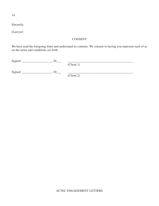14

Sincerely,

[Lawyer]

#### CONSENT

We have read the foregoing letter and understand its contents. We consent to having you represent each of us on the terms and conditions set forth.

| Signed: | 20 |            |
|---------|----|------------|
|         |    | (Client 1) |
| Signed: | 20 |            |
|         |    | (Client 2) |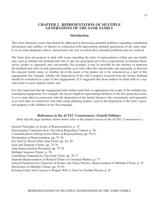#### **CHAPTER 2. REPRESENTATION OF MULTIPLE GENERATIONS OF THE SAME FAMILY**

#### **Introduction**

This form illustrates issues that should be addressed in discussing potential problems regarding confidential information and conflicts of interest in connection with representing multiple generations of the same family in an estate planning context, and presents one way in which these potential problems may be resolved.

The letter does not propose to deal with issues regarding the style of representation within any one family unit, such as whether the husband and wife of any one generation are to be to represented, as between themselves, jointly or separately and concurrently. For example, it may be possible for the attorney to represent the husband and wife of each generation jointly as to each other but concurrently and separately as between the separate family units; or whether all of the assets of the parties are to be considered as a part of this engagement (for example, whether the disposition of the wife's property received from her former husband should be considered as a part of this engagement). It is suggested that those matters be dealt with in a separate letter to each separate family unit.

It is also important that the engagement letter define (and limit, as appropriate) the scope of the multiple representation engagement. For example, the lawyer might be representing members of the first generation jointly as to each other in connection with the disposition of the family business, but concurrently and separately as to each other in connection with other estate planning matters, such as the disposition of the wife's ancestral property to the children of her first marriage.

#### **References to the** *ACTEC Commentaries* **(Fourth Edition):**

(Note that the page numbers shown below refer to the printed version of the *ACTEC Commentaries.*)

General Principles (re Scope of Representation), p. 32 Encouraging Communication; Discretion Regarding Content, p. 56 Communications During Active Phase of Representation, pp. 56-57 Termination of Representation, pp. 57-58 Fee Paid by Person Other than Client, pp. 63, 69 Joint and Separate Clients, pp. 75-76 Joint Representation Presumed, pp. 75-76 Multiple Separate Clients, p. 76 Confidences Imparted by One Joint Client, pp. 76-77 Separate Representation of Related Clients in Unrelated Matters, p. 77 General Nonadversary Character of Estates and Trusts Practice; Representation of Multiple Clients, p. 91 Disclosures to Multiple Clients, pp. 91-93 Existing Client Asks Lawyer to Prepare Will or Trust for Another Person, p. 92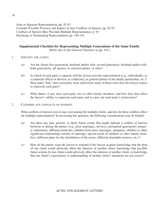Joint or Separate Representation, pp. 92-93 Consider Possible Presence and Impact of Any Conflicts of Interest, pp. 92-93 Conflicts of Interest May Preclude Multiple Representation, p. 93 Declining or Terminating Representation, pp. 140-143

## **Supplemental Checklist for Representing Multiple Generations of the Same Family**

(Refer also to the General Checklist on pp. 4-8.)

- 1. IDENTIFY THE CLIENT.
	- (a) Are the clients first generation, husband and/or wife; second generation, husband and/or wife; both generations, all spouses or selected parties; or other?
	- (b) In which of each party's capacity will the lawyer provide representation (e.g., individually, as a corporate officer or director, as a fiduciary, as general partner of the family partnership, etc.)? How many "hats" does each party wear, and in how many of those roles does the lawyer expect to represent each party?
	- (c) What duties, if any, does each party owe to other family members, and how does that affect the lawyer's ability to represent each party and to carry out each party's instructions?
- 2. CONSIDER ANY CONFLICTS OF INTEREST.

What conflicts of interest exist or may exist among the multiple clients, and how do these conflicts affect the multiple representation? In answering this question, the following considerations may be helpful:

- (a) Are there any past, present, or likely future events that might indicate a conflict of interest between or among the parties (e.g., prior marriages, divorces, premarital agreements, property settlements, different domiciles, children from prior marriages, adoptions, children or other significant relationships outside of marriage, special needs of children or other family members, different plans for the distribution of the assets, different charitable motives, etc.)?
- (c) How do the parties want the lawyer to respond if the lawyer acquires knowledge that the plan of one client would adversely affect the interests of another client; knowledge that possible future actions by one client would adversely affect the interests of another client; or knowledge that one client's expectations or understanding of another client's intentions are not correct?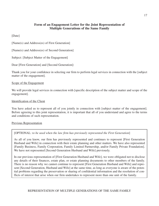#### **Form of an Engagement Letter for the Joint Representation of Multiple Generations of the Same Family**

[Date]

[Name(s) and Address(es) of First Generation]

[Name(s) and Address(es) of Second Generation]

Subject: [Subject Matter of the Engagement]

Dear [First Generation] and [Second Generation]:

Thank you for your confidence in selecting our firm to perform legal services in connection with the [subject matter of the engagement].

#### Scope of the Engagement

We will provide legal services in connection with [specific description of the subject matter and scope of the engagement].

#### Identification of the Client

You have asked us to represent all of you jointly in connection with [subject matter of the engagement]. Before agreeing to this joint representation, it is important that all of you understand and agree to the terms and conditions of such representation.

#### Previous Representation

#### [OPTIONAL: *to be used when the law firm has previously represented the First Generation*]

As all of you know, our firm has previously represented and continues to represent [First Generation Husband and Wife] in connection with their estate planning and other matters. We have also represented [Family Business, Family Corporation, Family Limited Partnership, and/or Family Private Foundation]. We have not represented [Second Generation Husband and Wife] previously.

In our previous representation of [First Generation Husband and Wife], we were obligated not to disclose any details of their finances, estate plan, or estate planning documents to other members of the family. There is no reason why we cannot continue to represent [First Generation Husband and Wife] and represent [Second Generation, Husband and Wife] at the same time, as long as everyone is aware of the potential problems regarding the preservation or sharing of confidential information and the resolution of conflicts of interest that arise when our firm undertakes to represent more than one unit of the family.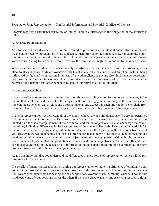#### Separate or Joint Representation – Confidential Information and Potential Conflicts of Interest

Lawyers may represent clients separately or jointly. There is a difference in the obligation of the attorney as follows:

#### A. Separate Representation

As attorneys for an individual client, we are required to preserve any confidential client information unless we are authorized by our client or by law to disclose such information to someone else. For example, in representing our client, we would ordinarily be prohibited from making known to anyone else any information known to us relating to our client, even if we think the information might be important to the other person.

When we represent an individual client separately, we advocate for our client's personal interests and give our client totally independent advice. We have a duty to act solely in the best interests of our client, without being influenced by the conflicting personal interests of any other clients or anyone else. Such separate representation ensures the preservation of our client's confidences and the elimination of any conflicts of interest between our client and any other person as related to our representation of our client.

#### B. Joint Representation

If we undertake to represent two or more clients jointly, we are obligated to disclose to each client any information that is relevant and material to the subject matter of the engagement. As long as the joint representation continues, no client can disclose any information to us and expect that such information be withheld from the other clients if such information is relevant and material to the subject matter of the engagement.

In a joint representation, we represent all of the clients collectively and simultaneously. We are not permitted to become an advocate for any client's personal interests but serve to assist the clients in developing a coordinated plan for the accomplishment of their common and mutual objectives. We also encourage the resolution of any individual differences in the best interests of the clients collectively. Relevant and material information shared with us by any client, although confidential to all third parties, will not be kept from any of you. However, we would generally not disclose information made known to us outside the joint meeting that we do not think is relevant and material to the subject matter of the engagement. Although joint representation is intended to accomplish the joint clients' common and mutual objectives, and in a cost-efficient manner, it also could result in the disclosure of information that one client might prefer be confidential. It might produce dissension if the clients cannot agree on a particular issue.

Again, it is important that you understand the differences in these forms of representation, as we will be representing all of you jointly.

If a conflict of interest arises among you during our representation or there is a difference of opinion, we can point out the pros and cons of your respective positions or differing opinions. However, in joint representation, we are prohibited from advocating one of your positions over the others. Similarly, we would not be able to advocate one of your positions versus the others if there is a dispute at any time as to your respective rights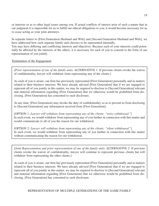or interests or as to other legal issues among you. If actual conflicts of interest arise of such a nature that in our judgment it is impossible for us to fulfill our ethical obligations to you, it would become necessary for us to cease acting as your joint attorneys.

In separate letters to [First Generation Husband and Wife] and [Second Generation Husband and Wife], we have addressed how each separate family unit chooses to be represented internally. You may have differing and conflicting interests and objectives. Because each of your interests could potentially be affected by the interests of the others, it is necessary for each of you to consent to the form of our representation of you jointly.

#### Termination of the Engagement

[*Prior representation of one of the family units.* ALTERNATIVE 1: If previous clients revoke the waiver of confidentiality, lawyer will withdraw from representing any of the clients.]

As each of you is aware, our firm has previously represented [First Generation] personally and in matters related to their business interests. We have already advised [First Generation] that if we are engaged to represent all of you jointly in this matter, we may be required to disclose to [Second Generation] relevant and material information regarding [First Generation] that we otherwise would be prohibited from disclosing. [First Generation] has consented to such disclosure.

At any time, [First Generation] may invoke the duty of confidentiality so as to prevent us from disclosing to [Second Generation] any information received from [First Generation].

[OPTION 1: *Lawyer will withdraw from representing any of the clients: "noisy withdrawal."*] In such event, we would withdraw from representing any of you further in connection with this matter and would communicate to all of you the reason for our withdrawal.

[OPTION 2: *Lawyer will withdraw from representing any of the clients: "silent withdrawal."*] In such event, we would withdraw from representing any of you further in connection with this matter without communicating the reason for our withdrawal.

[*Joint Representation and prior representation of one of the family units*. ALTERNATIVE 2: If previous clients revoke the waiver of confidentiality, lawyer will continue to represent previous clients but will withdraw from representing the other clients.

As each of you is aware, our firm has previously represented [First Generation] personally and in matters related to their business interests. We have already advised [First Generation] that if we are engaged to represent all of you jointly in this matter, we may be required to disclose to [Second Generation] relevant and material information regarding [First Generation] that we otherwise would be prohibited from disclosing. [First Generation] has consented to such disclosure.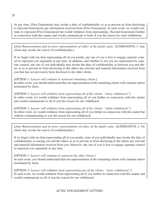At any time, [First Generation] may invoke a duty of confidentiality so as to prevent us from disclosing to [Second Generation] any information received from [First Generation]. In such event, we would continue to represent [First Generation] but would withdraw from representing [Second Generation] further in connection with this matter and would communicate to both of you the reason for such withdrawal.

[*Joint Representation and no prior representation of either of the family units.* ALTERNATIVE 1: Any client may revoke the waiver of confidentiality.]

If we begin with our firm representing all of you jointly, any one of you is free to engage separate counsel to represent you separately at any time. In addition, and whether or not you are represented by separate counsel, any one of you individually may invoke the duty of confidentiality as between you and others so as to prevent us from disclosing to the others any relevant and material information received from you that has not previously been disclosed to the other clients.

[OPTION 1: *Lawyer will continue to represent remaining clients*.] In either event, you should understand that our representation of the remaining clients will continue unless terminated by them.

[OPTION 2: *Lawyer will withdraw from representing all of the clients: "noisy withdrawal."*] In either event, we would withdraw from representing all of you further in connection with this matter and would communicate to all of you the reason for our withdrawal.

[OPTION 3: *Lawyer will withdraw from representing all of the clients: "silent withdrawal."*] In either event, we would withdraw from representing all of you further in connection with this matter but without communicating to you the reason for our withdrawal.

[*Joint Representation and no prior representation of either of the family units.* ALTERNATIVE 2: No client may revoke the waiver of confidentiality.]

If we begin with our firm representing all of you jointly, none of you individually may invoke the duty of confidentiality as among you and the others so as to prevent us from disclosing to the others any relevant and material information received from you. However, any one of you is free to engage separate counsel to represent you separately at any time.

[OPTION 1: *Lawyer will continue to represent the other clients*.]

In such event, you should understand that our representation of the remaining clients will continue unless terminated by them.

[OPTION 2: *Lawyer will withdraw from representing any of the clients: "noisy withdrawal."*] In such event, we would withdraw from representing all of you further in connection with this matter and would communicate to all of you the reason for our withdrawal.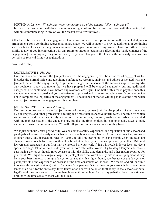[OPTION 3: *Lawyer will withdraw from representing all of the clients: "silent withdrawal."*] In such event, we would withdraw from representing all of you further in connection with this matter, but without communicating to any of you the reason for our withdrawal.

After the [subject matter of the engagement] has been completed, our representation will be concluded, unless arrangements for a continuing representation are made. We will be happy to provide additional or continuing services, but unless such arrangements are made and agreed upon in writing, we will have no further responsibility to any of you in connection with any future or ongoing legal issues affecting the [subject matter of the engagement], including any duty to notify any of you of changes in the laws or the necessity to make any periodic or renewal filings or registrations.

#### Fees and Billing

#### [ALTERNATIVE 1: *Flat Fee*]

Our fee in connection with the [subject matter of the engagement] will be a flat fee of  $\frac{1}{2}$ . This fee includes the normal office and telephone conferences, research, analysis, and advice associated with the [subject matter of the engagement]. Significant changes in the scope of the services required or significant revisions to any documents that we have prepared will be charged separately, but any additional charges will be explained to you before any revisions are begun. One-half of this fee is payable once this engagement letter is signed and you authorize us to proceed and is not refundable, even if you later decide not to complete the [objective of the engagement]. The balance of the fee will be payable at the time when the [subject matter of the engagement] is complete.

#### [ALTERNATIVE 2: *Time-Based Billing*]

Our fee in connection with the [subject matter of the engagement] will be the product of the time spent by our lawyers and other professionals multiplied times their respective hourly rates. The time for which we are to be paid includes not only normal office conferences, research, analysis, and advice associated with the [subject matter of the engagement], but also the time involved in telephone calls, faxes, e-mail, and other forms of communication. We will bill you for our services on a monthly basis.

We adjust our hourly rates periodically. We consider the ability, experience, and reputation of our lawyers and paralegals when we set hourly rates. Changes are usually made each January 1, but sometimes they are made at other times. Any increase in rates will apply to all time beginning with the month when the rates are changed. Work done before that month will be billed at the hourly rate that was previously in effect. Different lawyers and paralegals in our firm may be involved in your work if that will result in lower fees, provide a specialized legal talent, or help us do your work more efficiently. We will try to assign lawyers and paralegals having the lowest hourly rates consistent with the skills, time demands, and other factors required for your work. We might not assign a lawyer or paralegal with the lowest hourly rate if, in our judgment, it may be in your best interests to assign a lawyer or paralegal with a higher hourly rate because of that lawyer's or paralegal's skill and experience or because of the time constraints of the work. We record and bill our time in one-tenth hour (six-minute) units. If a lawyer's or paralegal's total time on your work is less than threetenths of an hour for the entire day, three-tenths of an hour will be billed for that day. If the lawyer's or paralegal's total time on your work is more than three-tenths of an hour for that day (whether done at one time or not), only the time actually spent will be billed.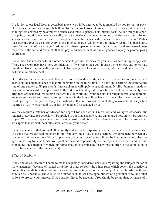In addition to our legal fees, as described above, we will be entitled to be reimbursed by you for out-of-pocket expenses that we pay on your behalf and for our internal costs. Out-of-pocket expenses include items such as filing fees charged by government agencies and travel expenses. Our internal costs include things like photocopying, long-distance telephone calls, fax transmissions, document scanning and electronic transmission, storage, and retrieval, courier services, computer research charges, and complex document production. Rather than tracking precise costs for every single internal charge (which would ultimately result in higher hourly rates for our clients), we charge fixed costs for these types of expenses. Our charges for these internal costs may exceed the actual direct costs that we pay to outsiders (such as the telephone company or photocopying contractors).

Sometimes it is necessary to hire other persons to provide services for you, such as accounting or appraisal firms. Their work may have more confidentiality if we (rather than you) request their services, and so we may hire them. However, you will be responsible for paying their fees and expenses, whether paid directly to them or to us in reimbursement.

Our bills are due when rendered. If a bill is not paid within 30 days after it is mailed to you, interest will accrue on the unpaid balance of that bill beginning on the thirty-first (31<sup>st</sup>) day and accruing thereafter at the rate of one percent (1%) per month. Interest charges will apply to specific monthly bills. Payments made on past-due accounts will be applied first to the oldest outstanding bill. If our bills are not paid reasonably soon after they are rendered, we reserve the right to stop work until your account is brought current and appropriate measures are taken to ensure prompt payment in the future. If we have to bring collection efforts for payment, you agree that you will pay the costs of collection procedures, including reasonable attorneys fees incurred by us (whether paid to our firm or another firm retained by us).

We may require a retainer or advance fee deposit for your work. Unless you and we agree otherwise, the retainer or advance fee deposit will be applied to our final statement, and any unused portion will be returned to you. We may also request an advance cost deposit (in addition to the retainer or advance fee deposit) when we expect that we will incur substantial costs on your behalf.

Each of you agrees that you will all be jointly and severally responsible for the payment of all amounts owed to us and that we can seek payment in full from any one of you at our election. Any agreement between any of you to limit your responsibility for payment of amounts owed to us will not be binding upon us unless we agree in writing to those limits. Your joint and several responsibility for the payment of our fees and expenses includes the situation in which our representation is terminated for any reason prior to the completion of the [subject matter of the engagement].

#### Effect of Disability

If any one of you becomes unable to make adequately-considered decisions regarding the [subject matter of the engagement] because of mental disability or other reasons, the ethics rules which govern the practice of law in this jurisdiction state that we may attempt to continue a normal attorney-client relationship with you as much as is possible. Those rules also authorize us to seek the appointment of a guardian or to take other actions to protect your interests if we consider that to be necessary. You should be aware that, by means of a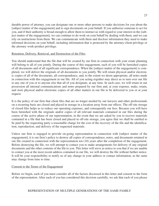durable power of attorney, you can designate one or more other persons to make decisions for you about the [subject matter of the engagement] and to sign documents on your behalf. If you authorize someone to act for you, and if their authority is broad enough to allow them to instruct us with regard to your interest in the [subject matter of the engagement], we can continue to do work on your behalf by dealing with them, and we can rely on instructions from them. We can communicate with them and disclose information they need to make informed decisions on your behalf, including information that is protected by the attorney-client privilege or the attorney work-product privilege.

#### Retention, Delivery, Retrieval, and Destruction of the Files

You should understand that the file that will be created by our firm in connection with your estate planning will belong to all of you jointly. During the course of this engagement, each of you will be furnished copies of all documents and of all significant correspondence. When the [subject matter of the engagement] is completed, we will deliver the originals of all documents to you jointly. We will retain physical and/or electronic copies of all of the documents, all correspondence, and, to the extent we deem appropriate, all notes made in connection with this engagement in our file. All of you acting together may direct us to turn over our file to any one of you or to anyone else that all of you designate, at any time. In such case, we will retain in our possession all internal communications and notes prepared by our firm and, at your expense, make, retain, and store physical and/or electronic copies of all other matters in our file to be delivered to you or at your request.

It is the policy of our firm that client files that are no longer needed by our lawyers and other professionals on a recurring basis are closed and placed in storage in a location away from our offices. The off-site storage of closed files helps us to reduce our operating expenses, and consequently our fees. Because you will have been furnished with the originals and/or copies of all relevant materials contained in our files during the course of the active phase of our representation, in the event that we are asked by you to recover materials contained in a file that has been closed and placed in off-site storage, you agree that we shall be entitled to be paid by the requesting party a reasonable charge for the cost of the recovery of the file and the identification, reproduction, and delivery of the requested materials.

Unless our firm is engaged to provide on-going representation in connection with [subject matter of the engagement], it is our firm's policy to destroy all copies of correspondence, notes, and documents retained in our file created in connection with the representation ten (10) years after the completion of the engagement. Before destroying the file, we will attempt to contact you to make arrangements for delivery of any original documents and the other contents of the file to you. This letter will serve as notice to you that if we are unable to contact you at the most recent address contained in our file, we will destroy the file without further notice. It will be your responsibility to notify us of any change in your address or contact information, as the same may change from time to time.

#### Consent to the Terms of the Engagement

Before we begin, each of you must consider all of the factors discussed in this letter and consent to the form of the representation. After each of you has considered this decision carefully, we ask that each of you please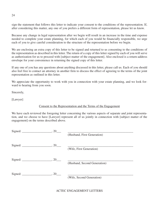sign the statement that follows this letter to indicate your consent to the conditions of the representation. If, after considering this matter, any one of you prefers a different form of representation, please let us know.

Because any change in legal representation after we begin will result in an increase in the time and expense needed to complete your estate planning, for which each of you would be financially responsible, we urge each of you to give careful consideration to the structure of the representation before we begin.

We are enclosing an extra copy of this letter to be signed and returned to us consenting to the conditions of the representation as described in this letter. The return of a copy of this letter signed by each of you will serve as authorization for us to proceed with [subject matter of the engagement]. Also enclosed is a return-address envelope for your convenience in returning the signed copy of this letter.

If any one of you has any questions about anything discussed in this letter, please call us. Each of you should also feel free to contact an attorney in another firm to discuss the effect of agreeing to the terms of the joint representation as outlined in this letter.

We appreciate the opportunity to work with you in connection with your estate planning, and we look forward to hearing from you soon.

Sincerely,

[Lawyer]

#### Consent to the Representation and the Terms of the Engagement

We have each reviewed the foregoing letter concerning the various aspects of separate and joint representation, and we choose to have [Lawyer] represent all of us jointly in connection with [subject matter of the engagement] on the terms described above.

|  | (Husband, First Generation)  |
|--|------------------------------|
|  | (Wife, First Generation)     |
|  | (Husband, Second Generation) |
|  | (Wife, Second Generation)    |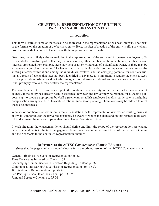#### **CHAPTER 3. REPRESENTATION OF MULTIPLE PARTIES IN A BUSINESS CONTEXT**

#### **Introduction**

This form illustrates some of the issues to be addressed in the representation of business interests. The focus of the form is on the creation of the business entity. Here, the fact of creation of the entity itself, a new client, poses an immediate conflict of interest with the organizers as individuals.

Over time, there is likely to be an evolution in the representation of the entity and its owners, employees, officers, and other involved parties that may include spouses, other members of the same family, or others whose interests are related. For example, there may be a death or withdrawal of a significant owner, or there may be a change in control of the entity. The lawyer must be particularly alert to the impact of the new entity, the shifting interests within it and among the individuals involved, and the emerging potential for conflicts arising as a result of events that have not been identified in advance. It is important to require the client to keep the lawyer continuously advised as to the emergence of intra-organizational and inter-personal conflicts that, if not promptly resolved, may destroy the representation.

The form letters in this section contemplate the creation of a new entity as the reason for the engagement of counsel. If the entity has already been in existence, however, the lawyer may be retained for a specific purpose, e.g., to prepare appropriate buy/sell agreements, establish employee benefits, participate in designing compensation arrangements, or to establish rational succession planning. These forms may be tailored to meet those circumstances.

Whether or not there is an evolution in the representation, or the representation involves an existing business entity, it is important for the lawyer to constantly be aware of who is the client and, in this respect, to be careful to document the relationships as they may change from time to time.

In each situation, the engagement letter should define and limit the scope of the representation. As change occurs, amendments to the initial engagement letter may have to be delivered to all of the parties in interest and their consents to the continued representation obtained.

#### **References to the** *ACTEC Commentaries* **(Fourth Edition):**

(Note that the page numbers shown below refer to the printed version of the *ACTEC Commentaries.*)

General Principles (re Scope of Representation), p. 32 Time Constraints Imposed by Client, p. 51 Encouraging Communication; Discretion Regarding Content, p. 56 Communications During Active Phase of Representation, pp. 56-57 Termination of Representation, pp. 57-58 Fee Paid by Person Other than Client, pp. 63, 69 Joint and Separate Clients, pp. 75-76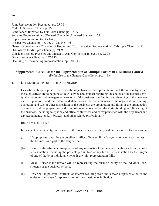26

Joint Representation Presumed, pp. 75-76 Multiple Separate Clients, p. 76 Confidences Imparted by One Joint Client, pp. 76-77 Separate Representation of Related Clients in Unrelated Matters, p. 77 Implied Authorization to Disclose, p. 78 Prospective Clients, pp. 75, 76, 91-92, 145-146 General Nonadversary Character of Estates and Trusts Practice; Representation of Multiple Clients, p. 91 Disclosures to Multiple Clients, pp. 91-93 Consider Possible Presence and Impact of Any Conflicts of Interest, pp. 92-93 Organization as Client, pp. 127-130 Declining or Terminating Representation, pp. 140-143

## **Supplemental Checklist for the Representation of Multiple Parties in a Business Context**

(Refer also to the General Checklist on pp. 4-8.)

1. DEFINE THE SCOPE OF THE REPRESENTATION.

Describe with appropriate specificity the objectives of the representation and the means by which those objectives are to be pursued (e.g., advice and counsel regarding the choice of the business entity; the corporate and management structure of the business; the funding and financing of the business and its operations, and the federal and state income tax consequences of the organization; funding, operation, and sale or other disposition of the business; the preparation and filing of the organization documents; and the preparation and filing of documents to effect the initial funding and financing of the business, including telephone and office conferences and correspondence with the organizers and any accountants, lenders, brokers, and other related professionals).

2. IDENTIFY THE CLIENT.

Is the client the new entity, one or more of the organizers, or the entity and one or more of the organizers?

- (a) If appropriate, describe the possible conflict of interest if the lawyer is to receive an interest in the business as a part of the lawyer's fee.
- (b) Describe the adverse consequences of any necessity of the lawyer to withdraw from the joint representation, including the possible prohibition of any further representation by the lawyer of any of the joint individual clients if the joint representation fails.
- (c) Make it clear if the lawyer will be representing the business entity or the individual constituents of the business or both.
- (d) Describe the potential conflicts of interest resulting from the lawyer's representation of the entity or the lawyer's representation of the constituents individually.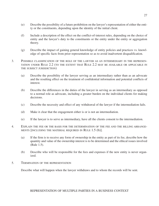- (e) Describe the possibility of a future prohibition on the lawyer's representation of either the entity or the constituents, depending upon the identity of the initial client.
- (f) Include a description of the effect on the conflict-of-interest rules, depending on the choice of entity and the lawyer's duty to the constituents or the entity under the entity or aggregation theory.
- (g) Describe the impact of gaining general knowledge of entity policies and practices vs. knowledge of specific facts from prior representation so as to avoid inadvertent disqualification.
- 3. POSSIBLE CLASSIFICATION OF THE ROLE OF THE LAWYER AS AN INTERMEDIARY IN THE REPRESEN-TATION UNDER RULE 2.2 (TO THE EXTENT THAT RULE 2.2 MAY BE AVAILABLE OR APPLICABLE IN THE SUBJECT JURISDICTION)
	- (a) Describe the possibility of the lawyer serving as an intermediary rather than as an advocate and the resulting effect on the treatment of confidential information and potential conflicts of interest.
	- (b) Describe the differences in the duties of the lawyer in serving as an intermediary as opposed to a normal role as advocate, including a greater burden on the individual clients for making decisions.
	- (c) Describe the necessity and effect of any withdrawal of the lawyer if the intermediation fails.
	- (d) Make it clear that the engagement either is or is not an intermediation.
	- (e) If the lawyer is to serve as intermediary, have all the clients consent to the intermediation.
- 4. EXPLAIN THE FEE OR THE BASIS FOR THE DETERMINATION OF THE FEE AND THE BILLING ARRANGE-MENTS  $[INCLUDING THE MATERIAL REQUIRED IN RULE 1.5 (b)].$ 
	- (a) If the firm is to receive any form of ownership in the entity as part of its fee, describe how the quantity and value of the ownership interest is to be determined and the ethical issues involved (Rule 1.5).
	- (b) Describe who will be responsible for the fees and expenses if the new entity is never organized.
- 5. TERMINATION OF THE REPRESENTATION

Describe what will happen when the lawyer withdraws and to whom the records will be sent.

#### REPRESENTATION OF MULTIPLE PARTIES IN A BUSINESS CONTEXT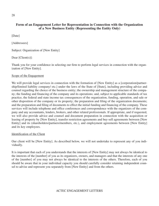#### **Form of an Engagement Letter for Representation in Connection with the Organization of a New Business Entity (Representing the Entity Only)**

[Date]

[Addressees]

Subject: Organization of [New Entity]

Dear [Client(s)]:

Thank you for your confidence in selecting our firm to perform legal services in connection with the organization of [New Entity].

#### Scope of the Engagement

We will provide legal services in connection with the formation of [New Entity] as a [corporation/partnership/limited liability company/ etc.] under the laws of the State of [State], including providing advice and counsel regarding the choice of the business entity; the ownership and management structure of the company; the funding and financing of the company and its operations; and, subject to applicable standards of tax practice, the federal and state income tax consequences of the organization, funding, operation, and sale or other disposition of the company or its property; the preparation and filing of the organization documents; and the preparation and filing of documents to effect the initial funding and financing of the company. These services will include telephone and office conferences and correspondence with the organizers of the company and any accountants, lenders, brokers, and other related professionals. If appropriate, and if requested, we will also provide advice and counsel and document preparation in connection with the acquisition or leasing of property by [New Entity], transfer restriction agreements and buy-sell agreements between [New Entity] and its (shareholders/partners/members, etc.), and employment agreements between [New Entity] and its key employees.

#### Identification of the Client

Our client will be [New Entity]. As described below, we will not undertake to represent any of you individually.

It is important that each of you understands that the interests of [New Entity] may not always be identical to the interests of the [number] of you as its organizers, owners, and managers and that the interests of any one of the [number] of you may not always be identical to the interests of the others. Therefore, each of you should be aware that in your individual capacity you should carefully consider retaining independent counsel to advise and represent you separately from [New Entity] and from the others.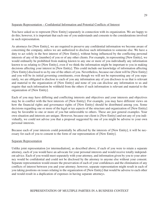#### Separate Representation – Confidential Information and Potential Conflicts of Interest

You have asked us to represent [New Entity] separately in connection with its organization. We are happy to do this; however, it is important that each one of you understands and consents to the considerations involved in such representation.

As attorneys for [New Entity], we are required to preserve any confidential information we become aware of concerning the company, unless we are authorized to disclose such information to someone else. We have a duty to act solely in the best interest of [New Entity], without being influenced by the conflicting personal interests of any of the [number] of you or of any other clients. For example, in representing [New Entity], we would ordinarily be prohibited from making known to any one or more of you individually any information known to us relating to [New Entity], even if we think the information might be important to you in making decisions affecting your interest in [New Entity]. This could include our knowledge of information affecting [New Entity] disclosed to us by one of the others of you. Nevertheless, because our client will be [New Entity] and you will be its initial governing constituents, even though we will not be representing any of you separately, we are obligated to disclose to each of you any information any of you discloses to us that is relevant and material to the organization of [New Entity] and none of you can disclose any information to us and require that such information be withheld from the others if such information is relevant and material to the organization of [New Entity].

Each of you may have differing and conflicting interests and objectives and your interests and objectives may be in conflict with the best interests of [New Entity]. For example, you may have different views on how the financial rights and governance rights of [New Entity] should be distributed among you. Some decisions regarding one or more of the legal or tax aspects of the structure and organization of [New Entity] may be favorable to one or more of you but unfavorable to others. These are just general examples. Your own situation and interests are unique. However, because our client is [New Entity] and not any of you individually, we could not advise you that a proposal suggested by one of you might be adverse to your own personal interests.

Because each of your interests could potentially be affected by the interests of [New Entity], it will be necessary for each of you to consent to the form of our representation of [New Entity].

#### Separate Representation

Unlike joint representation [or intermediation], as described above, if each of you were to retain a separate attorney, each of you would have an advocate for your personal interests and would receive totally independent advice. Each of you would meet separately with your attorney, and information given by you to your attorney would be confidential and could not be disclosed by the attorney to anyone else without your consent. Separate representation would ensure the preservation of each of your confidences and the elimination of any conflicts of interest between you and your attorney; however, separate representation might result in each of you taking positions on issues relating to the organization of [New Entity] that would be adverse to each other and would result in a duplication of expenses in having separate attorneys.

29

#### REPRESENTATION OF MULTIPLE PARTIES IN A BUSINESS CONTEXT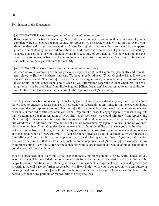#### Termination of the Engagement

#### [ALTERNATIVE 1: *No prior representation of any of the organizers.*]

If we begin with our firm representing [New Entity] and not any of you individually, any one of you is completely free to engage separate counsel to represent you separately at any time. In that event, you should understand that our representation of [New Entity] will continue unless terminated by the appropriate action of its duly authorized constituents. In addition, and whether or not you are represented by separate counsel, none of you individually can invoke a duty of confidentiality as between you and the others so as to prevent us from disclosing to the others any information received from you that is relevant and material to the organization of [New Entity].

#### [ALTERNATIVE 2: *Prior representation of one of the organizers.*]

As each of you is aware, our firm has previously represented [Client-Organizer] personally and in matters related to [his/her] business interests. We have already advised [Client-Organizer] that if we are engaged to represent [New Entity] in connection with its organization, we may be required to disclose to [New Entity] and its constituents and to each of you information regarding [Client-Organizer] that we might otherwise be prohibited from disclosing; and [Client-Organizer] has consented to any such disclosure to the extent it is relevant and material to the organization of [New Entity].

If we begin with our firm representing [New Entity] and not any of you individually, any one of you is completely free to engage separate counsel to represent you separately at any time. In that event, you should understand that our representation of [New Entity] will continue unless terminated by the appropriate action of its duly authorized constituents or unless [Client-Organizer] chooses to engage separate counsel or requests that we terminate our representation of [New Entity]. In such case, we would withdraw from representing [New Entity] further in connection with its organization and would communicate to all of you the reason for our withdrawal. In addition, and whether or not you are represented by separate counsel, none of you individually, other than [Client-Organizer], can invoke a duty of confidentiality as between you and the others so as to prevent us from disclosing to the others any information received from you that is relevant and material to the organization of [New Entity]. If [Client-Organizer] invokes a duty of confidentiality with respect to [himself/herself] and our firm so as to prevent us from disclosing to the others of you any information received from [him/her] that is relevant and material to the organization of [New Entity], we would withdraw from representing [New Entity] further in connection with its organization and would communicate to all of you the reason for our withdrawal.

When the organization of [New Entity] has been completed, our representation of [New Entity] and all of you as organizers will be concluded, unless arrangements for a continuing representation are made. We will be happy to provide additional or continuing services, but unless such arrangements are made and agreed upon in writing, we will have no further responsibility to [New Entity] or to you in connection with any future or ongoing legal issues affecting [New Entity], including any duty to notify you of changes in the laws or the necessity to make any periodic or renewal filings or registrations.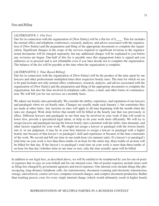#### Fees and Billing

## [ALTERNATIVE 1: *Flat Fee*]

Our fee in connection with the organization of [New Entity] will be a flat fee of  $\$\$  This fee includes the normal office and telephone conferences, research, analysis, and advice associated with the organization of [New Entity] and the preparation and filing of the appropriate documents to complete the organization. Significant changes in the scope of the services required or significant revisions to the organizational documents will be charged separately, but any additional charges will be explained to you before any revisions are begun. One-half of this fee is payable once this engagement letter is signed and you authorize us to proceed and is not refundable even if you later decide not to complete the organization. The balance of the fee will be payable at the time when the organization is complete.

## [ALTERNATIVE 2: *Time-Based Billing*]

Our fee in connection with the organization of [New Entity] will be the product of the time spent by our lawyers and other professionals multiplied times their respective hourly rates. The time for which we are to be paid includes not only normal office conferences, research, analysis, and advice associated with the organization of [New Entity] and the preparation and filing of the appropriate documents to complete the organization, but also the time involved in telephone calls, faxes, e-mail, and other forms of communication. We will bill you for our services on a monthly basis.

We adjust our hourly rates periodically. We consider the ability, experience, and reputation of our lawyers and paralegals when we set hourly rates. Changes are usually made each January 1, but sometimes they are made at other times. Any increase in rates will apply to all time beginning with the month when the rates are changed. Work done before that month will be billed at the hourly rate that was previously in effect. Different lawyers and paralegals in our firm may be involved in your work if that will result in lower fees, provide a specialized legal talent, or help us do your work more efficiently. We will try to assign lawyers and paralegals having the lowest hourly rates consistent with the skills, time demands, and other factors required for your work. We might not assign a lawyer or paralegal with the lowest hourly rate if, in our judgment, it may be in your best interests to assign a lawyer or paralegal with a higher hourly rate because of that lawyer's or paralegal's skill and experience or because of the time constraints of the work. We record and bill our time in one-tenth hour (six-minute) units. If a lawyer's or paralegal's total time on your work is less than three-tenths of an hour for the entire day, three-tenths of an hour will be billed for that day. If the lawyer's or paralegal's total time on your work is more than three-tenths of an hour for that day (whether done at one time or not), only the time actually spent will be billed.

In addition to our legal fees, as described above, we will be entitled to be reimbursed by you for out-of-pocket expenses that we pay on your behalf and for our internal costs. Out-of-pocket expenses include items such as filing fees charged by government agencies and travel expenses. Our internal costs include things like photocopying, long-distance telephone calls, fax transmissions, document scanning and electronic transmission, storage, and retrieval, courier services, computer research charges, and complex document production. Rather than tracking precise costs for every single internal charge (which would ultimately result in higher hourly

## REPRESENTATION OF MULTIPLE PARTIES IN A BUSINESS CONTEXT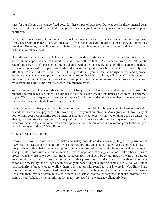rates for our clients), we charge fixed costs for these types of expenses. Our charges for these internal costs may exceed the actual direct costs that we pay to outsiders (such as the telephone company or photocopying contractors).

Sometimes it is necessary to hire other persons to provide services for you, such as accounting or appraisal firms. Their work may have more confidentiality if we (rather than you) request their services, and so we may hire them. However, you will be responsible for paying their fees and expenses, whether paid directly to them or to us in reimbursement.

Our bills are due when rendered. If a bill is not paid within 30 days after it is mailed to you, interest will accrue on the unpaid balance of that bill beginning on the thirty-first (31<sup>st</sup>) day and accruing thereafter at the rate of one percent (1%) per month. Interest charges will apply to specific monthly bills. Payments made on past-due accounts will be applied first to the oldest outstanding bill. If our bills are not paid reasonably soon after they are rendered, we reserve the right to stop work until your account is brought current and appropriate steps are taken to ensure prompt payment in the future. If we have to bring collection efforts for payment, you agree that you will pay the costs of collection procedures, including reasonable attorneys fees incurred by us (whether paid to our firm or another firm retained by us).

We may require a retainer or advance fee deposit for your work. Unless you and we agree otherwise, the retainer or advance fee deposit will be applied to our final statement, and any unused portion will be returned to you. We may also request an advance cost deposit (in addition to the advance fee deposit) when we expect that we will incur substantial costs on your behalf.

Each of you agrees that you will be jointly and severally responsible for the payment of all amounts owed to us and that we can seek payment in full from any one of you at our election. Any agreement between any of you to limit your responsibility for payment of amounts owed to us will not be binding upon us unless we also agree in writing to those limits. Your joint and several responsibility for the payment of our fees and expenses includes the situation in which our representation is terminated for any reason prior to the completion of the organization of [New Entity].

## Effect of Death or Disability

If any one of you becomes unable to make adequately-considered decisions regarding the organization of [New Entity] because of mental disability or other reasons, the ethics rules that govern the practice of law in this jurisdiction state that we may attempt to continue a normal attorney-client relationship with you as much as is possible. Those rules also authorize us to seek the appointment of a guardian or to take other actions to protect your interests if we consider that to be necessary. You should be aware that, by means of a durable power of attorney, you can designate one or more other persons to make decisions for you about the organization of [New Entity] and to sign documents on your behalf. If you authorize someone to act for you, and if their authority is broad enough to allow them to instruct us with regard to your interest in [New Entity] and its organization, we can continue to do work on your behalf by dealing with them, and we can rely on instructions from them. We can communicate with them and disclose information they need to make informed decisions on your behalf, including information that is protected by the attorney-client privilege.

## ACTEC ENGAGEMENT LETTERS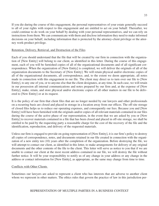If you die during the course of this engagement, the personal representatives of your estate generally succeed to all of your rights with respect to this engagement and are entitled to act on your behalf. Thereafter, we could continue to do work on your behalf by dealing with your personal representatives, and we can rely on instructions from them. We can communicate with them and disclose information they need to make informed decisions on your behalf, including information that is protected by the attorney-client privilege or the attorney work-product privilege.

### Retention, Delivery, Retrieval, and Destruction of the Files

Each of you should understand that the file that will be created by our firm in connection with the organization of [New Entity] will belong to our client, as identified in this letter. During the course of this engagement, each of you will be furnished copies of all of the organizational documents and of all significant correspondence. When the organization of [New Entity] is completed, we will deliver the originals of all of the organization documents to the Secretary of [New Entity]. We will retain physical and/or electronic copies of all of the organizational documents, all correspondence, and, to the extent we deem appropriate, all notes made in connection with this engagement in our file. The client may direct us to turn over our file to [New Entity], to any one of you, or to anyone else that the client designates, at any time. In such case, we will retain in our possession all internal communications and notes prepared by our firm and, at the expense of [New Entity], make, retain, and store physical and/or electronic copies of all other matters in our file to be delivered to [New Entity] or at its request.

It is the policy of our firm that client files that are no longer needed by our lawyers and other professionals on a recurring basis are closed and placed in storage in a location away from our offices. The off-site storage of closed files helps us to reduce our operating expenses, and consequently our fees. Because you and [New Entity] will have been furnished with the originals and/or copies of all relevant materials contained in our files during the course of the active phase of our representation, in the event that we are asked by you or [New Entity] to recover materials contained in a file that has been closed and placed in off-site storage, we shall be entitled to be paid by the requesting party a reasonable charge for the cost of the recovery of the file and the identification, reproduction, and delivery of the requested materials.

Unless our firm is engaged to provide on-going representation of [New Entity], it is our firm's policy to destroy all copies of correspondence, notes, and documents retained in our file created in connection with the organization of a new entity ten (10) years after the completion of the organization. Before destroying the file, we will attempt to contact our client, as identified in this letter, to make arrangements for delivery of any original documents and the other contents of the file to the client. This letter will serve as notice to you that if we are unable to contact our client at the most recent address contained in our file, we will destroy the file without further notice. It will be your responsibility to notify us of any change in your address or any change in the address or contact information for [New Entity], as appropriate, as the same may change from time to time.

## Conflicts with Other Clients

Sometimes our lawyers are asked to represent a client who has interests that are adverse to another client whom we represent in other matters. The ethics rules that govern the practice of law in this jurisdiction per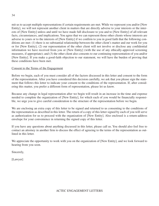mit us to accept multiple representations if certain requirements are met. While we represent you and/or [New Entity], we will not represent another client in matters that are directly adverse to your interests or the interests of [New Entity] unless and until we have made full disclosure to you and to [New Entity] of all relevant facts, circumstances, and implications. You agree that we can represent those other clients whose interests are adverse to yours or to the interests of [New Entity] if we confirm to you in good faith that the following conditions are met: (1) there is no substantial relationship between the other client's matter and our work for you or for [New Entity]; (2) our representation of the other client will not involve or disclose any confidential information we have received from you or [New Entity] (with the use of any ethically-approved screening measures, if appropriate); and (3) the other client also consents to our continuing representation of you and/or [New Entity]. If you make a good-faith objection to our statement, we will have the burden of proving that these conditions have been met.

## Consent to the Terms of the Engagement

Before we begin, each of you must consider all of the factors discussed in this letter and consent to the form of the representation. After you have considered this decision carefully, we ask that you please sign the statement that follows this letter to indicate your consent to the conditions of the representation. If, after considering this matter, you prefer a different form of representation, please let us know.

Because any change in legal representation after we begin will result in an increase in the time and expense needed to complete the organization of [New Entity], for which each of you would be financially responsible, we urge you to give careful consideration to the structure of the representation before we begin.

We are enclosing an extra copy of this letter to be signed and returned to us consenting to the conditions of the representation as described in this letter. The return of a copy of this letter signed by each of you will serve as authorization for us to proceed with the organization of [New Entity]. Also enclosed is a return-address envelope for your convenience in returning the signed copy of this letter.

If you have any questions about anything discussed in this letter, please call us. You should also feel free to contact an attorney in another firm to discuss the effect of agreeing to the terms of the representation as outlined in this letter.

We appreciate the opportunity to work with you on the organization of [New Entity], and we look forward to hearing from you soon.

Sincerely,

[Lawyer]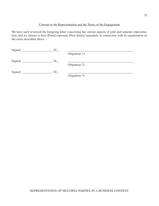## Consent to the Representation and the Terms of the Engagement

We have each reviewed the foregoing letter concerning the various aspects of joint and separate representation, and we choose to have [Firm] represent [New Entity] separately in connection with its organization on the terms described above.

| Signed:        | 20 | (Organizer 1) |
|----------------|----|---------------|
|                | 20 | (Organizer 2) |
| Signed: $\_\_$ | 20 | (Organizer 3) |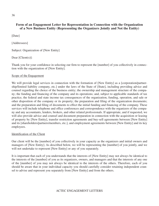# **Form of an Engagement Letter for Representation in Connection with the Organization of a New Business Entity (Representing the Organizers Jointly and Not the Entity)**

[Date]

[Addressees]

Subject: Organization of [New Entity]

Dear [Client(s)]:

Thank you for your confidence in selecting our firm to represent the [number] of you collectively in connection with the organization of [New Entity].

## Scope of the Engagement

We will provide legal services in connection with the formation of [New Entity] as a [corporation/partnership/limited liability company, etc.] under the laws of the State of [State], including providing advice and counsel regarding the choice of the business entity; the ownership and management structure of the company; the funding and financing of the company and its operations; and, subject to applicable standards of tax practice, the federal and state income tax consequences of the organization, funding, operation, and sale or other disposition of the company or its property; the preparation and filing of the organization documents; and the preparation and filing of documents to effect the initial funding and financing of the company. These services will include telephone and office conferences and correspondence with the organizers of the company and any accountants, lenders, brokers, and other related professionals. If appropriate, and if requested, we will also provide advice and counsel and document preparation in connection with the acquisition or leasing of property by [New Entity], transfer restriction agreements and buy-sell agreements between [New Entity] and its [shareholders/partners/members, etc.], and employment agreements between [New Entity] and its key employees.

## Identification of the Client

Our client will be the [number] of you collectively in your capacity as the organizers and initial owners and managers of [New Entity]. As described below, we will be representing the [number] of you jointly, and we will not undertake to represent [New Entity] or any of you separately.

It is important that each of you understands that the interests of [New Entity] may not always be identical to the interests of the [number] of you as its organizers, owners, and managers and that the interests of any one of the [number] of you may not always be identical to the interests of the others. Therefore, each of you should be aware that in your individual capacity you should carefully consider retaining independent counsel to advise and represent you separately from [New Entity] and from the others.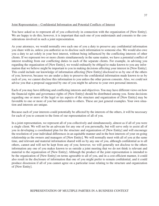## Joint Representation – Confidential Information and Potential Conflicts of Interest

You have asked us to represent all of you collectively in connection with the organization of [New Entity]. We are happy to do this; however, it is important that each one of you understands and consents to the considerations involved in such a joint representation.

As your attorneys, we would normally owe each one of you a duty to preserve any confidential information you share with us, unless you authorize us to disclose such information to someone else. We would also owe you a duty to act solely in your best interest, without being influenced by the conflicting interests of other clients. If we represent two or more clients simultaneously in the same matter, we have a potential conflict of interest resulting from our conflicting duties to each of the separate clients. For example, in advising you regarding the organization of [New Entity], we would ordinarily be obliged to make known to you any information that we believe might be important to you in making decisions affecting your interest in [New Entity]. This could include our knowledge of information affecting [New Entity] disclosed to us by one of the others of you; however, because we are under a duty to preserve the confidential information made known to us by each of you, we cannot disclose this information to you unless the other person consents. Also, we could not advise you that a proposal suggested by one of you might be adverse to your own personal interests.

Each of you may have differing and conflicting interests and objectives. You may have different views on how the financial rights and governance rights of [New Entity] should be distributed among you. Some decisions regarding one or more of the legal or tax aspects of the structure and organization of [New Entity] may be favorable to one or more of you but unfavorable to others. These are just general examples. Your own situation and interests are unique.

Because each of your interests could potentially be affected by the interests of the others, it will be necessary for each of you to consent to the form of our representation of all of you.

In a joint representation, we represent all of you collectively and simultaneously, almost as if all of you were a single client. We will not be an advocate for any one of you personally, but will serve only to assist all of you in developing a coordinated plan for the structure and organization of [New Entity] and will encourage the resolution of your individual differences in an equitable manner and in the best interests of your on-going relationship as the owners and managers of [New Entity]. We will normally meet with all of you at the same time, and relevant and material information shared with us by any one of you, although confidential as to all others, cannot and will not be kept from any of you; however, we will generally not disclose to the others information any one of you makes known to us outside a joint meeting that we do not think is relevant and material to the organization of [New Entity]. Although the product of the joint representation is intended to be the organization of [New Entity] on terms agreeable to all of you, and in a cost-efficient manner, it could also result in the disclosure of information that one of you might prefer to remain confidential, and it could produce dissension if all of you cannot agree on a particular issue relating to the structure and organization of [New Entity].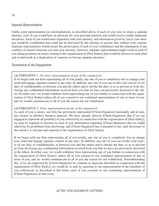### Separate Representation

Unlike joint representation [or intermediation], as described above, if each of you were to retain a separate attorney, each of you would have an advocate for your personal interests and would receive totally independent advice. Each of you would meet separately with your attorney, and information given by you to your attorney would be confidential and could not be disclosed by the attorney to anyone else without your consent. Separate representation would ensure the preservation of each of your confidences and the elimination of any conflicts of interest between you and your attorney; however, separate representation might result in each of you taking positions on issues relating to the organization of [New Entity] that would be adverse to each other and would result in a duplication of expenses in having separate attorneys.

## Termination of the Engagement

# [ALTERNATIVE 1: *No prior representation of any of the organizers*]

If we begin with our firm representing all of you jointly, any one of you is completely free to change your mind and engage separate counsel at any time. In addition, any one of you can revoke your waiver of our duty of confidentiality as between you and the others and re-invoke the duty so as to prevent us from disclosing any confidential information received from you that we have not previously disclosed to the others. In either case, we would withdraw from representing any of you further in connection with the organization of [New Entity] unless all of you consent to our continued representation of one or more of you, and we would communicate to all of you the reason for our withdrawal.

## [ALTERNATIVE 2: *Prior representation of one of the organizers*]

As each of you is aware, our firm has previously represented [Client-Organizer] personally and in matters related to [his/her] business interests. We have already advised [Client-Organizer] that if we are engaged to represent all [number] of you collectively in connection with the organization of [New Entity], we may be required to disclose to each of you information regarding [Client-Organizer] that we might otherwise be prohibited from disclosing; and [Client-Organizer] has consented to any such disclosure to the extent it is relevant and material to the organization of [New Entity].

If we begin with our firm representing all of you jointly, any one of you is completely free to change your mind and engage separate counsel at any time. In addition, any one of you can revoke your waiver of our duty of confidentiality as between you and the others and re-invoke the duty so as to prevent us from disclosing any confidential information received from you that we have not previously disclosed to the others. In either case, we would withdraw from representing any of you further in connection with the organization of [New Entity], unless all of you consent to our continued representation of one or more of you, and we would communicate to all of you the reason for our withdrawal. Notwithstanding this, if we are requested by [Client-Organizer] to continue to represent [him/her] in connection with the organization of [New Entity], we would do so and, by agreeing to our representation of the [number] of you collectively as described in this letter, each of you consents to our continuing representation of [Client-Organizer] in that event.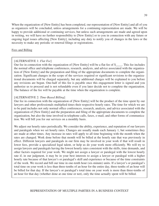When the organization of [New Entity] has been completed, our representation of [New Entity] and all of you as organizers will be concluded, unless arrangements for a continuing representation are made. We will be happy to provide additional or continuing services, but unless such arrangements are made and agreed upon in writing, we will have no further responsibility to [New Entity] or to you in connection with any future or ongoing legal issues affecting [New Entity], including any duty to notify you of changes in the laws or the necessity to make any periodic or renewal filings or registrations.

#### Fees and Billing

## [ALTERNATIVE 1: *Flat Fee*]

Our fee in connection with the organization of [New Entity] will be a flat fee of \$\_\_\_\_. This fee includes the normal office and telephone conferences, research, analysis, and advice associated with the organization of [New Entity] and the preparation and filing of the appropriate documents to complete the organization. Significant changes in the scope of the services required or significant revisions to the organizational documents will be charged separately, but any additional charges will be explained to you before any revisions are begun. One-half of this fee is payable once this engagement letter is signed and you authorize us to proceed and is not refundable even if you later decide not to complete the organization. The balance of the fee will be payable at the time when the organization is complete.

## [ALTERNATIVE 2: *Time-Based Billing*]

Our fee in connection with the organization of [New Entity] will be the product of the time spent by our lawyers and other professionals multiplied times their respective hourly rates. The time for which we are to be paid includes not only normal office conferences, research, analysis, and advice associated with the organization of [New Entity] and the preparation and filing of the appropriate documents to complete the organization, but also the time involved in telephone calls, faxes, e-mail, and other forms of communication. We will bill you for our services on a monthly basis.

We adjust our hourly rates periodically. We consider the ability, experience, and reputation of our lawyers and paralegals when we set hourly rates. Changes are usually made each January 1, but sometimes they are made at other times. Any increase in rates will apply to all time beginning with the month when the rates are changed. Work done before that month will be billed at the hourly rate that was previously in effect. Different lawyers and paralegals in our firm may be involved in your work if that will result in lower fees, provide a specialized legal talent, or help us do your work more efficiently. We will try to assign lawyers and paralegals having the lowest hourly rates consistent with the skills, time demands, and other factors required for your work. We might not assign a lawyer or paralegal with the lowest hourly rate if, in our judgment, it may be in your best interests to assign a lawyer or paralegal with a higher hourly rate because of that lawyer's or paralegal's skill and experience or because of the time constraints of the work. We record and bill our time in one-tenth hour (six-minute) units. If a lawyer's or paralegal's total time on your work is less than three-tenths of an hour for the entire day, three-tenths of an hour will be billed for that day. If the lawyer's or paralegal's total time on your work is more than three-tenths of an hour for that day (whether done at one time or not), only the time actually spent will be billed.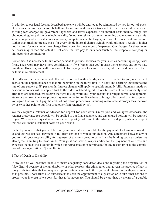In addition to our legal fees, as described above, we will be entitled to be reimbursed by you for out-of-pocket expenses that we pay on your behalf and for our internal costs. Out-of-pocket expenses include items such as filing fees charged by government agencies and travel expenses. Our internal costs include things like photocopying, long-distance telephone calls, fax transmissions, document scanning and electronic transmission, storage, and retrieval, courier services, computer research charges, and complex document production. Rather than tracking precise costs for every single internal charge (which would ultimately result in higher hourly rates for our clients), we charge fixed costs for these types of expenses. Our charges for these internal costs may exceed the actual direct costs that we pay to outsiders (such as the telephone company or photocopying contractors).

Sometimes it is necessary to hire other persons to provide services for you, such as accounting or appraisal firms. Their work may have more confidentiality if we (rather than you) request their services, and so we may hire them. However, you will be responsible for paying their fees and expenses, whether paid directly to them or to us in reimbursement.

Our bills are due when rendered. If a bill is not paid within 30 days after it is mailed to you, interest will accrue on the unpaid balance of that bill beginning on the thirty-first (31<sup>st</sup>) day and accruing thereafter at the rate of one percent (1%) per month. Interest charges will apply to specific monthly bills. Payments made on past-due accounts will be applied first to the oldest outstanding bill. If our bills are not paid reasonably soon after they are rendered, we reserve the right to stop work until your account is brought current and appropriate steps are taken to ensure prompt payment in the future. If we have to bring collection efforts for payment, you agree that you will pay the costs of collection procedures, including reasonable attorneys fees incurred by us (whether paid to our firm or another firm retained by us).

We may require a retainer or advance fee deposit for your work. Unless you and we agree otherwise, the retainer or advance fee deposit will be applied to our final statement, and any unused portion will be returned to you. We may also request an advance cost deposit (in addition to the advance fee deposit) when we expect that we will incur substantial costs on your behalf.

Each of you agrees that you will be jointly and severally responsible for the payment of all amounts owed to us and that we can seek payment in full from any one of you at our election. Any agreement between any of you to limit your responsibility for payment of amounts owed to us will not be binding upon us unless we also agree in writing to those limits. Your joint and several responsibility for the payment of our fees and expenses includes the situation in which our representation is terminated for any reason prior to the completion of the organization of [New Entity].

## Effect of Death or Disability

If any one of you becomes unable to make adequately-considered decisions regarding the organization of [New Entity] because of mental disability or other reasons, the ethics rules that govern the practice of law in this jurisdiction state that we may attempt to continue a normal attorney-client relationship with you as much as is possible. Those rules also authorize us to seek the appointment of a guardian or to take other actions to protect your interests if we consider that to be necessary. You should be aware that, by means of a durable

## ACTEC ENGAGEMENT LETTERS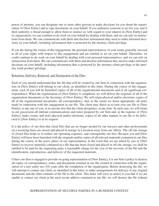power of attorney, you can designate one or more other persons to make decisions for you about the organization of [New Entity] and to sign documents on your behalf. If you authorize someone to act for you, and if their authority is broad enough to allow them to instruct us with regard to your interest in [New Entity] and its organization, we can continue to do work on your behalf by dealing with them, and we can rely on instructions from them. We can communicate with them and disclose information they need to make informed decisions on your behalf, including information that is protected by the attorney-client privilege.

If you die during the course of this engagement, the personal representatives of your estate generally succeed to all of your rights with respect to this engagement and are entitled to act on your behalf. Thereafter, we could continue to do work on your behalf by dealing with your personal representatives, and we can rely on instructions from them. We can communicate with them and disclose information they need to make informed decisions on your behalf, including information that is protected by the attorney-client privilege or the attorney work-product privilege.

### Retention, Delivery, Retrieval, and Destruction of the Files

Each of you should understand that the file that will be created by our firm in connection with the organization of [New Entity] will belong to our client, as identified in this letter. During the course of this engagement, each of you will be furnished copies of all of the organizational documents and of all significant correspondence. When the organization of [New Entity] is completed, we will deliver the originals of all of the organization documents to the Secretary of [New Entity]. We will retain physical and/or electronic copies of all of the organizational documents, all correspondence, and, to the extent we deem appropriate, all notes made in connection with this engagement in our file. The client may direct us to turn over our file to [New Entity], to any one of you, or to anyone else that the client designates, at any time. In such case, we will retain in our possession all internal communications and notes prepared by our firm and, at the expense of [New Entity], make, retain, and store physical and/or electronic copies of all other matters in our file to be delivered to [New Entity] or at its request.

It is the policy of our firm that client files that are no longer needed by our lawyers and other professionals on a recurring basis are closed and placed in storage in a location away from our offices. The off-site storage of closed files helps us to reduce our operating expenses, and consequently our fees. Because you and [New Entity] will have been furnished with the originals and/or copies of all relevant materials contained in our files during the course of the active phase of our representation, in the event that we are asked by you or [New Entity] to recover materials contained in a file that has been closed and placed in off-site storage, we shall be entitled to be paid by the requesting party a reasonable charge for the cost of the recovery of the file and the identification, reproduction, and delivery of the requested materials.

Unless our firm is engaged to provide on-going representation of [New Entity], it is our firm's policy to destroy all copies of correspondence, notes, and documents retained in our file created in connection with the organization of a new entity ten (10) years after the completion of the organization. Before destroying the file, we will attempt to contact our client, as identified in this letter, to make arrangements for delivery of any original documents and the other contents of the file to the client. This letter will serve as notice to you that if we are unable to contact our client at the most recent address contained in our file, we will destroy the file without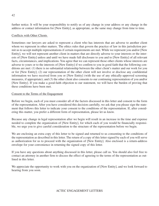further notice. It will be your responsibility to notify us of any change in your address or any change in the address or contact information for [New Entity], as appropriate, as the same may change from time to time.

### Conflicts with Other Clients

Sometimes our lawyers are asked to represent a client who has interests that are adverse to another client whom we represent in other matters. The ethics rules that govern the practice of law in this jurisdiction permit us to accept multiple representations if certain requirements are met. While we represent you and/or [New Entity], we will not represent another client in matters that are directly adverse to your interests or the interests of [New Entity] unless and until we have made full disclosure to you and to [New Entity] of all relevant facts, circumstances, and implications. You agree that we can represent those other clients whose interests are adverse to yours or to the interests of [New Entity] if we confirm to you in good faith that the following conditions are met: (1) there is no substantial relationship between the other client's matter and our work for you or for [New Entity]; (2) our representation of the other client will not involve or disclose any confidential information we have received from you or [New Entity] (with the use of any ethically-approved screening measures, if appropriate); and (3) the other client also consents to our continuing representation of you and/or [New Entity]. If you make a good-faith objection to our statement, we will have the burden of proving that these conditions have been met.

### Consent to the Terms of the Engagement

Before we begin, each of you must consider all of the factors discussed in this letter and consent to the form of the representation. After you have considered this decision carefully, we ask that you please sign the statement that follows this letter to indicate your consent to the conditions of the representation. If, after considering this matter, you prefer a different form of representation, please let us know.

Because any change in legal representation after we begin will result in an increase in the time and expense needed to complete the organization of [New Entity], for which each of you would be financially responsible, we urge you to give careful consideration to the structure of the representation before we begin.

We are enclosing an extra copy of this letter to be signed and returned to us consenting to the conditions of the representation as described in this letter. The return of a copy of this letter signed by each of you will serve as authorization for us to proceed with the organization of [New Entity]. Also enclosed is a return-address envelope for your convenience in returning the signed copy of this letter.

If you have any questions about anything discussed in this letter, please call us. You should also feel free to contact an attorney in another firm to discuss the effect of agreeing to the terms of the representation as outlined in this letter.

We appreciate the opportunity to work with you on the organization of [New Entity], and we look forward to hearing from you soon.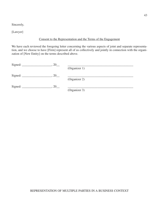Sincerely,

[Lawyer]

# Consent to the Representation and the Terms of the Engagement

We have each reviewed the foregoing letter concerning the various aspects of joint and separate representation, and we choose to have [Firm] represent all of us collectively and jointly in connection with the organization of [New Entity] on the terms described above.

|                | 20 |               |
|----------------|----|---------------|
|                |    | (Organizer 1) |
| $Sigma =$      | 20 |               |
|                |    | (Organizer 2) |
| Signed: $\_\_$ | 20 |               |
|                |    | (Organizer 3) |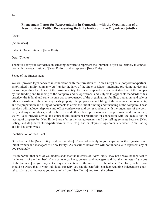# **Engagement Letter for Representation in Connection with the Organization of a New Business Entity (Representing Both the Entity and the Organizers Jointly)**

[Date]

[Addressees]

Subject: Organization of [New Entity]

Dear [Client(s)]:

Thank you for your confidence in selecting our firm to represent the [number] of you collectively in connection with the organization of [New Entity], and to represent [New Entity].

## Scope of the Engagement

We will provide legal services in connection with the formation of [New Entity] as a (corporation/partnership/limited liability company/ etc.) under the laws of the State of [State], including providing advice and counsel regarding the choice of the business entity; the ownership and management structure of the company; the funding and financing of the company and its operations; and, subject to applicable standards of tax practice, the federal and state income tax consequences of the organization, funding, operation, and sale or other disposition of the company or its property; the preparation and filing of the organization documents; and the preparation and filing of documents to effect the initial funding and financing of the company. These services will include telephone and office conferences and correspondence with the organizers of the company and any accountants, lenders, brokers, and other related professionals. If appropriate, and if requested, we will also provide advice and counsel and document preparation in connection with the acquisition or leasing of property by [New Entity], transfer restriction agreements and buy-sell agreements between [New Entity] and its [shareholders/partners/members, etc.], and employment agreements between [New Entity] and its key employees.

## Identification of the Client

Our client will be [New Entity] and the [number] of you collectively in your capacity as the organizers and initial owners and managers of [New Entity]. As described below, we will not undertake to represent any of you separately.

It is important that each of you understands that the interests of [New Entity] may not always be identical to the interests of the [number] of you as its organizers, owners, and managers and that the interests of any one of the [number] of you may not always be identical to the interests of the others. Therefore, each of you should be aware that in your individual capacity you should carefully consider retaining independent counsel to advise and represent you separately from [New Entity] and from the others.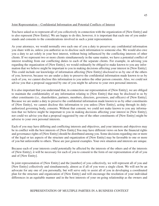## Joint Representation – Confidential Information and Potential Conflicts of Interest

You have asked us to represent all of you collectively in connection with the organization of [New Entity] and to also represent [New Entity]. We are happy to do this; however, it is important that each one of you understands and consents to the considerations involved in such a joint representation.

As your attorneys, we would normally owe each one of you a duty to preserve any confidential information you share with us, unless you authorize us to disclose such information to someone else. We would also owe you a duty to act solely in your best interest, without being influenced by the conflicting interests of other clients. If we represent two or more clients simultaneously in the same matter, we have a potential conflict of interest resulting from our conflicting duties to each of the separate clients. For example, in advising you regarding the organization of [New Entity], we would ordinarily be obliged to make known to you any information that we believe might be important to you in making decisions affecting your interest in [New Entity]. This could include our knowledge of information affecting [New Entity] disclosed to us by one of the others of you; however, because we are under a duty to preserve the confidential information made known to us by each of you, we cannot disclose this information to you unless the other person consents. Also, we could not advise you that a proposal suggested by one of you might be adverse to your own personal interests.

It is also important that you understand that, in connection our representation of [New Entity], we are obliged to maintain the confidentiality of any information relating to [New Entity] that may be disclosed to us by other constituents (i.e., shareholders, partners, members, directors, governors, and officers) of [New Entity]. Because we are under a duty to preserve the confidential information made known to us by other constituents of [New Entity], we cannot disclose this information to you unless [New Entity], acting through its dulyauthorized governing body, consents. Without that consent, we could not make known to you any information that we believe might be important to you in making decisions affecting your interest in [New Entity], nor could we advise you that a proposal suggested by one of the other constituents of [New Entity] might be adverse to your own personal interests.

Each of you may have differing and conflicting interests and objectives, and your interests and objectives may be in conflict with the best interests of [New Entity].You may have different views on how the financial rights and governance rights of [New Entity] should be distributed among you. Some decisions regarding one or more of the legal or tax aspects of the structure and organization of [New Entity] may be favorable to one or more of you but unfavorable to others. These are just general examples. Your own situation and interests are unique.

Because each of your interests could potentially be affected by the interests of the others and of the interests of [New Entity], it will be necessary for each of you to consent to the form of our representation of all of you and of [New Entity].

In joint representation of [New Entity] and the [number] of you collectively, we will represent all of you and [New Entity] collectively and simultaneously, almost as if all of you were a single client. We will not be an advocate for any one of you personally, but will serve only to assist all of you in developing a coordinated plan for the structure and organization of [New Entity] and will encourage the resolution of your individual differences in an equitable manner and in the best interests of your on-going relationship as the owners and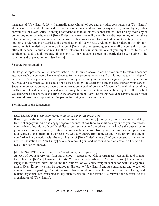managers of [New Entity]. We will normally meet with all of you and any other constituents of [New Entity] at the same time, and relevant and material information shared with us by any one of you and by any other constituents of [New Entity], although confidential as to all others, cannot and will not be kept from any of you or any other constituents of [New Entity]; however, we will generally not disclose to any of the others information any one of you or any other constituents makes known to us outside a joint meeting that we do not think is relevant and material to the organization of [New Entity]. Although the product of the joint representation is intended to be the organization of [New Entity] on terms agreeable to all of you, and in a costefficient manner, it could also result in the disclosure of information that one of you might prefer to remain confidential, and it could produce dissension if all of you cannot agree on a particular issue relating to the structure and organization of [New Entity].

#### Separate Representation

Unlike joint representation [or intermediation], as described above, if each of you were to retain a separate attorney, each of you would have an advocate for your personal interests and would receive totally independent advice. Each of you would meet separately with your attorney, and information given by you to your attorney would be confidential and could not be disclosed by the attorney to anyone else without your consent. Separate representation would ensure the preservation of each of your confidences and the elimination of any conflicts of interest between you and your attorney; however, separate representation might result in each of you taking positions on issues relating to the organization of [New Entity] that would be adverse to each other and would result in a duplication of expenses in having separate attorneys.

#### Termination of the Engagement

## [ALTERNATIVE 1: *No prior representation of any of the organizers*]

If we begin with our firm representing all of you and [New Entity] jointly, any one of you is completely free to change your mind and engage separate counsel at any time. In addition, any one of you can revoke your waiver of our duty of confidentiality as between you and the others and re-invoke the duty so as to prevent us from disclosing any confidential information received from you which we have not previously disclosed to the others. In either case, we would withdraw from representing [New Entity] and any of you further in connection with the organization of [New Entity] unless all of you consent to our continued representation of [New Entity] or one or more of you, and we would communicate to all of you the reason for our withdrawal.

## [ALTERNATIVE 2: *Prior representation of one of the organizers*]

As each of you is aware, our firm has previously represented [Client-Organizer] personally and in matters related to [his/her] business interests. We have already advised [Client-Organizer] that if we are engaged to represent [New Entity] and the [number] of you collectively in connection with the organization of [New Entity], we may be required to disclose to [New Entity] and its constituents and to each of you information regarding [Client-Organizer] that we might otherwise be prohibited from disclosing; and [Client-Organizer] has consented to any such disclosure to the extent it is relevant and material to the organization of [New Entity].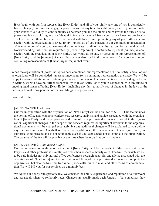If we begin with our firm representing [New Entity] and all of you jointly, any one of you is completely free to change your mind and engage separate counsel at any time. In addition, any one of you can revoke your waiver of our duty of confidentiality as between you and the others and re-invoke the duty so as to prevent us from disclosing any confidential information received from you that we have not previously disclosed to the others. In either case, we would withdraw from representing any of you further in connection with the organization of [New Entity], unless all of you consent to our continued representation of one or more of you, and we would communicate to all of you the reason for our withdrawal. Notwithstanding this, if we are requested by [Client-Organizer] to continue to represent [him/her] in connection with the organization of [New Entity], we would do so and, by agreeing to our representation of [New Entity] and the [number] of you collectively as described in this letter, each of you consents to our continuing representation of [Client-Organizer] in that event.

When the organization of [New Entity] has been completed, our representation of [New Entity] and all of you as organizers will be concluded, unless arrangements for a continuing representation are made. We will be happy to provide additional or continuing services, but unless such arrangements are made and agreed upon in writing, we will have no further responsibility to [New Entity] or to you in connection with any future or ongoing legal issues affecting [New Entity], including any duty to notify you of changes in the laws or the necessity to make any periodic or renewal filings or registrations.

### Fees and Billing

#### [ALTERNATIVE 1: *Flat Fee*]

Our fee in connection with the organization of [New Entity] will be a flat fee of \$\_\_\_\_. This fee includes the normal office and telephone conferences, research, analysis, and advice associated with the organization of [New Entity] and the preparation and filing of the appropriate documents to complete the organization. Significant changes in the scope of the services required or significant revisions to the organizational documents will be charged separately, but any additional charges will be explained to you before any revisions are begun. One-half of this fee is payable once this engagement letter is signed and you authorize us to proceed and is not refundable even if you later decide not to complete the organization. The balance of the fee will be payable at the time when the organization is complete.

## [ALTERNATIVE 2: *Time-Based Billing*]

Our fee in connection with the organization of [New Entity] will be the product of the time spent by our lawyers and other professionals multiplied times their respective hourly rates. The time for which we are to be paid includes not only normal office conferences, research, analysis, and advice associated with the organization of [New Entity] and the preparation and filing of the appropriate documents to complete the organization, but also the time involved in telephone calls, faxes, e-mail, and other forms of communication. We will bill you for our services on a monthly basis.

We adjust our hourly rates periodically. We consider the ability, experience, and reputation of our lawyers and paralegals when we set hourly rates. Changes are usually made each January 1, but sometimes they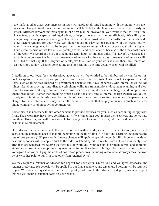are made at other times. Any increase in rates will apply to all time beginning with the month when the rates are changed. Work done before that month will be billed at the hourly rate that was previously in effect. Different lawyers and paralegals in our firm may be involved in your work if that will result in lower fees, provide a specialized legal talent, or help us do your work more efficiently. We will try to assign lawyers and paralegals having the lowest hourly rates consistent with the skills, time demands, and other factors required for your work. We might not assign a lawyer or paralegal with the lowest hourly rate if, in our judgment, it may be in your best interests to assign a lawyer or paralegal with a higher hourly rate because of that lawyer's or paralegal's skill and experience or because of the time constraints of the work. We record and bill our time in one-tenth hour (six-minute) units. If a lawyer's or paralegal's total time on your work is less than three-tenths of an hour for the entire day, three-tenths of an hour will be billed for that day. If the lawyer's or paralegal's total time on your work is more than three-tenths of an hour for that day (whether done at one time or not), only the time actually spent will be billed.

In addition to our legal fees, as described above, we will be entitled to be reimbursed by you for out-ofpocket expenses that we pay on your behalf and for our internal costs. Out-of-pocket expenses include items such as filing fees charged by government agencies and travel expenses. Our internal costs include things like photocopying, long-distance telephone calls, fax transmissions, document scanning and electronic transmission, storage, and retrieval, courier services, computer research charges, and complex document production. Rather than tracking precise costs for every single internal charge (which would ultimately result in higher hourly rates for our clients), we charge fixed costs for these types of expenses. Our charges for these internal costs may exceed the actual direct costs that we pay to outsiders (such as the telephone company or photocopying contractors).

Sometimes it is necessary to hire other persons to provide services for you, such as accounting or appraisal firms. Their work may have more confidentiality if we (rather than you) request their services, and so we may hire them. However, you will be responsible for paying their fees and expenses, whether paid directly to them or to us in reimbursement.

Our bills are due when rendered. If a bill is not paid within 30 days after it is mailed to you, interest will accrue on the unpaid balance of that bill beginning on the thirty-first (31<sup>st</sup>) day and accruing thereafter at the rate of one percent (1%) per month. Interest charges will apply to specific monthly bills. Payments made on past-due accounts will be applied first to the oldest outstanding bill. If our bills are not paid reasonably soon after they are rendered, we reserve the right to stop work until your account is brought current and appropriate steps are taken to ensure prompt payment in the future. If we have to bring collection efforts for payment, you agree that you will pay the costs of collection procedures, including reasonable attorneys fees incurred by us (whether paid to our firm or another firm retained by us).

We may require a retainer or advance fee deposit for your work. Unless you and we agree otherwise, the retainer or advance fee deposit will be applied to our final statement, and any unused portion will be returned to you. We may also request an advance cost deposit (in addition to the advance fee deposit) when we expect that we will incur substantial costs on your behalf.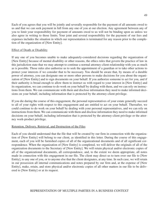Each of you agrees that you will be jointly and severally responsible for the payment of all amounts owed to us and that we can seek payment in full from any one of you at our election. Any agreement between any of you to limit your responsibility for payment of amounts owed to us will not be binding upon us unless we also agree in writing to those limits. Your joint and several responsibility for the payment of our fees and expenses includes the situation in which our representation is terminated for any reason prior to the completion of the organization of [New Entity].

### **Effect of Death or Disability**

If any one of you becomes unable to make adequately-considered decisions regarding the organization of [New Entity] because of mental disability or other reasons, the ethics rules that govern the practice of law in this jurisdiction state that we may attempt to continue a normal attorney-client relationship with you as much as is possible. Those rules also authorize us to seek the appointment of a guardian or to take other actions to protect your interests if we consider that to be necessary. You should be aware that, by means of a durable power of attorney, you can designate one or more other persons to make decisions for you about the organization of [New Entity] and to sign documents on your behalf. If you authorize someone to act for you, and if their authority is broad enough to allow them to instruct us with regard to your interest in [New Entity] and its organization, we can continue to do work on your behalf by dealing with them, and we can rely on instructions from them. We can communicate with them and disclose information they need to make informed decisions on your behalf, including information that is protected by the attorney-client privilege.

If you die during the course of this engagement, the personal representatives of your estate generally succeed to all of your rights with respect to this engagement and are entitled to act on your behalf. Thereafter, we could continue to do work on your behalf by dealing with your personal representatives, and we can rely on instructions from them. We can communicate with them and disclose information they need to make informed decisions on your behalf, including information that is protected by the attorney-client privilege or the attorney work-product privilege.

## Retention, Delivery, Retrieval, and Destruction of the Files

Each of you should understand that the file that will be created by our firm in connection with the organization of [New Entity] will belong to our client, as identified in this letter. During the course of this engagement, each of you will be furnished copies of all of the organizational documents and of all significant correspondence. When the organization of [New Entity] is completed, we will deliver the originals of all of the organization documents to the Secretary of [New Entity]. We will retain physical and/or electronic copies of all of the organizational documents, all correspondence, and, to the extent we deem appropriate, all notes made in connection with this engagement in our file. The client may direct us to turn over our file to [New Entity], to any one of you, or to anyone else that the client designates, at any time. In such case, we will retain in our possession all internal communications and notes prepared by our firm and, at the expense of [New Entity], make, retain, and store physical and/or electronic copies of all other matters in our file to be delivered to [New Entity] or at its request.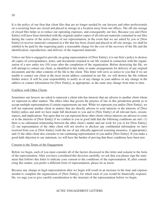It is the policy of our firm that client files that are no longer needed by our lawyers and other professionals on a recurring basis are closed and placed in storage in a location away from our offices. The off-site storage of closed files helps us to reduce our operating expenses, and consequently our fees. Because you and [New Entity] will have been furnished with the originals and/or copies of all relevant materials contained in our files during the course of the active phase of our representation, in the event that we are asked by you or [New Entity] to recover materials contained in a file that has been closed and placed in off-site storage, we shall be entitled to be paid by the requesting party a reasonable charge for the cost of the recovery of the file and the identification, reproduction, and delivery of the requested materials.

Unless our firm is engaged to provide on-going representation of [New Entity], it is our firm's policy to destroy all copies of correspondence, notes, and documents retained in our file created in connection with the organization of a new entity ten (10) years after the completion of the organization. Before destroying the file, we will attempt to contact our client, as identified in this letter, to make arrangements for delivery of any original documents and the other contents of the file to the client. This letter will serve as notice to you that if we are unable to contact our client at the most recent address contained in our file, we will destroy the file without further notice. It will be your responsibility to notify us of any change in your address or any change in the address or contact information for [New Entity], as appropriate, as the same may change from time to time.

### Conflicts with Other Clients

Sometimes our lawyers are asked to represent a client who has interests that are adverse to another client whom we represent in other matters. The ethics rules that govern the practice of law in this jurisdiction permit us to accept multiple representations if certain requirements are met. While we represent you and/or [New Entity], we will not represent another client in matters that are directly adverse to your interests or the interests of [New Entity] unless and until we have made full disclosure to you and to [New Entity] of all relevant facts, circumstances, and implications. You agree that we can represent those other clients whose interests are adverse to yours or to the interests of [New Entity] if we confirm to you in good faith that the following conditions are met: (1) there is no substantial relationship between the other client's matter and our work for you or for [New Entity]; (2) our representation of the other client will not involve or disclose any confidential information we have received from you or [New Entity] (with the use of any ethically-approved screening measures, if appropriate); and (3) the other client also consents to our continuing representation of you and/or [New Entity]. If you make a good-faith objection to our statement, we will have the burden of proving that these conditions have been met.

#### Consent to the Terms of the Engagement

Before we begin, each of you must consider all of the factors discussed in this letter and consent to the form of the representation. After you have considered this decision carefully, we ask that you please sign the statement that follows this letter to indicate your consent to the conditions of the representation. If, after considering this matter, you prefer a different form of representation, please let us know.

Because any change in legal representation after we begin will result in an increase in the time and expense needed to complete the organization of [New Entity], for which each of you would be financially responsible, we urge you to give careful consideration to the structure of the representation before we begin.

#### ACTEC ENGAGEMENT LETTERS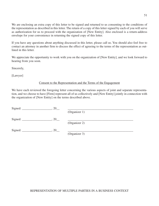We are enclosing an extra copy of this letter to be signed and returned to us consenting to the conditions of the representation as described in this letter. The return of a copy of this letter signed by each of you will serve as authorization for us to proceed with the organization of [New Entity]. Also enclosed is a return-address envelope for your convenience in returning the signed copy of this letter.

If you have any questions about anything discussed in this letter, please call us. You should also feel free to contact an attorney in another firm to discuss the effect of agreeing to the terms of the representation as outlined in this letter.

We appreciate the opportunity to work with you on the organization of [New Entity], and we look forward to hearing from you soon.

Sincerely,

[Lawyer]

## Consent to the Representation and the Terms of the Engagement

We have each reviewed the foregoing letter concerning the various aspects of joint and separate representation, and we choose to have [Firm] represent all of us collectively and [New Entity] jointly in connection with the organization of [New Entity] on the terms described above.

| Signed:                          | 20 |               |
|----------------------------------|----|---------------|
|                                  |    | (Organizer 1) |
| Signed: $\overline{\phantom{a}}$ | 20 |               |
|                                  |    | (Organizer 2) |
| Signed:                          | 20 |               |
|                                  |    | (Organizer 3) |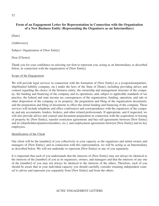# **Form of an Engagement Letter for Representation in Connection with the Organization of a New Business Entity (Representing the Organizers as an Intermediary)**

[Date]

[Addressees]

Subject: Organization of [New Entity]

Dear [Clients]:

Thank you for your confidence in selecting our firm to represent you, acting as an Intermediary as described below, in connection with the organization of [New Entity].

## Scope of the Engagement

We will provide legal services in connection with the formation of [New Entity] as a [corporation/partnership/limited liability company, etc.] under the laws of the State of [State], including providing advice and counsel regarding the choice of the business entity; the ownership and management structure of the company; the funding and financing of the company and its operations; and, subject to applicable standards of tax practice, the federal and state income tax consequences of the organization, funding, operation, and sale or other disposition of the company or its property; the preparation and filing of the organization documents; and the preparation and filing of documents to effect the initial funding and financing of the company. These services will include telephone and office conferences and correspondence with the organizers of the company and any accountants, lenders, brokers, and other related professionals. If appropriate, and if requested, we will also provide advice and counsel and document preparation in connection with the acquisition or leasing of property by [New Entity], transfer restriction agreements and buy-sell agreements between [New Entity] and its [shareholders/partners/members, etc.], and employment agreements between [New Entity] and its key employees.

## Identification of the Client

Our client will be the [number] of you collectively in your capacity as the organizers and initial owners and managers of [New Entity], and in connection with this representation, we will be acting as an Intermediary as described below. We will not undertake to represent [New Entity] or any of you separately.

It is important that each of you understands that the interests of [New Entity] may not always be identical to the interests of the [number] of you as its organizers, owners, and managers and that the interests of any one of the [number] of you may not always be identical to the interests of the others. Therefore, each of you should be aware that in your individual capacity you should carefully consider retaining independent counsel to advise and represent you separately from [New Entity] and from the others.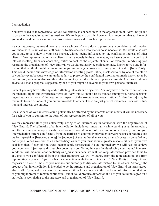#### Intermediation

You have asked us to represent all of you collectively in connection with the organization of [New Entity] and to do so in the capacity as an Intermediary. We are happy to do this; however, it is important that each one of you understand and consent to the considerations involved in such a representation.

As your attorneys, we would normally owe each one of you a duty to preserve any confidential information you share with us, unless you authorize us to disclose such information to someone else. We would also owe you a duty to act solely in your best interest, without being influenced by the conflicting interests of other clients. If we represent two or more clients simultaneously in the same matter, we have a potential conflict of interest resulting from our conflicting duties to each of the separate clients. For example, in advising you regarding the organization of [New Entity], we would ordinarily be obliged to make known to you any information that we think might be important to you in making decisions affecting your interest in [New Entity]. This could include our knowledge of information affecting [New Entity] disclosed to us by one of the others of you; however, because we are under a duty to preserve the confidential information made known to us by each of you, we cannot disclose this information to you unless the other person consents. Also, we could not advise you that a proposal suggested by one of you might be adverse to your own personal interests.

Each of you may have differing and conflicting interests and objectives. You may have different views on how the financial rights and governance rights of [New Entity] should be distributed among you. Some decisions regarding one or more of the legal or tax aspects of the structure and organization of [New Entity] may be favorable to one or more of you but unfavorable to others. These are just general examples. Your own situation and interests are unique.

Because each of your interests could potentially be affected by the interests of the others, it will be necessary for each of you to consent to the form of our representation of all of you.

We may represent all of you collectively, acting as an Intermediary in connection with the organization of [New Entity]. The hallmarks of an intermediation include our impartiality while serving as an intermediary and the necessity of an open, candid, and non-adversarial pursuit of the common objectives by each of you. Intermediation differs significantly from the partisan role normally played by lawyers because it requires that we be impartial as [between/among] the [number] of you, rather than serving as an advocate on behalf of any one of you. When we serve as an intermediary, each of you must assume greater responsibility for your own decisions than if each of you were independently represented. As an intermediary, we will seek to achieve your common objectives and to resolve potentially conflicting interests by developing your mutual interests. While we will maintain confidentiality as against outsiders, we will not keep information provided to us by any one of you confidential from the other [number]. We will withdraw from the representation, and from representing any one of you further in connection with the organization of [New Entity], if any of you requests or if one or more of you revokes our authority to disclose information to the others. Although the product of an intermediation is intended to be the structure and organization of [New Entity] on terms agreeable to all of you, and in a cost-efficient manner, it could also result in the disclosure of information that one of you might prefer to remain confidential, and it could produce dissension if all of you could not agree on a particular issue relating to the structure and organization of [New Entity].

## REPRESENTATION OF MULTIPLE PARTIES IN A BUSINESS CONTEXT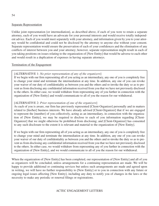### Separate Representation

Unlike joint representation [or intermediation], as described above, if each of you were to retain a separate attorney, each of you would have an advocate for your personal interests and would receive totally independent advice. Each of you would meet separately with your attorney, and information given by you to your attorney would be confidential and could not be disclosed by the attorney to anyone else without your consent. Separate representation would ensure the preservation of each of your confidences and the elimination of any conflicts of interest between you and your attorney; however, separate representation might result in each of you taking positions on issues relating to the organization of [New Entity] that would be adverse to each other and would result in a duplication of expenses in having separate attorneys.

### Termination of the Engagement

# [ALTERNATIVE 1: *No prior representation of any of the organizers*]

If we begin with our firm representing all of you acting as an intermediary, any one of you is completely free to change your mind and terminate the intermediation at any time. In addition, any one of you can revoke your waiver of our duty of confidentiality as between you and the others and re-invoke the duty so as to prevent us from disclosing any confidential information received from you that we have not previously disclosed to the others. In either case, we would withdraw from representing any of you further in connection with the organization of [New Entity] and would communicate to all of you the reason for our withdrawal.

### [ALTERNATIVE 2: *Prior representation of one of the organizers*]

As each of you is aware, our firm has previously represented [Client-Organizer] personally and in matters related to [his/her] business interests. We have already advised [Client-Organizer] that if we are engaged to represent the [number] of you collectively, acting as an intermediary, in connection with the organization of [New Entity], we may be required to disclose to each of you information regarding [Client-Organizer] that we might otherwise be prohibited from disclosing; and [Client-Organizer] has consented to any such disclosure to the extent it is relevant and material to the organization of [New Entity].

If we begin with our firm representing all of you acting as an intermediary, any one of you is completely free to change your mind and terminate the intermediation at any time. In addition, any one of you can revoke your waiver of our duty of confidentiality as between you and the others and re-invoke the duty so as to prevent us from disclosing any confidential information received from you that we have not previously disclosed to the others. In either case, we would withdraw from representing any of you further in connection with the organization of [New Entity], and we would communicate to all of you the reason for our withdrawal.

When the organization of [New Entity] has been completed, our representation of [New Entity] and all of you as organizers will be concluded, unless arrangements for a continuing representation are made. We will be happy to provide additional or continuing services but unless such arrangements are made and agreed upon in writing, we will have no further responsibility to [New Entity] or to you in connection with any future or ongoing legal issues affecting [New Entity], including any duty to notify you of changes in the laws or the necessity to make any periodic or renewal filings or registrations.

#### ACTEC ENGAGEMENT LETTERS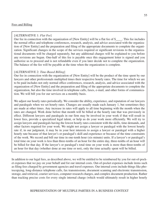#### Fees and Billing

## [ALTERNATIVE 1: *Flat Fee*]

Our fee in connection with the organization of [New Entity] will be a flat fee of  $\$\$  This fee includes the normal office and telephone conferences, research, analysis, and advice associated with the organization of [New Entity] and the preparation and filing of the appropriate documents to complete the organization. Significant changes in the scope of the services required or significant revisions to the organizational documents will be charged separately, but any additional charges will be explained to you before any revisions are begun. One-half of this fee is payable once this engagement letter is signed and you authorize us to proceed and is not refundable even if you later decide not to complete the organization. The balance of the fee will be payable at the time when the organization is complete.

## [ALTERNATIVE 2: *Time-Based Billing*]

Our fee in connection with the organization of [New Entity] will be the product of the time spent by our lawyers and other professionals multiplied times their respective hourly rates. The time for which we are to be paid includes not only normal office conferences, research, analysis, and advice associated with the organization of [New Entity] and the preparation and filing of the appropriate documents to complete the organization, but also the time involved in telephone calls, faxes, e-mail, and other forms of communication. We will bill you for our services on a monthly basis.

We adjust our hourly rates periodically. We consider the ability, experience, and reputation of our lawyers and paralegals when we set hourly rates. Changes are usually made each January 1, but sometimes they are made at other times. Any increase in rates will apply to all time beginning with the month when the rates are changed. Work done before that month will be billed at the hourly rate that was previously in effect. Different lawyers and paralegals in our firm may be involved in your work if that will result in lower fees, provide a specialized legal talent, or help us do your work more efficiently. We will try to assign lawyers and paralegals having the lowest hourly rates consistent with the skills, time demands, and other factors required for your work. We might not assign a lawyer or paralegal with the lowest hourly rate if, in our judgment, it may be in your best interests to assign a lawyer or paralegal with a higher hourly rate because of that lawyer's or paralegal's skill and experience or because of the time constraints of the work. We record and bill our time in one-tenth hour (six-minute) units. If a lawyer's or paralegal's total time on your work is less than three-tenths of an hour for the entire day, three-tenths of an hour will be billed for that day. If the lawyer's or paralegal's total time on your work is more than three-tenths of an hour for that day (whether done at one time or not), only the time actually spent will be billed.

In addition to our legal fees, as described above, we will be entitled to be reimbursed by you for out-of-pocket expenses that we pay on your behalf and for our internal costs. Out-of-pocket expenses include items such as filing fees charged by government agencies and travel expenses. Our internal costs include things like photocopying, long-distance telephone calls, fax transmissions, document scanning and electronic transmission, storage, and retrieval, courier services, computer research charges, and complex document production. Rather than tracking precise costs for every single internal charge (which would ultimately result in higher hourly

## REPRESENTATION OF MULTIPLE PARTIES IN A BUSINESS CONTEXT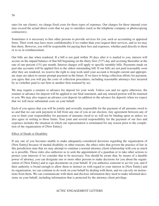rates for our clients), we charge fixed costs for these types of expenses. Our charges for these internal costs may exceed the actual direct costs that we pay to outsiders (such as the telephone company or photocopying contractors).

Sometimes it is necessary to hire other persons to provide services for you, such as accounting or appraisal firms. Their work may have more confidentiality if we (rather than you) request their services, and so we may hire them. However, you will be responsible for paying their fees and expenses, whether paid directly to them or to us in reimbursement.

Our bills are due when rendered. If a bill is not paid within 30 days after it is mailed to you, interest will accrue on the unpaid balance of that bill beginning on the thirty-first (31<sup>st</sup>) day and accruing thereafter at the rate of one percent (1%) per month. Interest charges will apply to specific monthly bills. Payments made on past-due accounts will be applied first to the oldest outstanding bill. If our bills are not paid reasonably soon after they are rendered, we reserve the right to stop work until your account is brought current and appropriate steps are taken to ensure prompt payment in the future. If we have to bring collection efforts for payment, you agree that you will pay the costs of collection procedures, including reasonable attorneys fees incurred by us (whether paid to our firm or another firm retained by us).

We may require a retainer or advance fee deposit for your work. Unless you and we agree otherwise, the retainer or advance fee deposit will be applied to our final statement, and any unused portion will be returned to you. We may also request an advance cost deposit (in addition to the advance fee deposit) when we expect that we will incur substantial costs on your behalf.

Each of you agrees that you will be jointly and severally responsible for the payment of all amounts owed to us and that we can seek payment in full from any one of you at our election. Any agreement between any of you to limit your responsibility for payment of amounts owed to us will not be binding upon us unless we also agree in writing to those limits. Your joint and several responsibility for the payment of our fees and expenses includes the situation in which our representation is terminated for any reason prior to the completion of the organization of [New Entity].

## Effect of Death or Disability

If any one of you becomes unable to make adequately-considered decisions regarding the organization of [New Entity] because of mental disability or other reasons, the ethics rules that govern the practice of law in this jurisdiction state that we may attempt to continue a normal attorney-client relationship with you as much as is possible. Those rules also authorize us to seek the appointment of a guardian or to take other actions to protect your interests if we consider that to be necessary. You should be aware that, by means of a durable power of attorney, you can designate one or more other persons to make decisions for you about the organization of [New Entity] and to sign documents on your behalf. If you authorize someone to act for you, and if their authority is broad enough to allow them to instruct us with regard to your interest in [New Entity] and its organization, we can continue to do work on your behalf by dealing with them, and we can rely on instructions from them. We can communicate with them and disclose information they need to make informed decisions on your behalf, including information that is protected by the attorney-client privilege.

## ACTEC ENGAGEMENT LETTERS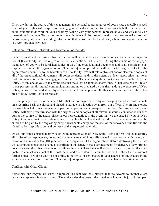If you die during the course of this engagement, the personal representatives of your estate generally succeed to all of your rights with respect to this engagement and are entitled to act on your behalf. Thereafter, we could continue to do work on your behalf by dealing with your personal representatives, and we can rely on instructions from them. We can communicate with them and disclose information they need to make informed decisions on your behalf, including information that is protected by the attorney-client privilege or the attorney work-product privilege.

### Retention, Delivery, Retrieval, and Destruction of the Files

Each of you should understand that the file that will be created by our firm in connection with the organization of [New Entity] will belong to our client, as identified in this letter. During the course of this engagement, each of you will be furnished copies of all of the organizational documents and of all significant correspondence. When the organization of [New Entity] is completed, we will deliver the originals of all of the organization documents to the Secretary of [New Entity]. We will retain physical and/or electronic copies of all of the organizational documents, all correspondence, and, to the extent we deem appropriate, all notes made in connection with this engagement in our file. The client may direct us to turn over our file to [New Entity], to any one of you, or to anyone else that the client designates, at any time. In such case, we will retain in our possession all internal communications and notes prepared by our firm and, at the expense of [New Entity], make, retain, and store physical and/or electronic copies of all other matters in our file to be delivered to [New Entity] or at its request.

It is the policy of our firm that client files that are no longer needed by our lawyers and other professionals on a recurring basis are closed and placed in storage in a location away from our offices. The off-site storage of closed files helps us to reduce our operating expenses, and consequently our fees. Because you and [New Entity] will have been furnished with the originals and/or copies of all relevant materials contained in our files during the course of the active phase of our representation, in the event that we are asked by you or [New Entity] to recover materials contained in a file that has been closed and placed in off-site storage, we shall be entitled to be paid by the requesting party a reasonable charge for the cost of the recovery of the file and the identification, reproduction, and delivery of the requested materials.

Unless our firm is engaged to provide on-going representation of [New Entity], it is our firm's policy to destroy all copies of correspondence, notes, and documents retained in our file created in connection with the organization of a new entity ten (10) years after the completion of the organization. Before destroying the file, we will attempt to contact our client, as identified in this letter, to make arrangements for delivery of any original documents and the other contents of the file to the client. This letter will serve as notice to you that if we are unable to contact our client at the most recent address contained in our file, we will destroy the file without further notice. It will be your responsibility to notify us of any change in your address or any change in the address or contact information for [New Entity], as appropriate, as the same may change from time to time.

## Conflicts with Other Clients

Sometimes our lawyers are asked to represent a client who has interests that are adverse to another client whom we represent in other matters. The ethics rules that govern the practice of law in this jurisdiction per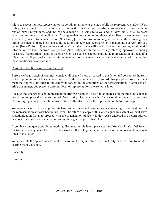mit us to accept multiple representations if certain requirements are met. While we represent you and/or [New Entity], we will not represent another client in matters that are directly adverse to your interests or the interests of [New Entity] unless and until we have made full disclosure to you and to [New Entity] of all relevant facts, circumstances, and implications. You agree that we can represent those other clients whose interests are adverse to yours or to the interests of [New Entity] if we confirm to you in good faith that the following conditions are met: (1) there is no substantial relationship between the other client's matter and our work for you or for [New Entity]; (2) our representation of the other client will not involve or disclose any confidential information we have received from you or [New Entity] (with the use of any ethically-approved screening measures, if appropriate); and (3) the other client also consents to our continuing representation of you and/or [New Entity]. If you make a good-faith objection to our statement, we will have the burden of proving that these conditions have been met.

## Consent to the Terms of the Engagement

Before we begin, each of you must consider all of the factors discussed in this letter and consent to the form of the representation. After you have considered this decision carefully, we ask that you please sign the statement that follows this letter to indicate your consent to the conditions of the representation. If, after considering this matter, you prefer a different form of representation, please let us know.

Because any change in legal representation after we begin will result in an increase in the time and expense needed to complete the organization of [New Entity], for which each of you would be financially responsible, we urge you to give careful consideration to the structure of the representation before we begin.

We are enclosing an extra copy of this letter to be signed and returned to us consenting to the conditions of the representation as described in this letter. The return of a copy of this letter signed by each of you will serve as authorization for us to proceed with the organization of [New Entity]. Also enclosed is a return-address envelope for your convenience in returning the signed copy of this letter.

If you have any questions about anything discussed in this letter, please call us. You should also feel free to contact an attorney in another firm to discuss the effect of agreeing to the terms of the representation as outlined in this letter.

We appreciate the opportunity to work with you on the organization of [New Entity], and we look forward to hearing from you soon.

Sincerely,

[Lawyer]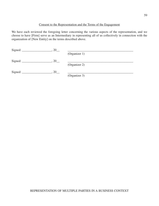## Consent to the Representation and the Terms of the Engagement

We have each reviewed the foregoing letter concerning the various aspects of the representation, and we choose to have [Firm] serve as an Intermediary in representing all of us collectively in connection with the organization of [New Entity] on the terms described above.

| Signed:        | 20 |               |
|----------------|----|---------------|
|                |    | (Organizer 1) |
|                | 20 |               |
|                |    | (Organizer 2) |
| Signed: $\_\_$ | 20 |               |
|                |    | (Organizer 3) |

59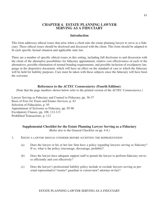## **CHAPTER 4. ESTATE PLANNING LAWYER SERVING AS A FIDUCIARY**

### **Introduction**

This form addresses ethical issues that arise when a client asks the estate planning lawyer to serve as a fiduciary. These ethical issues should be disclosed and discussed with the client. This form should be adapted to fit each specific factual situation and applicable state law.

There are a number of specific ethical issues in this setting, including full disclosure to and discussion with the client of the alternative possibilities for fiduciary appointment, relative cost effectiveness of each of the alternatives, possible elimination of normal bonding requirements, and possible inclusion of exculpatory language in the dispositive document, which will have an effect on the standard of care to which the fiduciary will be held for liability purposes. Care must be taken with these subjects since the fiduciary will have been the scrivener.

## **References to the** *ACTEC Commentaries* **(Fourth Edition):**

(Note that the page numbers shown below refer to the printed version of the *ACTEC Commentaries*.)

Lawyer Serving as Fiduciary and Counsel to Fiduciary, pp. 36-37 Basis of Fees for Trusts and Estates Services, p. 63 Selection of Fiduciaries, p. 95 Appointment of Scrivener as Fiduciary, pp. 95-96 Exculpatory Clauses, pp. 108, 112-113 Prohibited Transactions, p. 112

# **Supplemental Checklist for the Estate Planning Lawyer Serving as a Fiduciary**

(Refer also to the General Checklist on pp. 4-8.)

- 1. ISSUES A LAWYER SHOULD CONSIDER BEFORE ACCEPTING THE REPRESENTATION
	- (a) Does the lawyer or his or her law firm have a policy regarding lawyers serving as fiduciary? If so, what is the policy (encourage, discourage, prohibit)?
	- (b) Does the lawyer have adequate support staff to permit the lawyer to perform fiduciary services efficiently and cost effectively?
	- (c) Does the lawyer's professional liability policy include or exclude lawyers serving as personal representative? trustee? guardian or conservator? attorney-in-fact?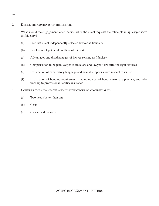2. DEFINE THE CONTENTS OF THE LETTER.

What should the engagement letter include when the client requests the estate planning lawyer serve as fiduciary?

- (a) Fact that client independently selected lawyer as fiduciary
- (b) Disclosure of potential conflicts of interest
- (c) Advantages and disadvantages of lawyer serving as fiduciary
- (d) Compensation to be paid lawyer as fiduciary and lawyer's law firm for legal services
- (e) Explanation of exculpatory language and available options with respect to its use
- (f) Explanation of bonding requirements, including cost of bond, customary practice, and relationship to professional liability insurance
- 3. CONSIDER THE ADVANTAGES AND DISADVANTAGES OF CO-FIDUCIARIES.
	- (a) Two heads better than one
	- (b) Costs
	- (c) Checks and balances

#### ACTEC ENGAGEMENT LETTERS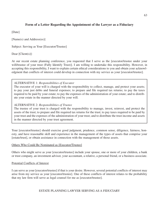# **Form of a Letter Regarding the Appointment of the Lawyer as a Fiduciary**

[Date]

[Name(s) and Address(es)]

Subject: Serving as Your [Executor/Trustee]

Dear [Client(s)]:

At our recent estate planning conference, you requested that I serve as the [executor/trustee under your will/trustee of your trust (Fully Identify Trust)]. I am willing to undertake this responsibility. However, in accepting this responsibility, I want to explain certain ethical considerations to you and obtain your acknowledgment that conflicts of interest could develop in connection with my service as your [executor/trustee].

## ALTERNATIVE 1: *Responsibilities of Executor*

The executor of your will is charged with the responsibility to collect, manage, and protect your assets; to pay your just debts and funeral expenses; to prepare and file required tax returns; to pay the taxes required to be paid by your estate; to pay the expenses of the administration of your estate; and to distribute your estate in the manner directed by your will.

## ALTERNATIVE 2: *Responsibilities of Trustee*

The trustee of your trust is charged with the responsibility to manage, invest, reinvest, and protect the assets of the trust; to prepare and file required tax returns for the trust; to pay taxes required to be paid by your trust and the expenses of the administration of your trust; and to distribute the trust income and assets in the manner directed by your trust agreement.

Your [executor/trustee] should exercise good judgment, prudence, common sense, diligence, fairness, honesty, and have reasonable skill and experience in the management of the types of assets that comprise your [estate/trust], or obtain assistance in connection with the management of those assets.

## Others Who Could Be Nominated as [Executor/Trustee]

Others who might serve as your [executor/trustee] include your spouse, one or more of your children, a bank or trust company, an investment advisor, your accountant, a relative, a personal friend, or a business associate.

## Potential Conflicts of Interest

I can serve as your [executor/trustee] if that is your desire. However, several potential conflicts of interest may arise from my service as your [executor/trustee]. One of these conflicts of interest relates to the probability that my law firm will serve as legal counsel for me as [executor/trustee].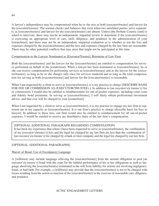A lawyer's independence may be compromised when he or she acts as both [executor/trustee] and lawyer for the [executor/trustee]. The normal checks and balances that exist when two unrelated parties serve separately as [executor/trustee] and lawyer for the [executor/trustee] are absent. Unless [the Probate Court/a court] is asked to intervene, there may not be an independent, impartial review to determine if the [executor/trustee] is exercising an appropriate level of care, skill, diligence, and prudence in the administration of your [estate/trust], and there may not be an independent, impartial evaluation as to whether or not the fees and expenses charged by the [executor/trustee] and the fees and expenses charged by the law firm are reasonable. There may be other potential conflicts that may arise that might not be anticipated at this time.

## Compensation to the Lawyer Nominated as [Executor/Trustee]; Retention of Law Firm

Both the [executor/trustee] and the lawyer for the [executor/trustee] are entitled to compensation for services performed on behalf of the [estate/trust]. When a lawyer has been nominated as [executor/trustee], he or she can receive compensation for performing services as [executor/trustee] and as the lawyer for the [executor/trustee], as long as he or she charges only once for services rendered and as long as the total compensation for serving as both [executor/trustee] and lawyer for the [executor/trustee] is reasonable.

When I am requested by a client to serve as [executor/trustee], it is my practice to charge [DESCRIBE BASIS] FOR FEE OR COMMISSION AS (EXECUTOR/TRUSTEE).]. In addition to [an executor's/a trustee's] fee or commission, I would also be entitled to reimbursement for out-of-pocket expenses, including court costs and fidelity bond premiums. In serving as [executor/trustee], I will likely obtain professional investment advice, and that cost will be charged to your [estate/trust].

When I am requested by a client to serve as [executor/trustee], it is my practice to engage my law firm to represent me in my capacity as [executor/trustee]. It is our firm's practice to charge [describe basis for fees as lawyer]. In addition to these fees, our firm would also be entitled to reimbursement for all out-of-pocket expenses. I would be entitled to receive my distributive share of the law firm's compensation.

# [OPTIONAL ADDITIONAL PARAGRAPH REGARDING COMPENSATION]

It has been my experience that where I have been requested to serve as [executor/trustee], the combination of my [executor's/trustee's] fees and the legal fee charged by my law firm are less than the combination of [an executor's/a trustee's] fee charged by a bank or trust company and the legal fee charged by our law firm.

# [OPTIONAL ADDITIONAL PARAGRAPHS]

## Waiver of Bond; Use of Exculpatory Language

A [will/trust] may include language relieving the [executor/trustee] from the normal obligation to post [an executor's/a trustee's] bond with the court for the faithful performance of his or her obligations as well as language absolving the [executor/trustee] nominated in the will from liability for actions not involving negligence, fraud, or bad faith. For example, a [will/trust] may provide that the [executor/trustee] is not to be charged with losses resulting from the action or inaction of the [executor/trustee] in the exercise of reasonable care, diligence, and prudence.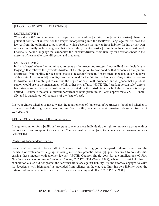# [CHOOSE ONE OF THE FOLLOWING]

# [ALTERNATIVE 1:]

Where the [will/trust] nominates the lawyer who prepared the [will/trust] as [executor/trustee], there is a potential conflict of interest for the lawyer incorporating into the [will/trust] language that relieves the lawyer from the obligation to post bond or which absolves the lawyer from liability for his or her own actions. I normally include language that relieves the [executor/trustee] from the obligation to post bond. I normally include language that exonerates the [executor/trustee] from liability for decisions made in the exercise of reasonable care, diligence, and prudence.

# [ALTERNATIVE 2:]

In [wills/trusts] where I am nominated to serve as [an executor/a trustee], I normally do not include any language that relieves the [executor/trustee] of the obligation to post bond or that exonerates the [executor/trustee] from liability for decisions made as [executor/trustee]. Absent such language, under the laws of this state, I [may/would] be obliged to post a bond for the faithful performance of my duties as [executor/trustee] and I am obliged to exercise the degree of care, skill, prudence, and diligence that a prudent person would use in the management of his or her own affairs. [NOTE: The "prudent person rule" differs from state-to-state. Be sure the rule is correctly stated for the jurisdiction in which the document is being drafted.] I estimate the annual faithful performance bond premium will cost approximately \$\_\_\_\_ annually and is payable out of the assets of the [estate/trust].

It is your choice whether or not to waive the requirements of [an executor's/a trustee's] bond and whether to include or exclude language exonerating me from liability as your [executor/trustee]. Please advise me of your decision.

# ALTERNATIVE: Change of [Executor/Trustee]

It is quite common for a [will/trust] to grant to one or more individuals the right to remove a trustee with or without cause and to appoint a successor. [You have instructed me [not] to include such a provision in your [will/trust].]

# Consulting Independent Counsel

Because of the potential for a conflict of interest in my advising you with regard to these matters [and the inclusion or exclusion of language relieving me of any potential liability], you may want to consider discussing these matters with another lawyer. [NOTE: Counsel should consider the implications of *Fred Hutchinson Cancer Research Center v. Holman,* 732 P.2d 974 (Wash. 1987), where the court held that an exoneration clause did not protect the scrivener fiduciary against liability: "as the attorney engaged to write the decedent's will, [defendant] is precluded from reliance on the clause to limit his own liability when the testator did not receive independent advice as to its meaning and effect." 732 P.2d at 980.]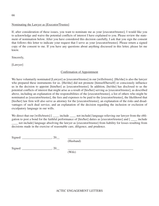#### 66

#### Nominating the Lawyer as [Executor/Trustee]

If, after consideration of these issues, you want to nominate me as your [executor/trustee], I would like you to acknowledge and waive the potential conflicts of interest I have explained to you. Please review the statement of nomination below. After you have considered this decision carefully, I ask that you sign the consent that follows this letter to indicate your request that I serve as your [executor/trustee]. Please return a signed copy of the consent to me. If you have any questions about anything discussed in this letter, please let me know.

Sincerely,

[Lawyer]

### Confirmation of Appointment

We have voluntarily nominated [Lawyer] as [executor/trustee] in our [wills/trusts]. [He/she] is also the lawyer who prepared these instruments for us. [He/she] did not promote [himself/herself] or consciously influence us in the decision to appoint [him/her] as [executor/trustee]. In addition, [he/she] has disclosed to us the potential conflicts of interest that might arise as a result of [his/her] serving as [executor/trustee], as described above, including an explanation of the responsibilities of the [executor/trustee], a list of others who might be nominated as [executor/trustee], the fees and expenses to be paid to the [executor/trustee], the likelihood that [his/her] law firm will also serve as attorney for the [executor/trustee], an explanation of the risks and disadvantages of such dual service, and an explanation of the decision regarding the inclusion or exclusion of exculpatory language in our wills.

We direct that our [wills/trusts] [\_\_\_\_\_ include \_\_\_\_\_ not include] language relieving our lawyer from the obligation to post a bond for the faithful performance of [his/her] duties as [executor/trustee] and [ \_\_\_\_ include \_\_\_\_ not include] language absolving the lawyer as [executor/trustee] from liability for losses resulting from decisions made in the exercise of reasonable care, diligence, and prudence.

 $Signed:$   $30$ 

(Husband)

Signed: \_\_\_\_\_\_\_\_\_\_\_\_\_\_\_\_\_\_\_, 20\_\_ \_\_\_\_\_\_\_\_\_\_\_\_\_\_\_\_\_\_\_\_\_\_\_\_\_\_\_\_\_\_\_\_\_\_\_\_\_\_\_\_\_\_

(Wife)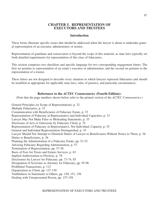# **CHAPTER 5. REPRESENTATION OF EXECUTORS AND TRUSTEES**

#### **Introduction**

These forms illustrate specific issues that should be addressed when the lawyer is about to undertake general representation of an executor, administrator, or trustee.

Representation of guardians and conservators is beyond the scope of this material, as state laws typically set forth detailed requirements for representation of this class of fiduciaries.

This section comprises two checklists and specific language for two corresponding engagement letters. The first set pertains to representation of an estate's executor or administrator, and the second set pertains to the representation of a trustee.

These letters are not designed to describe every situation in which lawyers represent fiduciaries and should be modified as appropriate for applicable state laws, rules of practice, and particular circumstances.

# **References to the** *ACTEC Commentaries* **(Fourth Edition):**

(Note that the page numbers shown below refer to the printed version of the *ACTEC Commentaries.*)

General Principles (re Scope of Representation), p. 32 Multiple Fiduciaries, p. 33 Communication with Beneficiaries of Fiduciary Estate, p. 33 Representation of Fiduciary in Representative and Individual Capacities, p. 33 Lawyer May Not Make False or Misleading Statements, p. 35 Disclosure of Acts or Omissions by Fiduciary Client, p. 35 Representation of Fiduciary in Representative, Not Individual, Capacity, p. 35 General and Individual Representation Distinguished, p. 35 Lawyer Should Not Attempt to Diminish Duties of Lawyer to Beneficiaries Without Notice to Them, p. 36 Duties to Beneficiaries, p. 36 Planning the Administration of a Fiduciary Estate, pp. 51-52 Advising Fiduciary Regarding Administration, p. 57 Termination of Representation, pp. 57-58 Basis of Fees for Trusts and Estates Services, p. 63 Implied Authorization to Disclose, p. 78 Disclosures by Lawyer for Fiduciary, pp. 73-74, 85 Designation of Scrivener as Attorney for Fiduciary, pp. 95-96 Prohibited Transactions, p. 112 Organization as Client, pp. 127-130 Truthfulness in Statements to Others, pp. 150, 151, 156 Dealing with Unrepresented Person, pp. 157-158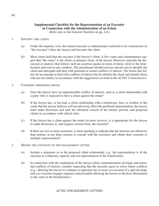# **Supplemental Checklist for the Representation of an Executor in Connection with the Administration of an Estate**

(Refer also to the General Checklist on pp. 4-8.)

#### 1. IDENTIFY THE CLIENT.

- (a) Under the majority view, the named executor or administrator (referred to for convenience as "the executor") hires the lawyer and becomes the client.
- (b) Most courts hold that the executor is the lawyer's client. A few courts and commentators suggest that "the estate" is the client, or primary client, of the lawyer. However, typically the discussion or analysis that follows such an assertion speaks in terms of duties owed to the beneficiaries and even to any creditors. The practitioner should exercise special care to identify the client and anticipate and deal with potential or actual conflicts of interest. The forms that follow do not attempt to deal with conflicts of interest but do identify the client and identify those who are not clients, in accordance with the suggestions set forth in the *ACTEC Commentaries.*
- 2. CONSIDER THRESHOLD ISSUES.
	- (a) Does the lawyer have an impermissible conflict of interest, such as a client relationship with a party who is expected to have a claim against the estate?
	- (b) If the lawyer has, or has had, a client relationship with a beneficiary, heir, or creditor of the estate that the lawyer believes will not adversely affect the proffered representation, the lawyer must make disclosure and seek the informed consent of the former, present, and proposed clients in accordance with ethical rules.
	- (c) If the lawyer has a claim against the estate for prior services, is it appropriate for the lawyer to make disclosure to, and request consent from, the executor?
	- (d) If there are two or more executors, is there anything to indicate that the interests are otherwise than mutual, or are there reasons to consult with the executors and obtain their consents to multiple representation?
- 3. DEFINE THE CONTENTS OF THE ENGAGEMENT LETTER.
	- (a) Include a statement as to the proposed client relationship, e.g., the representation is of the executor in a fiduciary capacity and not representation of the beneficiaries.
	- (b) In connection with the explanation of the lawyer-client communications privilege and potential conflicts of interest, consider requesting that the executor agree to waive future conflicts (e.g., allowing the lawyer to continue to represent one or more co-executors if a split develops and a co-executor engages separate counsel and/or allowing the lawyer to disclose information to the court or the beneficiaries.)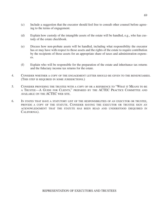- (c) Include a suggestion that the executor should feel free to consult other counsel before agreeing to the terms of engagement.
- (d) Explain how custody of the intangible assets of the estate will be handled, e.g., who has custody of the estate checkbook.
- (e) Discuss how non-probate assets will be handled, including what responsibility the executor has or may have with respect to those assets and the rights of the estate to require contribution by the recipients of those assets for an appropriate share of taxes and administration expenses.
- (f) Explain who will be responsible for the preparation of the estate and inheritance tax returns and the fiduciary income tax returns for the estate.
- 4. CONSIDER WHETHER A COPY OF THE ENGAGEMENT LETTER SHOULD BE GIVEN TO THE BENEFICIARIES. (THIS STEP IS REQUIRED IN SOME JURISDICTIONS.)
- 5. CONSIDER PROVIDING THE TRUSTEE WITH A COPY OF OR A REFERENCE TO "WHAT IT MEANS TO BE A TRUSTEE—A GUIDE FOR CLIENTS," PREPARED BY THE ACTEC PRACTICE COMMITTEE AND AVAILABLE ON THE ACTEC WEB SITE.
- 6. IN STATES THAT HAVE A STATUTORY LIST OF THE RESPONSIBILITIES OF AN EXECUTOR OR TRUSTEE, PROVIDE A COPY OF THE STATUTE. CONSIDER HAVING THE EXECUTOR OR TRUSTEE SIGN AN ACKNOWLEDGMENT THAT THE STATUTE HAS BEEN READ AND UNDERSTOOD (REQUIRED IN CALIFORNIA).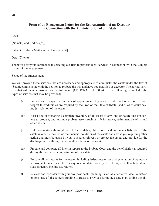# **Form of an Engagement Letter for the Representation of an Executor in Connection with the Administration of an Estate**

[Date]

[Name(s) and Address(es)]

Subject: [Subject Matter of the Engagement]

Dear [Client(s)]:

Thank you for your confidence in selecting our firm to perform legal services in connection with the [subject matter of the engagement].

# Scope of the Engagement

We will provide those services that are necessary and appropriate to administer the estate under the law of [State], commencing with the petition to probate the will and have you qualified as executor. The normal services that will then be involved are the following: [OPTIONAL LANGUAGE: The following list includes the types of services that may be provided]

- (a) Prepare and complete all notices of appointment of you as executor and other notices with respect to creditors as are required by the laws of the State of [State] and rules of court having jurisdiction of the estate.
- (b) Assist you in preparing a complete inventory of all assets of any kind or nature that are subject to probate, and any non-probate assets such as life insurance, retirement benefits, and other assets.
- (c) Help you make a thorough search for all debts, obligations, and contingent liabilities of the estate in order to determine the financial condition of the estate and advise you regarding other action that must be taken by you to secure, reinvest, or protect the assets and provide for the discharge of liabilities, including death taxes of the estate.
- (d) Prepare and complete all interim reports to the Probate Court and the beneficiaries as required during the course of administration of the estate.
- (e) Prepare all tax returns for the estate, including federal estate tax and generation-skipping tax returns, state inheritance tax, or any local or state property tax returns, as well as federal and state fiduciary income tax returns.
- (f) Review and consider with you any post-death planning, such as alternative asset valuation options, use of disclaimers, funding of trusts as provided for in the estate plan, timing the dis-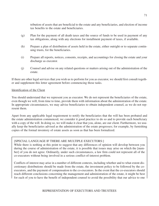tribution of assets that are beneficial to the estate and any beneficiaries, and election of income tax benefits to the estate and beneficiaries.

- (g) Plan for the payment of all death taxes and the source of funds to be used in payment of any tax obligations, along with any elections for installment payment of taxes, if available.
- (h) Prepare a plan of distribution of assets held in the estate, either outright or to separate continuing trusts, for the beneficiaries.
- (i) Prepare all reports, notices, consents, receipts, and accountings for closing the estate and your discharge as executor.
- (j) Counsel and advise on any related questions or matters arising out of the administration of the estate.

If there are other legal services that you wish us to perform for you as executor, we should first consult together and supplement this letter agreement before commencing those tasks.

#### Identification of the Client

You should understand that we represent you as executor. We do not represent the beneficiaries of the estate, even though we will, from time to time, provide them with information about the administration of the estate. In appropriate circumstances, we may advise beneficiaries to obtain independent counsel, as we do not represent them.

Apart from any applicable legal requirement to notify the beneficiaries that the will has been probated and the estate administration commenced, we consider it good practice to do so and to provide each beneficiary with a copy of the will. In doing so, we will make it clear that you, alone, are our client. Furthermore, we usually keep the beneficiaries advised as the administration of the estate progresses; for example, by furnishing copies of the formal inventory of estate assets as soon as that has been formalized.

# [SPECIAL LANGUAGE IF THERE ARE MULTIPLE EXECUTORS:]

While there is nothing at this point to suggest that any differences of opinion will develop between you during the course of administration of the estate, it is possible that issues may arise on which the [number] of you do not agree. Ordinarily, under such circumstances, a law firm could not represent all of the co-executors without being involved in a serious conflict-of-interest problem.

Conflicts of interest may arise in a number of different contexts, including whether and to what extent discretionary distributions should be made from the estate, the investment policy to be followed by the coexecutors, and the payment of compensation to the co-executors. In the event that the co-executors should reach different conclusions concerning the management and administration of the estate, it might be best for each of you to have the benefit of independent counsel to avoid the possibility that our advice to one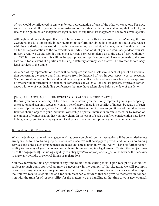of you would be influenced in any way by our representation of one of the other co-executors. For now, we will represent all of you in the administration of the estate, with the understanding that each of you retains the right to obtain independent legal counsel at any time that it appears to you to be advantageous.

Although we do not anticipate that it will be necessary, if a conflict does arise [between/among] the coexecutors, and it is impossible in our judgment to perform our obligations to each of you in accordance with the standards that we would maintain in representing any individual client, we will withdraw from all further representation of the co-executors and advise one or all of you to obtain independent counsel. In such event, we would submit a statement for legal services rendered up to the date of such withdrawal. [NOTE: In some states, this will not be appropriate, and application would have to be made to the probate court for an award of a portion of the single statutory attorney's fee that will be awarded for ordinary legal services to the estate.]

As a part of my representation, there will be complete and free disclosure to each of you of all information concerning the estate that I may receive from [either/any] of you in your capacity as co-executor. Such information will not be confidential between you, collectively, and us as your lawyers, irrespective of whether the information is obtained in conferences at which all of you are present, or private conferences with one of you, including conferences that may have taken place before the date of this letter.

# [SPECIAL LANGUAGE IF THE EXECUTOR IS ALSO A BENEFICIARY:]

Because you are a beneficiary of the estate, I must advise you that I only represent you in your capacity as executor, and can only represent you as a beneficiary if there is no conflict of interest by reason of such relationship. For example, a conflict could arise in distribution of assets to you if one of the other beneficiaries should object to your individual ownership of partial interest in an estate asset; or by reason of the amount of compensation that you may claim. In the event of such a conflict, consideration may have to be given by you to the employment of independent counsel to represent your personal interests.

# Termination of the Engagement

When the [subject matter of the engagement] has been completed, our representation will be concluded unless arrangements for a continuing representation are made. We will be happy to provide additional or continuing services, but unless such arrangements are made and agreed upon in writing, we will have no further responsibility to [you/any of you] in connection with any future or ongoing legal issues affecting the [subject matter of the engagement], including any duty to notify [you/any of you] of changes in the laws or the necessity to make any periodic or renewal filings or registrations.

You may terminate this engagement at any time by notice in writing to us. Upon receipt of such notice, subject to such court approval as may be necessary in the context of the situation, we will promptly cease providing any service to you. You will be responsible for paying for our services rendered up to the time we receive such notice and for such reasonable services that we provide thereafter in connection with the transfer of responsibility for the matters we are handling at that time to your new counsel.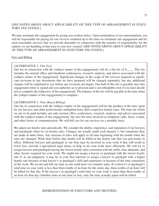# [SEE NOTES ABOVE ABOUT APPLICABILITY OF THIS TYPE OF ARRANGEMENT IN STATU-TORY FEE STATES.]

We may terminate this engagement by giving you written notice. Upon termination of our representation, you will be responsible for paying for our services rendered up to the time we terminate our engagement and for such reasonable services that we provide thereafter in connection with the transfer of responsibility for the matters we are handling at that time to your new counsel. [SEE NOTES ABOVE ABOUT APPLICABILITY OF THIS TYPE OF ARRANGEMENT IN STATUTORY FEE STATES.]

#### Fees and Billing

# [ALTERNATIVE 1: *Flat Fee*]

Our fee in connection with the [subject matter of the engagement] will be a flat fee of \$\_\_\_\_. This fee includes the normal office and telephone conferences, research, analysis, and advice associated with the [subject matter of the engagement]. Significant changes in the scope of the services required or significant revisions to any documents that we have prepared will be charged separately, but any additional charges will be explained to you before any revisions are begun. One-half of this fee is payable once this engagement letter is signed and you authorize us to proceed and is not refundable even if you later decide not to complete the [objective of the engagement]. The balance of the fee will be payable at the time when the [subject matter of the engagement] is complete.

# [ALTERNATIVE 2: *Time-Based Billing*]

Our fee in connection with the [subject matter of the engagement] will be the product of the time spent by our lawyers and other professionals multiplied times their respective hourly rates. The time for which we are to be paid includes not only normal office conferences, research, analysis, and advice associated with the [subject matter of the engagement], but also the time involved in telephone calls, faxes, e-mail, and other forms of communication. We will bill you for our services on a monthly basis.

We adjust our hourly rates periodically. We consider the ability, experience, and reputation of our lawyers and paralegals when we set hourly rates. Changes are usually made each January 1, but sometimes they are made at other times. Any increase in rates will apply to all time beginning with the month when the rates are changed. Work done before that month will be billed at the hourly rate that was previously in effect. Different lawyers and paralegals in our firm may be involved in your work if that will result in lower fees, provide a specialized legal talent, or help us do your work more efficiently. We will try to assign lawyers and paralegals having the lowest hourly rates consistent with the skills, time demands, and other factors required for your work. We might not assign a lawyer or paralegal with the lowest hourly rate if, in our judgment, it may be in your best interests to assign a lawyer or paralegal with a higher hourly rate because of that lawyer's or paralegal's skill and experience or because of the time constraints of the work. We record and bill our time in one-tenth hour (six-minute) units. If a lawyer's or paralegal's total time on your work is less than three-tenths of an hour for the entire day, three-tenths of an hour will be billed for that day. If the lawyer's or paralegal's total time on your work is more than three-tenths of an hour for that day (whether done at one time or not), only the time actually spent will be billed.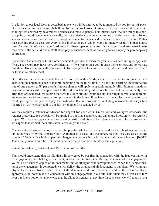In addition to our legal fees, as described above, we will be entitled to be reimbursed by you for out-of-pocket expenses that we pay on your behalf and for our internal costs. Out-of-pocket expenses include items such as filing fees charged by government agencies and travel expenses. Our internal costs include things like photocopying, long-distance telephone calls, fax transmissions, document scanning and electronic transmission, storage, and retrieval, courier services, computer research charges, and complex document production. Rather than tracking precise costs for every single internal charge (which would ultimately result in higher hourly rates for our clients), we charge fixed costs for these types of expenses. Our charges for these internal costs may exceed the actual direct costs that we pay to outsiders (such as the telephone company or photocopying contractors).

Sometimes it is necessary to hire other persons to provide services for you, such as accounting or appraisal firms. Their work may have more confidentiality if we (rather than you) request their services, and so we may hire them. However, you will be responsible for paying their fees and expenses, whether paid directly to them or to us in reimbursement.

Our bills are due when rendered. If a bill is not paid within 30 days after it is mailed to you, interest will accrue on the unpaid balance of that bill beginning on the thirty-first (31<sup>st</sup>) day and accruing thereafter at the rate of one percent (1%) per month. Interest charges will apply to specific monthly bills. Payments made on past-due accounts will be applied first to the oldest outstanding bill. If our bills are not paid reasonably soon after they are rendered, we reserve the right to stop work until your account is brought current and appropriate measures are taken to ensure prompt payment in the future. If we have to bring collection efforts for payment, you agree that you will pay the costs of collection procedures, including reasonable attorneys fees incurred by us (whether paid to our firm or another firm retained by us).

We may require a retainer or advance fee deposit for your work. Unless you and we agree otherwise, the retainer or advance fee deposit will be applied to our final statement, and any unused portion will be returned to you. We may also request an advance cost deposit (in addition to the retainer or advance fee deposit) when we expect that we will incur substantial costs on your behalf.

You should understand that our fees will be payable whether or not approved by the inheritance and estate tax authorities or by the Probate Court. Although it is usual and customary to look to estate assets as the source of funds with which to pay our charges, the responsibility for payment ultimately is yours [NOTE: This arrangement would be prohibited in certain states that have statutory fee legislation].

# Retention, Delivery, Retrieval, and Destruction of the Files

You should understand that the file that will be created by our firm in connection with the [subject matter of the engagement] will belong to our client, as identified in this letter. During the course of this engagement, you will be furnished copies of all documents and of all significant correspondence. When the [subject matter of the engagement] is completed, we will deliver the originals of all documents to our client. We will retain physical and/or electronic copies of all of the documents, all correspondence, and, to the extent we deem appropriate, all notes made in connection with this engagement in our file. Our client may direct us to turn over our file to you or to anyone else that the client designates, at any time. In such case, we will retain in our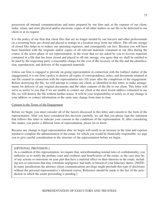possession all internal communications and notes prepared by our firm and, at the expense of our client, make, retain, and store physical and/or electronic copies of all other matters in our file to be delivered to our client or at its request.

It is the policy of our firm that client files that are no longer needed by our lawyers and other professionals on a recurring basis are closed and placed in storage in a location away from our offices. The off-site storage of closed files helps us to reduce our operating expenses, and consequently our fees. Because you will have been furnished with the originals and/or copies of all relevant materials contained in our files during the course of the active phase of our representation, in the event that we are asked by you to recover materials contained in a file that has been closed and placed in off-site storage, you agree that we shall be entitled to be paid by the requesting party a reasonable charge for the cost of the recovery of the file and the identification, reproduction, and delivery of the requested materials.

Unless our firm is engaged to provide on-going representation in connection with the [subject matter of the engagement], it is our firm's policy to destroy all copies of correspondence, notes, and documents retained in our file created in connection with the representation ten (10) years after the completion of the engagement. Before destroying the file, we will attempt to contact our client, as identified in this letter, to make arrangements for delivery of any original documents and the other contents of the file to our client. This letter will serve as notice to you that if we are unable to contact our client at the most recent address contained in our file, we will destroy the file without further notice. It will be your responsibility to notify us of any change in your address or contact information as the same may change from time to time.

#### Consent to the Terms of the Engagement

Before we begin, you must consider all of the factors discussed in this letter and consent to the form of the representation. After you have considered this decision carefully, we ask that you please sign the statement that follows this letter to indicate your consent to the conditions of the representation. If, after considering this matter, you prefer a different form of representation, please let us know.

Because any change in legal representation after we begin will result in an increase in the time and expense needed to complete the administration of the estate, for which you would be financially responsible, we urge you to give careful consideration to the structure of the representation before we begin.

# [OPTIONAL PROVISION:]

As a condition of this representation, we require that, notwithstanding normal rules of confidentiality, you authorize us to notify the probate court and creditors and beneficiaries of the estate, as the case may be, of any actions or omissions on your part that have a material effect on their interests in the estate, including acts or omissions that may constitute negligence, bad faith, or breach of your fiduciary duties. [NOTE: In many jurisdictions the attorney-client communications privilege might preclude this type of disclosure without the personal representative's informed waiver. Reference should be made to the law of the jurisdiction in which the estate proceeding is pending.]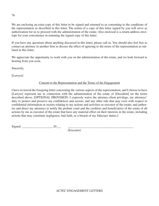We are enclosing an extra copy of this letter to be signed and returned to us consenting to the conditions of the representation as described in this letter. The return of a copy of this letter signed by you will serve as authorization for us to proceed with the administration of the estate. Also enclosed is a return-address envelope for your convenience in returning the signed copy of this letter.

If you have any questions about anything discussed in this letter, please call us. You should also feel free to contact an attorney in another firm to discuss the effect of agreeing to the terms of the representation as outlined in this letter.

We appreciate the opportunity to work with you on the administration of the estate, and we look forward to hearing from you soon.

Sincerely,

[Lawyer]

# Consent to the Representation and the Terms of the Engagement

I have reviewed the foregoing letter concerning the various aspects of the representation, and I choose to have [Lawyer] represent me in connection with the administration of the estate of [Decedent] on the terms described above. [OPTIONAL PROVISION: I expressly waive the attorney-client privilege, my attorneys' duty to protect and preserve my confidences and secrets, and any other rule that may exist with respect to confidential information or secrets relating to my actions and activities as executor of the estate; and authorize and direct my attorneys to notify the probate court and the creditors and beneficiaries of the estate of all actions by me as executor of the estate that have any material effect on their interests in the estate, including actions that may constitute negligence, bad faith, or a breach of my fiduciary duties.]

Signed: \_\_\_\_\_\_\_\_\_\_\_\_\_\_\_\_\_\_\_, 20\_\_\_ \_\_\_\_\_\_\_\_\_\_\_\_\_\_\_\_\_\_\_\_\_\_\_\_\_\_\_\_\_\_\_\_\_\_\_\_\_\_\_\_\_\_

(Executor)

76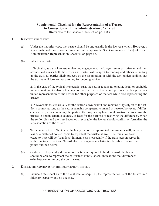# **Supplemental Checklist for the Representation of a Trustee in Connection with the Administration of a Trust**

(Refer also to the General Checklist on pp. 4-8.)

#### 1. IDENTIFY THE CLIENT.

- (a) Under the majority view, the trustee should be and usually is the lawyer's client. However, a few courts and practitioners favor an entity approach. See Comments at 1.(b) of Estate Administration Representation Checklist on page 68.
- (b) Inter vivos trusts:

1. Typically, as part of an estate planning engagement, the lawyer serves as scrivener and then advises and assists both the settlor and trustee with respect to funding and otherwise setting up the trust; all parties likely proceed on the assumption, or with the tacit understanding, that the trustee will look to that attorney for ongoing advice.

2. In the case of the typical irrevocable trust, the settlor retains no ongoing legal or equitable interest, making it unlikely that any conflicts will arise that would preclude the lawyer's continued representation of the settlor for other purposes or matters while also representing the trustee.

3. A revocable trust is usually for the settlor's own benefit and remains fully subject to the settlor's control as long as the settlor remains competent to amend or revoke; however, if differences arise [between/among] the parties, the lawyer may have no alternative but to advise the trustee to obtain separate counsel, at least for the purpose of resolving the differences. When the settlor dies and the trust becomes irrevocable, the lawyer should confirm or formalize the representation of the trustee.

- (c) Testamentary trusts: Typically, the lawyer who has represented the executor will, more or less as a matter of course, come to represent the trustee as well. The transition from estate to trust will be "seamless" in many cases, especially if the same person serves in both fiduciary capacities. Nevertheless, an engagement letter is advisable to cover the points outlined below.
- (d) Co-trustees: Especially if unanimous action is required to bind the trust, the lawyer should be able to represent the co-trustees jointly, absent indications that differences exist between or among the co-trustees.
- 2. DEFINE THE CONTENTS OF THE ENGAGEMENT LETTER.
	- (a) Include a statement as to the client relationship, i.e., the representation is of the trustee in a fiduciary capacity and no one else.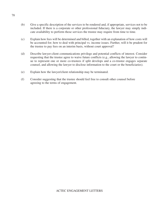- (b) Give a specific description of the services to be rendered and, if appropriate, services not to be included. If there is a corporate or other professional fiduciary, the lawyer may simply indicate availability to perform those services the trustee may require from time to time.
- (c) Explain how fees will be determined and billed, together with an explanation of how costs will be accounted for; how to deal with principal vs. income issues. Further, will it be prudent for the trustee to pay fees on an interim basis, without court approval?
- (d) Describe lawyer-client communications privilege and potential conflicts of interest. Consider requesting that the trustee agree to waive future conflicts (e.g., allowing the lawyer to continue to represent one or more co-trustees if split develops and a co-trustee engages separate counsel, and allowing the lawyer to disclose information to the court or the beneficiaries).
- (e) Explain how the lawyer/client relationship may be terminated.
- (f) Consider suggesting that the trustee should feel free to consult other counsel before agreeing to the terms of engagement.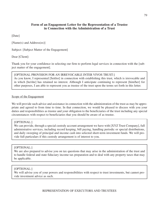# **Form of an Engagement Letter for the Representation of a Trustee in Connection with the Administration of a Trust**

[Date]

[Name(s) and Address(es)]

Subject: [Subject Matter of the Engagement]

Dear [Client]:

Thank you for your confidence in selecting our firm to perform legal services in connection with the [subject matter of the engagement].

#### [OPTIONAL PROVISION FOR AN IRREVOCABLE INTER VIVOS TRUST:]

As you know, I represented [Settlor] in connection with establishing this trust, which is irrevocable and in which [he/she] has retained no interest. Although I anticipate continuing to represent [him/her] for other purposes, I am able to represent you as trustee of the trust upon the terms set forth in this letter.

#### Scope of the Engagement

We will provide such advice and assistance in connection with the administration of the trust as may be appropriate and agreed to from time to time. In that connection, we would be pleased to discuss with you your duties and responsibilities as trustee and your obligation to the beneficiaries of the trust including any special circumstances with respect to beneficiaries that you should be aware of as trustee.

#### [OPTIONAL:1

We can provide, through a special custody account arrangement we have with [XYZ Trust Company], full administrative services, including record keeping, bill paying, handling periodic or special distributions, and daily sweeping of principal and income cash into selected short-term investment funds. We will provide full particulars if this custody arrangement is of interest to you.

#### [OPTIONAL:]

We are also prepared to advise you on tax questions that may arise in the administration of the trust and to handle federal and state fiduciary income tax preparation and to deal with any property taxes that may be applicable.

#### [OPTIONAL:]

We will advise you of your powers and responsibilities with respect to trust investments, but cannot provide investment advice as such.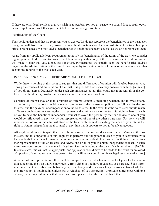If there are other legal services that you wish us to perform for you as trustee, we should first consult together and supplement this letter agreement before commencing those tasks.

#### Identification of the Client

You should understand that we represent you as trustee. We do not represent the beneficiaries of the trust, even though we will, from time to time, provide them with information about the administration of the trust. In appropriate circumstances, we may advise beneficiaries to obtain independent counsel as we do not represent them.

Apart from any applicable legal requirement to notify the beneficiaries of the terms of the trust, we consider it good practice to do so and to provide each beneficiary with a copy of the trust agreement. In doing so, we will make it clear that you, alone, are our client. Furthermore, we usually keep the beneficiaries advised regarding the administration of the trust; for example, by furnishing copies of the income tax returns or other accounting reports of the trust each year.

# [SPECIAL LANGUAGE IF THERE ARE MULTIPLE TRUSTEES:]

While there is nothing at this point to suggest that any differences of opinion will develop between you, during the course of administration of the trust, it is possible that issues may arise on which the [number] of you do not agree. Ordinarily, under such circumstances, a law firm could not represent all of the cotrustees without being involved in a serious conflict-of-interest problem.

Conflicts of interest may arise in a number of different contexts, including whether, and to what extent, discretionary distributions should be made from the trust, the investment policy to be followed by the cotrustees, and the payment of compensation to the co-trustees. In the event that the co-trustees should reach different conclusions concerning the management and administration of the trust, it might be best for each of you to have the benefit of independent counsel to avoid the possibility that our advice to one of you would be influenced in any way by our representation of one of the other co-trustees. For now, we will represent all of you in the administration of the trust, with the understanding that each of you retains the right to obtain independent legal counsel at any time that it appears to you to be advantageous.

Although we do not anticipate that it will be necessary, if a conflict does arise [between/among] the cotrustees, and it is impossible in our judgment to perform our obligations to each of you in accordance with the standards that we would maintain in representing any individual client, we will withdraw from all further representation of the co-trustees and advise one or all of you to obtain independent counsel. In such event, we would submit a statement for legal services rendered up to the date of such withdrawal. [NOTE: In some states, this will not be appropriate, and application would have to be made to the court for an award of a portion of the single statutory attorney's fee that will be awarded for ordinary legal services to the trust.]

As a part of our representation, there will be complete and free disclosure to each of you of all information concerning the trust that we may receive from either of you in your capacity as co-trustee. Such information will not be confidential between you, collectively, and us as your lawyers, irrespective of whether the information is obtained in conferences at which all of you are present, or private conferences with one of you, including conferences that may have taken place before the date of this letter.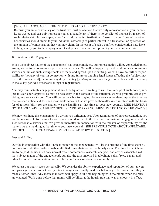# [SPECIAL LANGUAGE IF THE TRUSTEE IS ALSO A BENEFICIARY:]

Because you are a beneficiary of the trust, we must advise you that we only represent you in your capacity as trustee and can only represent you as a beneficiary if there is no conflict of interest by reason of such relationship. For example, a conflict could arise in distribution of assets to you if one of the other beneficiaries should object to your individual ownership of partial interest in a trust asset; or by reason of the amount of compensation that you may claim. In the event of such a conflict, consideration may have to be given by you to the employment of independent counsel to represent your personal interests.

# Termination of the Engagement

When the [subject matter of the engagement] has been completed, our representation will be concluded unless arrangements for a continuing representation are made. We will be happy to provide additional or continuing services but unless such arrangements are made and agreed upon in writing, we will have no further responsibility to [you/any of you] in connection with any future or ongoing legal issues affecting the [subject matter of the engagement], including any duty to notify [you/any of you] of changes in the laws or the necessity to make any periodic or renewal filings or registrations.

You may terminate this engagement at any time by notice in writing to us. Upon receipt of such notice, subject to such court approval as may be necessary in the context of the situation, we will promptly cease providing any service to you. You will be responsible for paying for our services rendered up to the time we receive such notice and for such reasonable services that we provide thereafter in connection with the transfer of responsibility for the matters we are handling at that time to your new counsel. [SEE PREVIOUS NOTE ABOUT APPLICABILITY OF THIS TYPE OF ARRANGEMENT IN STATUTORY FEE STATES.]

We may terminate this engagement by giving you written notice. Upon termination of our representation, you will be responsible for paying for our services rendered up to the time we terminate our engagement and for such reasonable services that we provide thereafter in connection with the transfer of responsibility for the matters we are handling at that time to your new counsel. [SEE PREVIOUS NOTE ABOUT APPLICABIL-ITY OF THIS TYPE OF ARRANGEMENT IN STATUTORY FEE STATES.]

# Fees and Billing

Our fee in connection with the [subject matter of the engagement] will be the product of the time spent by our lawyers and other professionals multiplied times their respective hourly rates. The time for which we are to be paid includes not only normal office conferences, research, analysis, and advice associated with the [subject matter of the engagement], but also the time involved in telephone calls, faxes, e-mail, and other forms of communication. We will bill you for our services on a monthly basis

We adjust our hourly rates periodically. We consider the ability, experience, and reputation of our lawyers and paralegals when we set hourly rates. Changes are usually made each January 1, but sometimes they are made at other times. Any increase in rates will apply to all time beginning with the month when the rates are changed. Work done before that month will be billed at the hourly rate that was previously in effect.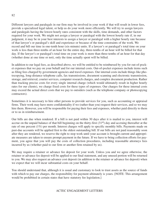Different lawyers and paralegals in our firm may be involved in your work if that will result in lower fees, provide a specialized legal talent, or help us do your work more efficiently. We will try to assign lawyers and paralegals having the lowest hourly rates consistent with the skills, time demands, and other factors required for your work. We might not assign a lawyer or paralegal with the lowest hourly rate if, in our judgment, it may be in your best interests to assign a lawyer or paralegal with a higher hourly rate because of that lawyer's or paralegal's skill and experience or because of the time constraints of the work. We record and bill our time in one-tenth hour (six-minute) units. If a lawyer's or paralegal's total time on your work is less than three-tenths of an hour for the entire day, three-tenths of an hour will be billed for that day. If the lawyer's or paralegal's total time on your work is more than three-tenths of an hour for that day (whether done at one time or not), only the time actually spent will be billed.

In addition to our legal fees, as described above, we will be entitled to be reimbursed by you for out-of-pocket expenses that we pay on your behalf and for our internal costs. Out-of-pocket expenses include items such as filing fees charged by government agencies and travel expenses. Our internal costs include things like photocopying, long-distance telephone calls, fax transmissions, document scanning and electronic transmission, storage, and retrieval, courier services, computer research charges, and complex document production. Rather than tracking precise costs for every single internal charge (which would ultimately result in higher hourly rates for our clients), we charge fixed costs for these types of expenses. Our charges for these internal costs may exceed the actual direct costs that we pay to outsiders (such as the telephone company or photocopying contractors).

Sometimes it is necessary to hire other persons to provide services for you, such as accounting or appraisal firms. Their work may have more confidentiality if we (rather than you) request their services, and so we may hire them. However, you will be responsible for paying their fees and expenses, whether paid directly to them or to us in reimbursement.

Our bills are due when rendered. If a bill is not paid within 30 days after it is mailed to you, interest will accrue on the unpaid balance of that bill beginning on the thirty-first (31<sup>st</sup>) day and accruing thereafter at the rate of one percent (1%) per month. Interest charges will apply to specific monthly bills. Payments made on past-due accounts will be applied first to the oldest outstanding bill. If our bills are not paid reasonably soon after they are rendered, we reserve the right to stop work until your account is brought current and appropriate measures are taken to ensure prompt payment in the future. If we have to bring collection efforts for payment, you agree that you will pay the costs of collection procedures, including reasonable attorneys fees incurred by us (whether paid to our firm or another firm retained by us).

We may require a retainer or advance fee deposit for your work. Unless you and we agree otherwise, the retainer or advance fee deposit will be applied to our final statement, and any unused portion will be returned to you. We may also request an advance cost deposit (in addition to the retainer or advance fee deposit) when we expect that we will incur substantial costs on your behalf.

You should understand that, although it is usual and customary to look to trust assets as the source of funds with which to pay our charges, the responsibility for payment ultimately is yours. [NOTE: This arrangement would be prohibited in certain states that have statutory fee legislation.]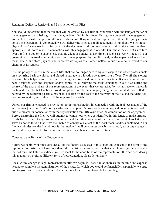#### Retention, Delivery, Retrieval, and Destruction of the Files

You should understand that the file that will be created by our firm in connection with the [subject matter of the engagement] will belong to our client, as identified in this letter. During the course of this engagement, you will be furnished copies of all documents and of all significant correspondence. When the [subject matter of the engagement] is completed, we will deliver the originals of all documents to our client. We will retain physical and/or electronic copies of all of the documents, all correspondence, and, to the extent we deem appropriate, all notes made in connection with this engagement in our file. Our client may direct us to turn over our file to you or to anyone else that the client designates, at any time. In such case, we will retain in our possession all internal communications and notes prepared by our firm and, at the expense of our client, make, retain, and store physical and/or electronic copies of all other matters in our file to be delivered to our client or at its request.

It is the policy of our firm that client files that are no longer needed by our lawyers and other professionals on a recurring basis are closed and placed in storage in a location away from our offices. The off-site storage of closed files helps us to reduce our operating expenses, and consequently our fees. Because you will have been furnished with the originals and/or copies of all relevant materials contained in our files during the course of the active phase of our representation, in the event that we are asked by you to recover materials contained in a file that has been closed and placed in off-site storage, you agree that we shall be entitled to be paid by the requesting party a reasonable charge for the cost of the recovery of the file and the identification, reproduction, and delivery of the requested materials.

Unless our firm is engaged to provide on-going representation in connection with the [subject matter of the engagement], it is our firm's policy to destroy all copies of correspondence, notes, and documents retained in our file created in connection with the representation ten (10) years after the completion of the engagement. Before destroying the file, we will attempt to contact our client, as identified in this letter, to make arrangements for delivery of any original documents and the other contents of the file to our client. This letter will serve as notice to you that if we are unable to contact our client at the most recent address contained in our file, we will destroy the file without further notice. It will be your responsibility to notify us of any change in your address or contact information as the same may change from time to time.

#### Consent to the Terms of the Engagement

Before we begin, you must consider all of the factors discussed in this letter and consent to the form of the representation. After you have considered this decision carefully, we ask that you please sign the statement that follows this letter to indicate your consent to the conditions of the representation. If, after considering this matter, you prefer a different form of representation, please let us know.

Because any change in legal representation after we begin will result in an increase in the time and expense needed to complete the administration of the estate, for which you would be financially responsible, we urge you to give careful consideration to the structure of the representation before we begin.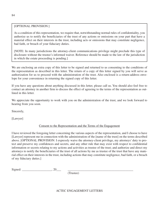#### [OPTIONAL PROVISION:]

As a condition of this representation, we require that, notwithstanding normal rules of confidentiality, you authorize us to notify the beneficiaries of the trust of any actions or omissions on your part that have a material effect on their interests in the trust, including acts or omissions that may constitute negligence, bad faith, or breach of your fiduciary duties.

[NOTE: In many jurisdictions the attorney-client communications privilege might preclude this type of disclosure without the trustee's informed waiver. Reference should be made to the law of the jurisdiction in which the estate proceeding is pending.]

We are enclosing an extra copy of this letter to be signed and returned to us consenting to the conditions of the representation as described in this letter. The return of a copy of this letter signed by you will serve as authorization for us to proceed with the administration of the trust. Also enclosed is a return-address envelope for your convenience in returning the signed copy of this letter.

If you have any questions about anything discussed in this letter, please call us. You should also feel free to contact an attorney in another firm to discuss the effect of agreeing to the terms of the representation as outlined in this letter.

We appreciate the opportunity to work with you on the administration of the trust, and we look forward to hearing from you soon.

Sincerely,

[Lawyer]

# Consent to the Representation and the Terms of the Engagement

I have reviewed the foregoing letter concerning the various aspects of the representation, and I choose to have [Lawyer] represent me in connection with the administration of the [name of the trust] on the terms described above. [OPTIONAL PROVISION: I expressly waive the attorney-client privilege, my attorneys' duty to protect and preserve my confidences and secrets, and any other rule that may exist with respect to confidential information or secrets relating to my actions and activities as trustee of the trust; and authorize and direct my attorneys to notify the beneficiaries of the trust of all actions by me as trustee of the trust that have any material effect on their interests in the trust, including actions that may constitute negligence, bad faith, or a breach of my fiduciary duties.]

Signed: \_\_\_\_\_\_\_\_\_\_\_\_\_\_\_\_\_\_\_, 20\_\_\_ \_\_\_\_\_\_\_\_\_\_\_\_\_\_\_\_\_\_\_\_\_\_\_\_\_\_\_\_\_\_\_\_\_\_\_\_\_\_\_\_\_\_

(Trustee)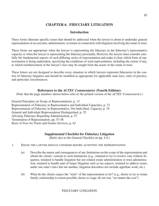# **CHAPTER 6. FIDUCIARY LITIGATION**

# **Introduction**

These forms illustrate specific issues that should be addressed when the lawyer is about to undertake general representation of an executor, administrator, or trustee in connection with litigation involving the estate or trust.

These forms are appropriate when the lawyer is representing the fiduciary in the fiduciary's representative capacity or when the lawyer is representing the fiduciary personally. However, the lawyer must consider carefully the fundamental aspects of such differing styles of representation and make it clear which form of representation is being undertaken, specifying the conditions of such representation, including the extent, if any, to which reimbursement of the lawyer's fees may be sought from the assets of the estate or trust.

These letters are not designed to describe every situation in which lawyers represent fiduciaries in the context of fiduciary litigation and should be modified as appropriate for applicable state laws, rules of practice, and particular circumstances.

# **References to the** *ACTEC Commentaries* **(Fourth Edition):**

(Note that the page numbers shown below refer to the printed version of the *ACTEC Commentaries.*)

General Principles (re Scope of Representation), p. 13 Representation of Fiduciary in Representative and Individual Capacities, p. 33 Representation of Fiduciary in Representative, Not Individual, Capacity, p. 35 General and Individual Representation Distinguished, p. 35 Advising Fiduciary Regarding Administration, p. 57 Termination of Representation, pp. 57-58 Basis of Fees for Trusts and Estates Services, p. 63

# **Supplemental Checklist for Fiduciary Litigation**

(Refer also to the General Checklist on pp. 4-8.)

# 1. ISSUES THE LAWYER SHOULD CONSIDER BEFORE ACCEPTING THE REPRESENTATION

- (a) Describe the nature and consequences of any limitations on the scope of the representation and obtain the clients' consent to such limitations (e.g., retained to try to resolve case without litigation, retained to handle litigation but not related estate administration or trust administration, retained to handle part of larger litigation such as tax aspects, retained to address issues under one state's laws but not another, litigation does/does not include appellate work, etc.).
- (b) What do the clients expect the "style" of the representation to be? (e.g., desire to try to retain family relationship to extent possible; desire to wage all out war, "no matter the cost")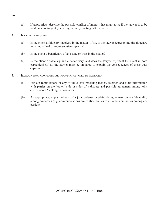- (c) If appropriate, describe the possible conflict of interest that might arise if the lawyer is to be paid on a contingent (including partially contingent) fee basis.
- 2. IDENTIFY THE CLIENT.
	- (a) Is the client a fiduciary involved in the matter? If so, is the lawyer representing the fiduciary in its individual or representative capacity?
	- (b) Is the client a beneficiary of an estate or trust in the matter?
	- (c) Is the client a fiduciary and a beneficiary, and does the lawyer represent the client in both capacities? (If so, the lawyer must be prepared to explain the consequences of those dual capacities.)
- 3. EXPLAIN HOW CONFIDENTIAL INFORMATION WILL BE HANDLED.
	- (a) Explain ramifications of any of the clients revealing tactics, research and other information with parties on the "other" side or sides of a dispute and possible agreement among joint clients about "leaking" information.
	- (b) As appropriate, explain effects of a joint defense or plaintiffs agreement on confidentiality among co-parties (e.g. communications are confidential as to all others but not as among coparties).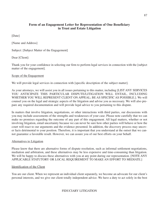# **Form of an Engagement Letter for Representation of One Beneficiary in Trust and Estate Litigation**

[Date]

[Name and Address]

Subject: [Subject Matter of the Engagement]

Dear [Client]:

Thank you for your confidence in selecting our firm to perform legal services in connection with the [subject matter of the engagement].

# Scope of the Engagement

We will provide legal services in connection with [specific description of the subject matter].

As your attorneys, we will assist you in all issues pertaining to this matter, including [LIST ANY SERVICES YOU ANTICIPATE THIS PARTICULAR DISPUTE/LITIGATION WILL ENTAIL, INCLUDING WHETHER YOU WILL REPRESENT CLIENT ON APPEAL; BE AS SPECIFIC AS POSSIBLE.]. We will counsel you on the legal and strategic aspects of the litigation and advise you as necessary. We will also prepare any required documentation and will provide legal advice to you pertaining to this dispute.

In matters that involve litigation, negotiations, or other interactions with third parties, our discussions with you may include assessments of the strengths and weaknesses of your case. Please note carefully that we can make no promises regarding the outcome of any part of this engagement. All legal matters, whether or not involving litigation, entail uncertainty because we can never be sure how other parties will behave or how the court will react to our arguments and the evidence presented. In addition, the discovery process may uncover facts detrimental to your position. Therefore, it is important that you understand at the outset that we cannot guarantee a favorable result. However, we can assure you of our best efforts on your behalf.

# Alternatives to Litigation

Please know that there are alternative forms of dispute resolution, such as informal settlement negotiations, mediation and arbitration, and these alternatives may be less expensive and time-consuming than litigation. We will be happy to discuss these alternatives with you at any point during our representation. [NOTE ANY APPLICABLE STATUTORY OR LOCAL REQUIREMENT TO MAKE AN EFFORT TO MEDIATE.]

# Identification of the Client

You are our client. When we represent an individual client separately, we become an advocate for our client's personal interests, and we give our client totally independent advice. We have a duty to act solely in the best

# FIDUCIARY LITIGATION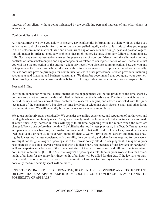88

interests of our client, without being influenced by the conflicting personal interests of any other clients or anyone else.

#### Confidentiality and Privilege

As your attorneys, we owe you a duty to preserve any confidential information you share with us, unless you authorize us to disclose such information or we are compelled legally to do so. It is critical that you engage in full disclosure in the matter at issue and inform us of any of your acts and doings, past and present, regarding this matter in order to avoid any problems that might otherwise arise from any failure to communicate fully. Such separate representation ensures the preservation of your confidences and the elimination of any conflicts of interest between you and any other person as related to our representation of you. Please note that you will lose the protection of the attorney-client privilege if you disclose communications between you and us to persons other than those who need to know the information in order to implement our advice. Generally, the law does not provide privileges for communications with other professional service providers, including accountants and financial and business consultants. We therefore recommend that you guard your attorneyclient privilege closely and consult with us before disclosing confidential communications to anyone else.

#### Fees and Billing

Our fee in connection with the [subject matter of the engagement] will be the product of the time spent by our lawyers and other professionals multiplied by their respective hourly rates. The time for which we are to be paid includes not only normal office conferences, research, analysis, and advice associated with the [subject matter of the engagement], but also the time involved in telephone calls, faxes, e-mail, and other forms of communication. We will generally bill you for our services on a monthly basis.

We adjust our hourly rates periodically. We consider the ability, experience, and reputation of our lawyers and paralegals when we set hourly rates. Changes are usually made each January 1, but sometimes they are made at other times. Any increase in rates will apply to all time beginning with the month when the rates are changed. Work done before that month will be billed at the hourly rates previously in effect. Different lawyers and paralegals in our firm may be involved in your work if that will result in lower fees, provide a specialized legal talent, or help us do your work more efficiently. We will try to assign lawyers and paralegals having the lowest hourly rates consistent with the skills, time demands, and other factors required for your work. We might not assign a lawyer or paralegal with the lowest hourly rate if, in our judgment, it may be in your best interests to assign a lawyer or paralegal with a higher hourly rate because of that lawyer's or paralegal's skill and experience or because of the time constraints of the work. We record and bill our time in one-tenth hour (six-minute) units. [OPTIONAL: If a lawyer's or paralegal's total time on your work is less than threetenths of an hour for the entire day, three-tenths of an hour will be billed for that day. If the lawyer's or paralegal's total time on your work is more than three-tenths of an hour for that day (whether done at one time or not), only the time actually spent will be billed.]

# [INSERT CONTINGENT FEE ALTERNATIVE, IF APPLICABLE; CONSIDER ANY STATE STATUTE OR LAW THAT MAY APPLY; TAKE INTO ACCOUNT RESOLUTION BY SETTLEMENT AND THE POSSIBILITY OF APPEALS.]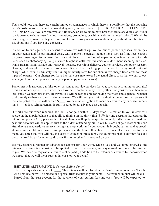You should note that there are certain limited circumstances in which there is a possibility that the opposing party's costs and/or fees could be awarded against you, for instance if [INSERT APPLICABLE ELEMENTS, FOR INSTANCE, "you are removed as a fiduciary or are found to have breached fiduciary duties, or if your suit is deemed to have been frivolous, vexatious, groundless, or without substantial justification."] We will be discussing these issues with you from time to time during our representation, so you should not hesitate to ask about this if you have any concerns.

In addition to our legal fees, as described above, we will charge you for out-of-pocket expenses that we pay on your behalf and for our internal costs. Out-of-pocket expenses include items such as filing fees charged by government agencies, witness fees, transcriptions costs, and travel expenses. Our internal costs include items such as photocopying, long-distance telephone calls, fax transmissions, document scanning and electronic transmission, storage and retrieval, postage, overnight delivery, courier services, computer research charges, and complex document production. Rather than tracking precise costs for every single internal charge (which would ultimately result in higher hourly rates for our clients), we charge fixed costs for these types of expenses. Our charges for these internal costs may exceed the actual direct costs that we pay to outsiders (such as the telephone company or photocopying contractors).

Sometimes it is necessary to hire other persons to provide services for you, such as accounting or appraisal firms and other experts. Their work may have more confidentiality if we (rather than you) request their services, and so we may hire them. However, you will be responsible for paying their fees and expenses, whether paid directly to them or to us in reimbursement. We will seek your prior authorization to hire such persons if the anticipated expense will exceed \$\_\_\_\_. We have no obligation to incur or advance any expense exceeding  $\frac{1}{2}$  unless reimbursement is fully secured by an advance cost deposit.

Our bills are due when rendered. If a bill is not paid within 30 days after it is mailed to you, interest will accrue on the unpaid balance of that bill beginning on the thirty-first (31<sup>st</sup>) day and accruing thereafter at the rate of one percent (1%) per month. Interest charges will apply to specific monthly bills. Payments made on past-due accounts will be applied first to the oldest outstanding bill. If our bills are not paid reasonably soon after they are rendered, we reserve the right to stop work until your account is brought current and appropriate measures are taken to ensure prompt payment in the future. If we have to bring collection efforts for payment, you agree that you will pay the costs of collection procedures, including reasonable attorney fees and costs incurred by us (whether paid to our firm or another firm retained by us).

We may require a retainer or advance fee deposit for your work. Unless you and we agree otherwise, the retainer or advance fee deposit will be applied to our final statement, and any unused portion will be returned to you. We may also request an advance cost deposit (in addition to the retainer or advance fee deposit) when we expect that we will incur substantial costs on your behalf.

# [RETAINER ALTERNATIVE 1: *Current Billing Option*]

The firm requests a retainer of \$\_\_\_\_. This retainer will be placed in the firm's trust account. [OPTION-AL: This retainer will be placed in a special trust account in your name.] The retainer amount will be disbursed from the trust account for the payment of your current fees and costs. You will be expected to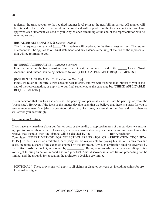replenish the trust account to the required retainer level prior to the next billing period. All monies will be retained in the firm's trust account until earned and will be paid from the trust account after you have approved each statement we send to you. Any balance remaining at the end of the representation will be returned to you.

#### [RETAINER ALTERNATIVE 2: *Deposit Option*]

The firm requests a retainer of \$\_\_\_\_. This retainer will be placed in the firm's trust account. The retainer amount will be applied to our final statement, and any balance remaining at the end of the representation will be returned to you.

# [INTEREST ALTERNATIVE 1: *Interest Bearing*]

Funds we retain in the firm's trust account bear interest, but interest is paid to the \_\_\_\_\_\_ Lawyer Trust Account Fund, rather than being disbursed to you. [CHECK APPLICABLE REQUIREMENTS.]

# [INTEREST ALTERNATIVE 2: *Non-interest Bearing*]

Funds we retain in the firm's trust account bear interest, and we will disburse that interest to you at the end of the representation, or apply it to our final statement, as the case may be. [CHECK APPLICABLE REQUIREMENTS.]

It is understood that our fees and costs will be paid by you personally and will not be paid by, or from, the [trust/estate]. However, if the facts of this matter develop such that we believe that there is a basis for you to seek reimbursement from [the trust/estate/or other party] for some, or even all, of our fees and costs, then we will advise you accordingly.

# Agreement to Arbitrate

If you have any questions about our fees or costs or the quality or appropriateness of our services, we encourage you to discuss them with us. However, if a dispute arises about any such matter and we cannot amicably resolve that dispute, then the dispute will be decided by the Bar Association Committee. [INSERT METHOD FOR SELECTING ARBITRATOR OR ARBITRATION ORGANIZA-TION.] If there is such an arbitration, each party will be responsible for paying his, her or its own fees and costs, including a share of the expenses charged by the arbitrator. Any such arbitration shall be governed by the Uniform Arbitration Act, as adopted by \_\_\_\_\_\_\_\_\_\_\_. By agreeing to arbitration, you are relinquishing your right to bring an action in court and to a jury trial. Also, discovery in an arbitration proceeding can be limited, and the grounds for appealing the arbitrator's decision are limited.

[OPTIONAL:] These provisions will apply to all claims or disputes between us, including claims for professional negligence.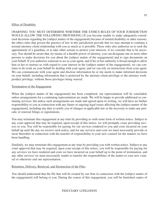# Effect of Disability

[WARNING: YOU MUST DETERMINE WHETHER THE ETHICS RULES OF YOUR JURISDICTION WOULD ALLOW THE FOLLOWING PROVISIONS.] If you become unable to make adequately-considered decisions regarding the [subject matter of the engagement] because of mental disability or other reasons, the ethics rules that govern the practice of law in this jurisdiction provide that we may attempt to continue a normal attorney-client relationship with you as much as is possible. Those rules also authorize us to seek the appointment of a guardian, or to take other actions to protect your interests, if we consider that to be necessary. You should be aware that, by means of a durable power of attorney, you can designate one or more other persons to make decisions for you about the [subject matter of the engagement] and to sign documents on your behalf. If you authorize someone to act as your agent, and if his or her authority is broad enough to allow him or her to instruct us with regard to your interest in the [subject matter of the engagement], we can continue to do work on your behalf by dealing with your agent, and we can rely on instructions from your agent. We can communicate with your agent and disclose information he or she needs to make informed decisions on your behalf, including information that is protected by the attorney-client privilege or the attorney workproduct privilege, without those privileges being waived.

# Termination of the Engagement

When the [subject matter of the engagement] has been completed, our representation will be concluded, unless arrangements for a continuing representation are made. We will be happy to provide additional or continuing services, but unless such arrangements are made and agreed upon in writing, we will have no further responsibility to you in connection with any future or ongoing legal issues affecting the [subject matter of the engagement], including any duty to notify you of changes in applicable law or the necessity to make any periodic or renewal filings or registrations.

You may terminate this engagement at any time by providing us with some form of written notice. Subject to any court approval that may be required, upon receipt of this notice, we will promptly cease providing services to you. You will be responsible for paying for our services rendered to you and costs incurred on your behalf up until the day we receive such notice, and for any services and costs we must necessarily provide or incur thereafter in connection with the transfer of responsibility to your new counsel for the matters we have been handling.

Similarly, we may terminate this engagement at any time by providing you with written notice. Subject to any court approval that may be required, upon your receipt of this notice, you will be responsible for paying for any services we have rendered and costs we have incurred on your behalf up to the point of termination, and any other services we must necessarily render to transfer the responsibilities of the matter to your new counsel or otherwise end our representation.

# Retention, Delivery, Retrieval, and Destruction of the Files

You should understand that the file that will be created by our firm in connection with the [subject matter of the engagement] will belong to you. During the course of this engagement, you will be furnished copies of

# FIDUCIARY LITIGATION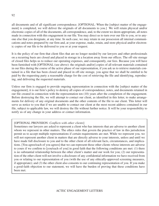all documents and of all significant correspondence. [OPTIONAL: When the [subject matter of the engagement] is completed, we will deliver the originals of all documents to you.] We will retain physical and/or electronic copies of all of the documents, all correspondence, and, to the extent we deem appropriate, all notes made in connection with this engagement in our file. You may direct us to turn over our file to you, or to anyone else that you designate, at any time. In such case, we may retain in our possession all internal communications and notes prepared by our firm and, at your expense, make, retain, and store physical and/or electronic copies of our file to be delivered to you or at your request.

It is the policy of our firm that client files that are no longer needed by our lawyers and other professionals on a recurring basis are closed and placed in storage in a location away from our offices. The off-site storage of closed files helps us to reduce our operating expenses, and consequently, our fees. Because you will have been furnished with [OPTIONAL (see above): the originals and/or] copies of all relevant materials contained in our files during the course of the active phase of our representation, if you ask us to retrieve materials contained in a file that has been closed and placed in off-site storage, you agree that we shall be entitled to be paid by the requesting party a reasonable charge for the cost of retrieving the file and identifying, reproducing, and delivering the requested materials.

Unless our firm is engaged to provide ongoing representation in connection with the [subject matter of the engagement], it is our firm's policy to destroy all copies of correspondence, notes, and documents retained in our file created in connection with the representation ten (10) years after the completion of the engagement. Before destroying the file, we will attempt to contact our client, as identified in this letter, to make arrangements for delivery of any original documents and the other contents of the file to our client. This letter will serve as notice to you that if we are unable to contact our client at the most recent address contained in our file, subject to applicable law, we will destroy the file without further notice. It will be your responsibility to notify us of any change in your address or contact information.

# [OPTIONAL PROVISION: *Conflicts with other clients*]

Sometimes our lawyers are asked to represent a client who has interests that are adverse to another client whom we represent in other matters. The ethics rules that govern the practice of law in this jurisdiction permit us to accept multiple representations if certain requirements are met. While we represent you, we will not represent another client in matters that are directly adverse to your interests, unless and until we have made full disclosure to you and to the other client of all relevant facts, circumstances, and implications. [You agree/each of you agrees] that we can represent those other clients whose interests are adverse to yours if we confirm to [you/each of you] in good faith that the following conditions are met: (1) there is no substantial relationship between the other client's matter and our work for you; (2) our representation of the other client will not involve a disclosure of any confidential information we have received from you or relating to our representation of you (with the use of any ethically-approved screening measures, if appropriate); and (3) the other client also consents to our continuing representation of you. If you make a good-faith objection to our statement, we will have the burden of proving that these conditions have been met.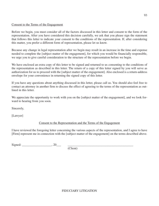#### Consent to the Terms of the Engagement

Before we begin, you must consider all of the factors discussed in this letter and consent to the form of the representation. After you have considered this decision carefully, we ask that you please sign the statement that follows this letter to indicate your consent to the conditions of the representation. If, after considering this matter, you prefer a different form of representation, please let us know.

Because any change in legal representation after we begin may result in an increase in the time and expense needed to complete the [subject matter of the engagement], for which you would be financially responsible, we urge you to give careful consideration to the structure of the representation before we begin.

We have enclosed an extra copy of this letter to be signed and returned to us consenting to the conditions of the representation as described in this letter. The return of a copy of this letter signed by you will serve as authorization for us to proceed with the [subject matter of the engagement]. Also enclosed is a return-address envelope for your convenience in returning the signed copy of this letter.

If you have any questions about anything discussed in this letter, please call us. You should also feel free to contact an attorney in another firm to discuss the effect of agreeing to the terms of the representation as outlined in this letter.

We appreciate the opportunity to work with you on the [subject matter of the engagement], and we look forward to hearing from you soon.

Sincerely,

[Lawyer]

# Consent to the Representation and the Terms of the Engagement

I have reviewed the foregoing letter concerning the various aspects of the representation, and I agree to have [Firm] represent me in connection with the [subject matter of the engagement] on the terms described above.

 $Signed:$   $30$ 

(Client)

# FIDUCIARY LITIGATION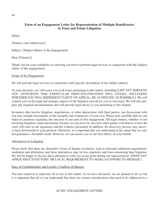# **Form of an Engagement Letter for Representation of Multiple Beneficiaries in Trust and Estate Litigation**

[Date]

[Name(s) and Address(es)]

Subject: [Subject Matter of the Engagement]

Dear [Client(s)]:

Thank you for your confidence in selecting our firm to perform legal services in connection with the [subject matter of the engagement].

# Scope of the Engagement

We will provide legal services in connection with [specific description of the subject matter].

As your attorneys, we will assist you in all issues pertaining to this matter, including [LIST ANY SERVICES YOU ANTICIPATE THIS PARTICULAR DISPUTE/LITIGATION WILL ENTAIL, INCLUDING WHETHER YOU WILL REPRESENT CLIENT ON APPEAL; BE AS SPECIFIC AS POSSIBLE.]. We will counsel you on the legal and strategic aspects of the litigation and advise you as necessary. We will also prepare any required documentation and will provide legal advice to you pertaining to this dispute.

In matters that involve litigation, negotiations, or other interactions with third parties, our discussions with you may include assessments of the strengths and weaknesses of your case. Please note carefully that we can make no promises regarding the outcome of any part of this engagement. All legal matters, whether or not involving litigation, entail uncertainty because we can never be sure how other parties will behave or how the court will react to our arguments and the evidence presented. In addition, the discovery process may uncover facts detrimental to your position. Therefore, it is important that you understand at the outset that we cannot guarantee a favorable result. However, we can assure you of our best efforts on your behalf.

# Alternatives to Litigation

Please know that there are alternative forms of dispute resolution, such as informal settlement negotiations, mediation and arbitration, and these alternatives may be less expensive and time-consuming than litigation. We will be happy to discuss these alternatives with you at any point during our representation. [NOTE ANY APPLICABLE STATUTORY OR LOCAL REQUIREMENT TO MAKE AN EFFORT TO MEDIATE.]

# Duty of Confidentiality and Loyalty; Conflicts of Interest

You have asked us to represent all of you in this matter. As we have discussed, we are pleased to do so, but it is important that all of you understand that there are certain considerations that need to be addressed in a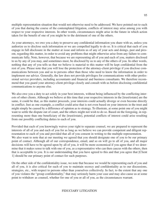multiple representation situation that would not otherwise need to be addressed. We have pointed out to each of you that during the course of the contemplated litigation, conflicts of interest may arise among you with respect to your respective interests. In other words, circumstances might arise in the future in which action taken for the benefit of one of you might be to the detriment of one of the others.

As your attorneys, we owe you a duty to preserve any confidential information you share with us, unless you authorize us to disclose such information or we are compelled legally to do so. It is critical that each of you engage in full disclosure in the matter at issue and inform us of any of your acts and doings, past and present, regarding this matter, in order to avoid any problems that might otherwise arise from any failure to communicate fully. Note, however, that because we are representing all of you and each of you, matters disclosed to us by any of you may, and sometimes must, be disclosed by us to any of the others of you. In other words, nothing that any of you tells us that we believe is material to this matter will be kept confidential from the rest of you. Please note that you will lose the protection of the attorney-client privilege if you disclose communications between you and us to persons other than those who need to know the information in order to implement our advice. Generally, the law does not provide privileges for communications with other professional service providers, including accountants and financial and business consultants. We therefore recommend that you guard your attorney-client privilege closely and consult with us before disclosing confidential communications to anyone else.

We also owe you a duty to act solely in your best interests, without being influenced by the conflicting interests of other clients. Although we believe at this time that your respective interests in the [trust/estate] are the same, it could be that, as this matter proceeds, your interests could actually diverge or even become directly in conflict. Just as one example, a conflict could arise that is not even based on your interests in the trust and might simply be caused by a difference of opinion as to strategy. To illustrate, at some point one of you might want to settle the dispute out of court, and the others might not wish to do so. Based on the foregoing, in representing more than one beneficiary of the [trust/estate], potential conflicts of interest could arise resulting from our possibly conflicting duties to each of you.

Provided that each of you knowingly waives your right to separate counsel, we are prepared to represent the interests of all of you and each of you for as long as we believe we can provide competent and diligent representation to each of you and provided that all of you consent in writing to the multiple representation. We also want to note that at our meeting we agreed that you should designate one of you to be our primary point of contact. Although all of our correspondence, email, and so on will go to all of you, and all major decisions will have to be agreed upon by all of you, it will be more economical if you agree that if we determine that it makes sense to talk with one of you, as a representative who can then caucus with the others, then that is acceptable to you. It is our understanding that you have agreed to this and that you agree that [Client 1] should be our primary point of contact for such purposes.

On the other side of the confidentiality issue, we note that because we would be representing each of you and all of you, it is also critical for each of you to maintain secrecy and confidentiality as to our discussions, strategies, etc., with respect to persons other than yourselves collectively. In fact, to the extent that any one of you violates the "group confidentiality," that may seriously harm your case and may also cause us at some point to withdraw as counsel, whether for one of you or all of you, as the circumstances warrant.

# FIDUCIARY LITIGATION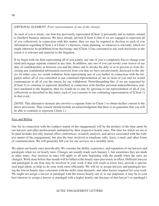# [OPTIONAL ELEMENT: *Prior representation of one of the clients*]

As each of you is aware, our firm has previously represented [Client 1] personally and in matters related to [his/her] business interests. We have already advised [Client 1] that if we are engaged to represent all of you collectively in connection with this matter, then we may be required to disclose to each of you information regarding [Client 1 or Client 1's business, estate planning, or whatever is relevant], which we might otherwise be prohibited from disclosing; and [Client 1] has consented to any such disclosure to the extent it is relevant and material to the litigation.

If we begin with our firm representing all of you jointly, any one of you is completely free to change your mind and engage separate counsel at any time. In addition, any one of you can revoke your waiver of our duty of confidentiality as between you and the others and re-invoke the duty so as to prevent us from disclosing any confidential information received from you that we have not previously disclosed to the others. In either case, we would withdraw from representing any of you further in connection with the litigation unless all of you consented to our continued representation of one or more of you and we would communicate to all of you the reason for our withdrawal. Notwithstanding this, if we are requested by [Client 1] to continue to represent [him/her] in connection with [his/her personal matters/business matters] unrelated to the litigation, then we would do so and, by agreeing to our representation of all of you collectively as described in this letter, each of you consents to our continuing representation of [Client 1] in that event.

[NOTE: This alternative element also involves a separate letter to Client 1 to obtain his/her consent to the above provisions. That consent should include an acknowledgment that there is no guarantee that you will be able to continue to represent Client 1.]

# **Fees and Billing**

Our fee in connection with the [subject matter of the engagement] will be the product of the time spent by our lawyers and other professionals multiplied by their respective hourly rates. The time for which we are to be paid includes not only normal office conferences, research, analysis, and advice associated with the [subject matter of the engagement], but also the time involved in telephone calls, faxes, e-mail, and other forms of communication. We will generally bill you for our services on a monthly basis.

We adjust our hourly rates periodically. We consider the ability, experience, and reputation of our lawyers and paralegals when we set hourly rates. Changes are usually made each January 1, but sometimes they are made at other times. Any increase in rates will apply to all time beginning with the month when the rates are changed. Work done before that month will be billed at the hourly rates previously in effect. Different lawyers and paralegals in our firm may be involved in your work if that will result in lower fees, provide a specialized legal talent, or help us do your work more efficiently. We will try to assign lawyers and paralegals having the lowest hourly rates consistent with the skills, time demands, and other factors required for your work. We might not assign a lawyer or paralegal with the lowest hourly rate if, in our judgment, it may be in your best interests to assign a lawyer or paralegal with a higher hourly rate because of that lawyer's or paralegal's

96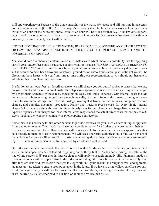skill and experience or because of the time constraints of the work. We record and bill our time in one-tenth hour (six-minute) units. [OPTIONAL: If a lawyer's or paralegal's total time on your work is less than threetenths of an hour for the entire day, three-tenths of an hour will be billed for that day. If the lawyer's or paralegal's total time on your work is more than three-tenths of an hour for that day (whether done at one time or not), only the time actually spent will be billed.]

# [INSERT CONTINGENT FEE ALTERNATIVE, IF APPLICABLE; CONSIDER ANY STATE STATUTE OR LAW THAT MAY APPLY; TAKE INTO ACCOUNT RESOLUTION BY SETTLEMENT AND THE POSSIBILITY OF APPEALS.]

You should note that there are certain limited circumstances in which there is a possibility that the opposing party's costs and/or fees could be awarded against you, for instance if [INSERT APPLICABLE ELEMENTS, FOR INSTANCE, "you are removed as a fiduciary or are found to have breached fiduciary duties, or if your suit is deemed to have been frivolous, vexatious, groundless or without substantial justification."] We will be discussing these issues with you from time to time during our representation, so you should not hesitate to ask about this if you have any concerns.

In addition to our legal fees, as described above, we will charge you for out-of-pocket expenses that we pay on your behalf and for our internal costs. Out-of-pocket expenses include items such as filing fees charged by government agencies, witness fees, transcription costs, and travel expenses. Our internal costs include items such as photocopying, long-distance telephone calls, fax transmissions, document scanning and electronic transmission, storage and retrieval, postage, overnight delivery, courier services, computer research charges, and complex document production. Rather than tracking precise costs for every single internal charge (which would ultimately result in higher hourly rates for our clients), we charge fixed costs for these types of expenses. Our charges for these internal costs may exceed the actual direct costs that we pay to outsiders (such as the telephone company or photocopying contractors).

Sometimes it is necessary to hire other persons to provide services for you, such as accounting or appraisal firms and other experts. Their work may have more confidentiality if we (rather than you) request their services, and so we may hire them. However, you will be responsible for paying their fees and expenses, whether paid directly to them or to us in reimbursement. We will seek your prior authorization to hire such persons if the anticipated expense will exceed \$ we have no obligation to incur or advance any expense exceeding \$\_\_\_\_ unless reimbursement is fully secured by an advance cost deposit.

Our bills are due when rendered. If a bill is not paid within 30 days after it is mailed to you, interest will accrue on the unpaid balance of that bill beginning on the thirty-first (31<sup>st</sup>) day and accruing thereafter at the rate of one percent (1%) per month. Interest charges will apply to specific monthly bills. Payments made on past-due accounts will be applied first to the oldest outstanding bill. If our bills are not paid reasonably soon after they are rendered, we reserve the right to stop work until your account is brought current and appropriate measures are taken to ensure prompt payment in the future. If we have to bring collection efforts for payment, you agree that you will pay the costs of collection procedures, including reasonable attorney fees and costs incurred by us (whether paid to our firm or another firm retained by us).

# FIDUCIARY LITIGATION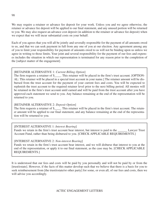We may require a retainer or advance fee deposit for your work. Unless you and we agree otherwise, the retainer or advance fee deposit will be applied to our final statement, and any unused portion will be returned to you. We may also request an advance cost deposit (in addition to the retainer or advance fee deposit) when we expect that we will incur substantial costs on your behalf.

Each of you agrees that you will all be jointly and severally responsible for the payment of all amounts owed to us, and that we can seek payment in full from any one of you at our election. Any agreement among any of you to limit your responsibility for payment of amounts owed to us will not be binding upon us unless we agree in writing to those limits. Your joint and several responsibility for the payment of our fees and expenses includes the situation in which our representation is terminated for any reason prior to the completion of the [subject matter of the engagement].

# [RETAINER ALTERNATIVE 1: *Current Billing Option*]

The firm requests a retainer of \$\_\_\_\_. This retainer will be placed in the firm's trust account. [OPTION-AL: This retainer will be placed in a special trust account in your name.] The retainer amount will be disbursed from the trust account for the payment of your current fees and costs. You will be expected to replenish the trust account to the required retainer level prior to the next billing period. All monies will be retained in the firm's trust account until earned and will be paid from the trust account after you have approved each statement we send to you. Any balance remaining at the end of the representation will be returned to you.

#### [RETAINER ALTERNATIVE 2: *Deposit Option*]

The firm requests a retainer of \$\_\_\_\_. This retainer will be placed in the firm's trust account. The retainer amount will be applied to our final statement, and any balance remaining at the end of the representation will be returned to you.

# [INTEREST ALTERNATIVE 1: *Interest Bearing*]

Funds we retain in the firm's trust account bear interest, but interest is paid to the \_\_\_\_\_\_ Lawyer Trust Account Fund, rather than being disbursed to you. [CHECK APPLICABLE REQUIREMENTS.]

#### [INTEREST ALTERNATIVE 2: *Non-interest Bearing*]

Funds we retain in the firm's trust account bear interest, and we will disburse that interest to you at the end of the representation, or apply it to our final statement, as the case may be. [CHECK APPLICABLE REQUIREMENTS.]

It is understood that our fees and costs will be paid by you personally and will not be paid by or from the [trust/estate]. However, if the facts of this matter develop such that we believe that there is a basis for you to seek reimbursement from [the trust/estate/or other party] for some, or even all, of our fees and costs, then we will advise you accordingly.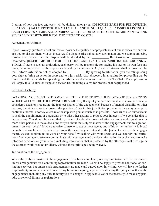#### Agreement to Arbitrate

If you have any questions about our fees or costs or the quality or appropriateness of our services, we encourage you to discuss them with us. However, if a dispute arises about any such matter and we cannot amicably resolve that dispute, then the dispute will be decided by the Bar Association Committee [INSERT METHOD FOR SELECTING ARBITRATOR OR ARBITRATION ORGANIZA-TION.]. If there is such an arbitration, each party will be responsible for paying his, her or its own fees and costs, including a share of the expenses charged by the arbitrator. Any such arbitration shall be governed by the Uniform Arbitration Act, as adopted by \_\_\_\_\_\_\_\_\_\_\_. By agreeing to arbitration, you are relinquishing your right to bring an action in court and to a jury trial. Also, discovery in an arbitration proceeding can be limited and the grounds for appealing the arbitrator's decision are limited. [OPTIONAL: These provisions will apply to all claims or disputes between us, including claims for professional negligence.

# Effect of Disability

[WARNING: YOU MUST DETERMINE WHETHER THE ETHICS RULES OF YOUR JURISDICTION WOULD ALLOW THE FOLLOWING PROVISIONS.] If any of you becomes unable to make adequatelyconsidered decisions regarding the [subject matter of the engagement] because of mental disability or other reasons, the ethics rules that govern the practice of law in this jurisdiction provide that we may attempt to continue a normal attorney-client relationship with you as much as is possible. Those rules also authorize us to seek the appointment of a guardian or to take other actions to protect your interests if we consider that to be necessary. You should be aware that, by means of a durable power of attorney, you can designate one or more other persons to make decisions for you about the [subject matter of the engagement] and to sign documents on your behalf. If you authorize someone to act as your agent, and if his or her authority is broad enough to allow him or her to instruct us with regard to your interest in the [subject matter of the engagement], we can continue to do work on your behalf by dealing with your agent, and we can rely on instructions from your agent. We can communicate with your agent and disclose information he or she needs to make informed decisions on your behalf, including information that is protected by the attorney-client privilege or the attorney work-product privilege, without those privileges being waived.

#### Termination of the Engagement

When the [subject matter of the engagement] has been completed, our representation will be concluded, unless arrangements for a continuing representation are made. We will be happy to provide additional or continuing services, but unless such arrangements are made and agreed upon in writing, we will have no further responsibility to you in connection with any future or ongoing legal issues affecting the [subject matter of the engagement], including any duty to notify you of changes in applicable law or the necessity to make any periodic or renewal filings or registrations.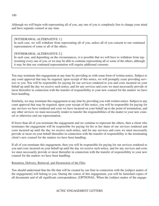Although we will begin with representing all of you, any one of you is completely free to change your mind and have separate counsel at any time.

# [WITHDRAWAL ALTERNATIVE 1:]

In such case, we will withdraw from representing all of you, unless all of you consent to our continued representation of some or all of the others.

# [WITHDRAWAL ALTERNATIVE 2:]

In such case, and depending on the circumstances, it is possible that we will have to withdraw from representing every one of you, or we may be able to continue representing all or some of the others, although it may be that our continued representation will require additional consents.

You may terminate this engagement at any time by providing us with some form of written notice. Subject to any court approval that may be required, upon receipt of this notice, we will promptly cease providing services to you. You will be responsible for paying for our services rendered to you and costs incurred on your behalf up until the day we receive such notice, and for any services and costs we must necessarily provide or incur thereafter in connection with the transfer of responsibility to your new counsel for the matters we have been handling.

Similarly, we may terminate this engagement at any time by providing you with written notice. Subject to any court approval that may be required, upon your receipt of this notice, you will be responsible for paying for any services we have rendered and costs we have incurred on your behalf up to the point of termination, and any other services we must necessarily render to transfer the responsibilities of the matter to your new counsel or otherwise end our representation.

If fewer than all of you terminate the engagement and we continue to represent the others, then a client who terminates the engagement will be responsible for paying for his or her share of our services rendered and costs incurred up until the day we receive such notice, and for any services and costs we must necessarily provide or incur on your behalf thereafter in connection with the transfer of responsibility to the terminating client's new counsel for the matters we have been handling.

If all of you terminate this engagement, then you will be responsible for paying for our services rendered to you and costs incurred on your behalf up until the day we receive such notice, and for any services and costs we must necessarily provide or incur thereafter in connection with the transfer of responsibility to your new counsel for the matters we have been handling.

# Retention, Delivery, Retrieval, and Destruction of the Files

You should understand that the file that will be created by our firm in connection with the [subject matter of the engagement] will belong to you. During the course of this engagement, you will be furnished copies of all documents and of all significant correspondence. [OPTIONAL: When the [subject matter of the engage-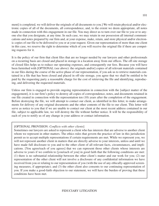ment] is completed, we will deliver the originals of all documents to you.] We will retain physical and/or electronic copies of all of the documents, all correspondence, and, to the extent we deem appropriate, all notes made in connection with this engagement in our file. You may direct us to turn over our file to you or to anyone else that you designate, at any time. In such case, we may retain in our possession all internal communications and notes prepared by our firm and, at your expense, make, retain, and store physical and/or electronic copies of our file to be delivered to you or at your request. Given our representation of more than one client in this case, we reserve the right to determine which of you will receive the original file if there are competing requests for it.

It is the policy of our firm that client files that are no longer needed by our lawyers and other professionals on a recurring basis are closed and placed in storage in a location away from our offices. The off-site storage of closed files helps us to reduce our operating expenses, and consequently our fees. Because you will have been furnished with [OPTIONAL (see above): the originals and/or] copies of all relevant materials contained in our files during the course of the active phase of our representation, if you ask us to retrieve materials contained in a file that has been closed and placed in off-site storage, you agree that we shall be entitled to be paid by the requesting party a reasonable charge for the cost of retrieving the file and identifying, reproducing, and delivering the requested materials.

Unless our firm is engaged to provide ongoing representation in connection with the [subject matter of the engagement], it is our firm's policy to destroy all copies of correspondence, notes, and documents retained in our file created in connection with the representation ten (10) years after the completion of the engagement. Before destroying the file, we will attempt to contact our client, as identified in this letter, to make arrangements for delivery of any original documents and the other contents of the file to our client. This letter will serve as notice to you that if we are unable to contact our client at the most recent address contained in our file, subject to applicable law, we will destroy the file without further notice. It will be the responsibility of each of you to notify us of any change in your address or contact information.

# [OPTIONAL PROVISION: *Conflicts with other clients*]

Sometimes our lawyers are asked to represent a client who has interests that are adverse to another client whom we represent in other matters. The ethics rules that govern the practice of law in this jurisdiction permit us to accept multiple representations if certain requirements are met. While we represent you, we will not represent another client in matters that are directly adverse to your interests, unless and until we have made full disclosure to you and to the other client of all relevant facts, circumstances, and implications. [You agree/each of you agrees] that we can represent those other clients whose interests are adverse to yours if we confirm to [you/each of you] in good faith that the following conditions are met: (1) there is no substantial relationship between the other client's matter and our work for you; (2) our representation of the other client will not involve a disclosure of any confidential information we have received from you or relating to our representation of you (with the use of any ethically-approved screening measures, if appropriate); and (3) the other client also consents to our continuing representation of you. If you make a good-faith objection to our statement, we will have the burden of proving that these conditions have been met.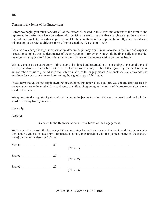# Consent to the Terms of the Engagement

Before we begin, you must consider all of the factors discussed in this letter and consent to the form of the representation. After you have considered this decision carefully, we ask that you please sign the statement that follows this letter to indicate your consent to the conditions of the representation. If, after considering this matter, you prefer a different form of representation, please let us know.

Because any change in legal representation after we begin may result in an increase in the time and expense needed to complete the [subject matter of the engagement], for which you would be financially responsible, we urge you to give careful consideration to the structure of the representation before we begin.

We have enclosed an extra copy of this letter to be signed and returned to us consenting to the conditions of the representation as described in this letter. The return of a copy of this letter signed by you will serve as authorization for us to proceed with the [subject matter of the engagement]. Also enclosed is a return-address envelope for your convenience in returning the signed copy of this letter.

If you have any questions about anything discussed in this letter, please call us. You should also feel free to contact an attorney in another firm to discuss the effect of agreeing to the terms of the representation as outlined in this letter.

We appreciate the opportunity to work with you on the [subject matter of the engagement], and we look forward to hearing from you soon.

Sincerely,

[Lawyer]

# Consent to the Representation and the Terms of the Engagement

We have each reviewed the foregoing letter concerning the various aspects of separate and joint representation, and we choose to have [Firm] represent us jointly in connection with the [subject matter of the engagement] on the terms described above.

|                | 20 |            |
|----------------|----|------------|
|                |    | (Client 1) |
| Signed: $\_\_$ | 20 |            |
|                |    | (Client 2) |
|                | 20 |            |
|                |    | (Client 3) |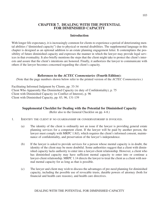# **CHAPTER 7. DEALING WITH THE POTENTIAL FOR DIMINISHED CAPACITY**

#### **Introduction**

With longer life expectancy, it is increasingly common for clients to experience a period of deteriorating mental abilities ("diminished capacity") due to physical or mental disabilities. The supplemental language in this chapter is designed as an optional addition to an estate planning engagement letter. It contemplates the possibility of future diminished capacity and expresses the manner in which the lawyer may provide legal services in that eventuality. It also briefly mentions the steps that the client might take to protect the client's interests and assure that the client's intentions are honored. Finally, it authorizes the lawyer to communicate with others if the lawyer becomes concerned regarding the client's capacity.

#### **References to the** *ACTEC Commentaries* **(Fourth Edition):**

(Note that the page numbers shown below refer to the printed version of the *ACTEC Commentaries.*)

Facilitating Informed Judgment by Clients, pp. 33-34 Client Who Apparently Has Diminished Capacity (re duty of Confidentiality), p. 75 Client with Diminished Capacity (re Conflict of Interest), p. 96 Client with Diminished Capacity, pp. 83, 96, 131-139

#### **Supplemental Checklist for Dealing with the Potential for Diminished Capacity** (Refer also to the General Checklist on pp. 4-8.)

- 1. IDENTIFY THE CLIENT IF NO GUARDIANSHIP OR CONSERVATORSHIP IS INVOLVED.
	- (a) The identity of the client is ordinarily not an issue if the lawyer is providing general estate planning services for a competent client. If the lawyer will be paid by another person, the lawyer must comply with MRPC 1.8(f), which requires the client's informed consent, maintenance of confidentiality, and preservation of the lawyer's independence.
	- (b) If the lawyer is asked to provide services for a person whose mental capacity is in doubt, the identity of the client may be more doubtful. Some authorities suggest that a client with diminished capacity lacks authority to enter into a lawyer-client relationship. However, a client who has diminished capacity may have sufficient mental capacity to enter into or continue a lawyer-client relationship. MRPC 1.14 directs the lawyer to treat the client as a client with normal mental capacity for as long as that is possible.
	- (c) The lawyer and client may wish to discuss the advantages of pre-need planning for diminished capacity, including the possible use of revocable trusts, durable powers of attorney (both for financial and health care reasons), and health care directives.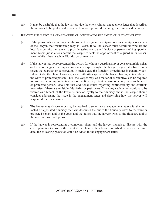- (d) It may be desirable that the lawyer provide the client with an engagement letter that describes the services to be performed in connection with pre-need planning for diminished capacity.
- 2. IDENTIFY THE CLIENT IF A GUARDIANSHIP OR CONSERVATORSHIP EXISTS OR IS CONTEMPLATED.
	- (a) If the person who is, or may be, the subject of a guardianship or conservatorship was a client of the lawyer, that relationship may still exist. If so, the lawyer must determine whether the local law permits the lawyer to provide assistance to the fiduciary or person seeking appointment. Some jurisdictions permit the lawyer to seek the appointment of a guardian or conservator, while others, such as Florida, do or may not.
	- (b) If the lawyer has not represented the person for whom a guardianship or conservatorship exists or for whom a guardianship or conservatorship is sought, the lawyer is generally free to represent the guardian or conservator. In such a case the fiduciary or petitioner is generally considered to be the client. However, some authorities speak of the lawyer having a direct duty to the ward or protected person. Thus, the lawyer may, as a matter of substantive law, be required to take steps contrary to the interests of the fiduciary client because of a duty owed to the ward or protected person. Also note that additional issues regarding confidentiality and conflicts may arise if there are multiple fiduciaries or petitioners. Since any such action could also be viewed as a breach of the lawyer's duty of loyalty to the fiduciary client, the lawyer should consider addressing the issue in the engagement letter and describing how the lawyer will respond if the issue arises.
	- (c) The lawyer may choose to or may be required to enter into an engagement letter with the nominated or appointed fiduciary that also describes the duties the fiduciary owes to the ward or protected person and to the court and the duties that the lawyer owes to the fiduciary and to the ward or protected person.
	- (d) If the lawyer is representing a competent client and the lawyer intends to discuss with the client planning to protect the client if the client suffers from diminished capacity at a future date, the following provision could be added to the engagement letter.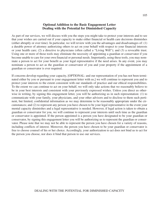#### become unable to care for your own financial or personal needs. Importantly, using these tools, you may nominate a person to act for your benefit as your legal representative if the need arises. In any event, you may

nominate a person to act as the guardian or conservator of you and your property if the appointment of a

guardian or conservator is ever required.

**Optional Addition to the Basic Engagement Letter Dealing with the Potential for Diminished Capacity**

As part of our services, we will discuss with you the steps you might take to protect your interests and to see that your wishes are carried out if your capacity to make either financial or health care decisions diminishes (either abruptly or over time). In particular, we will review with you the advantages and disadvantages of: (1) a durable power of attorney authorizing others to act on your behalf with respect to your financial interests or your health care; (2) a directive to physicians (often called a "Living Will"); and (3) a revocable trust. Using one or more of those tools may eliminate the necessity of appointing a guardian or conservator if you

If concerns develop regarding your capacity, [OPTIONAL: and our representation of you has not been terminated either by you or pursuant to your engagement letter with us,] we will continue to represent you and to protect your interests to the extent consistent with our standards of practice and our ethical responsibilities. To the extent we can continue to act on your behalf, we will only take actions that we reasonably believe to be in your best interests and consistent with your previously expressed wishes. Unless you direct us otherwise in writing, by signing this engagement letter, you will be authorizing us in such representation: (1) to communicate with your family, your physicians, and your other advisors and to disclose to them such pertinent, but limited, confidential information as we may determine to be reasonably appropriate under the circumstances; and (2) to represent any person you have chosen to be your legal representative in the event your mental capacity diminishes and a legal representative is needed. However, if legal action is taken to obtain a guardian or conservator for you, we will continue to represent your interests until such time as the guardian or conservator is appointed. If the person appointed is a person you have designated to be your guardian or conservator, by signing this engagement letter you will be authorizing us to represent the guardian or conservator. Please note that we may not be able to represent the person you have chosen for a variety of reasons, including conflicts of interest. Moreover, the person you have chosen to be your guardian or conservator is free to choose counsel of his or her choice. Accordingly, your authorization to act does not bind us to act for the person you choose, nor does it bind that person to use our services.

#### DEALING WITH THE POTENTIAL FOR DIMINISHED CAPACITY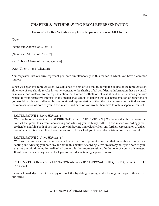# **CHAPTER 8. WITHDRAWING FROM REPRESENTATION**

# **Form of a Letter Withdrawing from Representation of All Clients**

[Date]

[Name and Address of Client 1]

[Name and Address of Client 2]

Re: [Subject Matter of the Engagement]

Dear [Client 1] and [Client 2]:

You requested that our firm represent you both simultaneously in this matter in which you have a common interest.

When we began this representation, we explained to both of you that if, during the course of the representation, either one of you should revoke his or her consent to the sharing of all confidential information that we consider relevant and material to the representation; or if other conflicts of interest should arise between you with respect to your respective interests in this matter that lead us to believe that our representation of either one of you would be adversely affected by our continued representation of the other of you, we would withdraw from the representation of both of you in this matter; and each of you would then have to obtain separate counsel.

# [ALTERNATIVE 1: *Noisy Withdrawal*]

We have become aware that [DESCRIBE NATURE OF THE CONFLICT.]. We believe that this represents a conflict that prevents us from representing and advising you both any further in this matter. Accordingly, we are hereby notifying both of you that we are withdrawing immediately from any further representation of either one of you in this matter. It will now be necessary for each of you to consider obtaining separate counsel.

# [ALTERNATIVE 2: *Silent Withdrawal*]

We have become aware of circumstances that we believe represent a conflict that prevents us from representing and advising you both any further in this matter. Accordingly, we are hereby notifying both of you that we are withdrawing immediately from any further representation of either one of you in this matter. It will now be necessary for each of you to consider obtaining separate counsel.

# [IF THE MATTER INVOLVES LITIGATION AND COURT APPROVAL IS REQUIRED, DESCRIBE THE PROCESS.]

Please acknowledge receipt of a copy of this letter by dating, signing, and returning one copy of this letter to our office.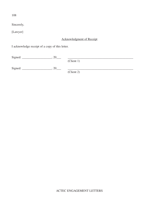108

Sincerely,

[Lawyer]

# Acknowledgment of Receipt

I acknowledge receipt of a copy of this letter.

| Signed: | ∠∖ |            |
|---------|----|------------|
|         |    | (Client 1) |
| Signed: |    |            |
|         |    | (Client 2) |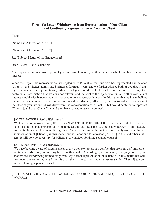# **Form of a Letter Withdrawing from Representation of One Client and Continuing Representation of Another Client**

[Date]

[Name and Address of Client 1]

[Name and Address of Client 2]

Re: [Subject Matter of the Engagement]

Dear [Client 1] and [Client 2]:

You requested that our firm represent you both simultaneously in this matter in which you have a common interest.

When we began this representation, we explained to [Client 2] that our firm has represented and advised [Client 1] and [his/her] family and businesses for many years, and we further advised both of you that if, during the course of the representation, either one of you should revoke his or her consent to the sharing of all confidential information that we consider relevant and material to the representation; or if other conflicts of interest should arise between you with respect to your respective interests in this matter that lead us to believe that our representation of either one of you would be adversely affected by our continued representation of the other of you, we would withdraw from the representation of [Client 2], but would continue to represent [Client 1]; and that [Client 2] would then have to obtain separate counsel.

#### [ALTERNATIVE 1: *Noisy Withdrawal*]

We have become aware that [DESCRIBE NATURE OF THE CONFLICT.]. We believe that this represents a conflict that prevents us from representing and advising you both any further in this matter. Accordingly, we are hereby notifying both of you that we are withdrawing immediately from any further representation of [Client 2] in this matter but will continue to represent [Client 1] in this and other matters. It will now be necessary for [Client 2] to consider obtaining separate counsel.

#### [ALTERNATIVE 2: *Silent Withdrawal*]

We have become aware of circumstances that we believe represent a conflict that prevents us from representing and advising you both any further in this matter. Accordingly, we are hereby notifying both of you that we are withdrawing immediately from any further representation of [Client 2] in this matter but will continue to represent [Client 1] in this and other matters. It will now be necessary for [Client 2] to consider obtaining separate counsel.

### [IF THE MATTER INVOLVES LITIGATION AND COURT APPROVAL IS REQUIRED, DESCRIBE THE PROCESS.]

#### WITHDRAWING FROM REPRESENTATION